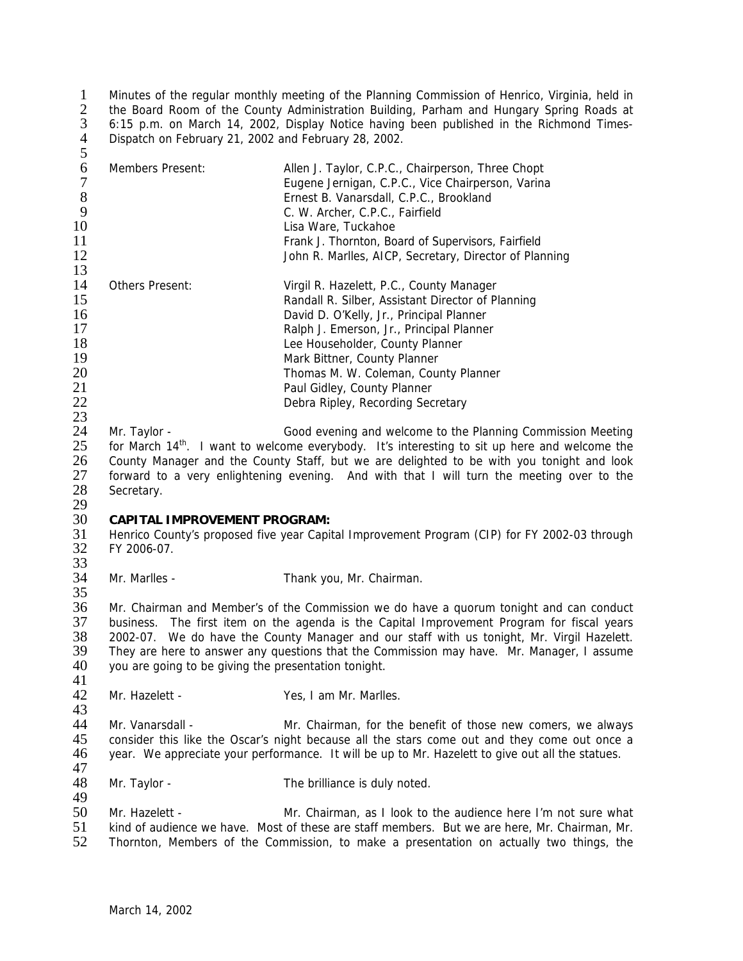1 Minutes of the regular monthly meeting of the Planning Commission of Henrico, Virginia, held in<br>2. The Board Room of the County Administration Building. Parham and Hungary Spring Roads at 2 the Board Room of the County Administration Building, Parham and Hungary Spring Roads at <br>3 6:15 p.m. on March 14, 2002, Display Notice having been published in the Richmond Times-3 6:15 p.m. on March 14, 2002, Display Notice having been published in the Richmond Times-4 Dispatch on February 21, 2002 and February 28, 2002. 5

| 6<br>8<br>9<br>10<br>11<br>12<br>13 | Members Present:       | Allen J. Taylor, C.P.C., Chairperson, Three Chopt<br>Eugene Jernigan, C.P.C., Vice Chairperson, Varina<br>Ernest B. Vanarsdall, C.P.C., Brookland<br>C. W. Archer, C.P.C., Fairfield<br>Lisa Ware, Tuckahoe<br>Frank J. Thornton, Board of Supervisors, Fairfield<br>John R. Marlles, AICP, Secretary, Director of Planning |
|-------------------------------------|------------------------|-----------------------------------------------------------------------------------------------------------------------------------------------------------------------------------------------------------------------------------------------------------------------------------------------------------------------------|
| 14<br>15                            | <b>Others Present:</b> | Virgil R. Hazelett, P.C., County Manager                                                                                                                                                                                                                                                                                    |
|                                     |                        | Randall R. Silber, Assistant Director of Planning                                                                                                                                                                                                                                                                           |
| 16                                  |                        | David D. O'Kelly, Jr., Principal Planner                                                                                                                                                                                                                                                                                    |
| 17                                  |                        | Ralph J. Emerson, Jr., Principal Planner                                                                                                                                                                                                                                                                                    |
| 18                                  |                        | Lee Householder, County Planner                                                                                                                                                                                                                                                                                             |
| 19                                  |                        | Mark Bittner, County Planner                                                                                                                                                                                                                                                                                                |
| 20                                  |                        | Thomas M. W. Coleman, County Planner                                                                                                                                                                                                                                                                                        |
| 21                                  |                        | Paul Gidley, County Planner                                                                                                                                                                                                                                                                                                 |
| 22                                  |                        | Debra Ripley, Recording Secretary                                                                                                                                                                                                                                                                                           |
| 23                                  |                        |                                                                                                                                                                                                                                                                                                                             |
| 24                                  | Mr. Taylor -           | Good evening and welcome to the Planning Commission Meeting                                                                                                                                                                                                                                                                 |

25 is for March 14<sup>th</sup>. I want to welcome everybody. It's interesting to sit up here and welcome the 26 is county Manager and the County Staff, but we are delighted to be with you tonight and look 26 County Manager and the County Staff, but we are delighted to be with you tonight and look<br>27 Froward to a very enlightening evening. And with that I will turn the meeting over to the forward to a very enlightening evening. And with that I will turn the meeting over to the 28 Secretary.

 $\frac{29}{30}$ 

30 **CAPITAL IMPROVEMENT PROGRAM:** 31 Henrico County's proposed five year Capital Improvement Program (CIP) for FY 2002-03 through 32 FY 2006-07. FY 2006-07.

 $\frac{33}{34}$ Mr. Marlles - Thank you, Mr. Chairman.

 $\frac{35}{36}$ Mr. Chairman and Member's of the Commission we do have a quorum tonight and can conduct business. The first item on the agenda is the Capital Improvement Program for fiscal years 2002-07. We do have the County Manager and our staff with us tonight, Mr. Virgil Hazelett. They are here to answer any questions that the Commission may have. Mr. Manager, I assume you are going to be giving the presentation tonight.

 $\frac{41}{42}$ Mr. Hazelett - Yes, I am Mr. Marlles.

43 44 Mr. Vanarsdall - Mr. Chairman, for the benefit of those new comers, we always<br>45 consider this like the Oscar's night because all the stars come out and they come out once a 45 consider this like the Oscar's night because all the stars come out and they come out once a<br>46 vear. We appreciate your performance. It will be up to Mr. Hazelett to give out all the statues. year. We appreciate your performance. It will be up to Mr. Hazelett to give out all the statues.

47<br>48 Mr. Taylor - The brilliance is duly noted.

50 Mr. Hazelett - Mr. Chairman, as I look to the audience here I'm not sure what<br>51 kind of audience we have. Most of these are staff members. But we are here. Mr. Chairman. Mr. 51 kind of audience we have. Most of these are staff members. But we are here, Mr. Chairman, Mr.<br>52 Thornton. Members of the Commission, to make a presentation on actually two things, the Thornton, Members of the Commission, to make a presentation on actually two things, the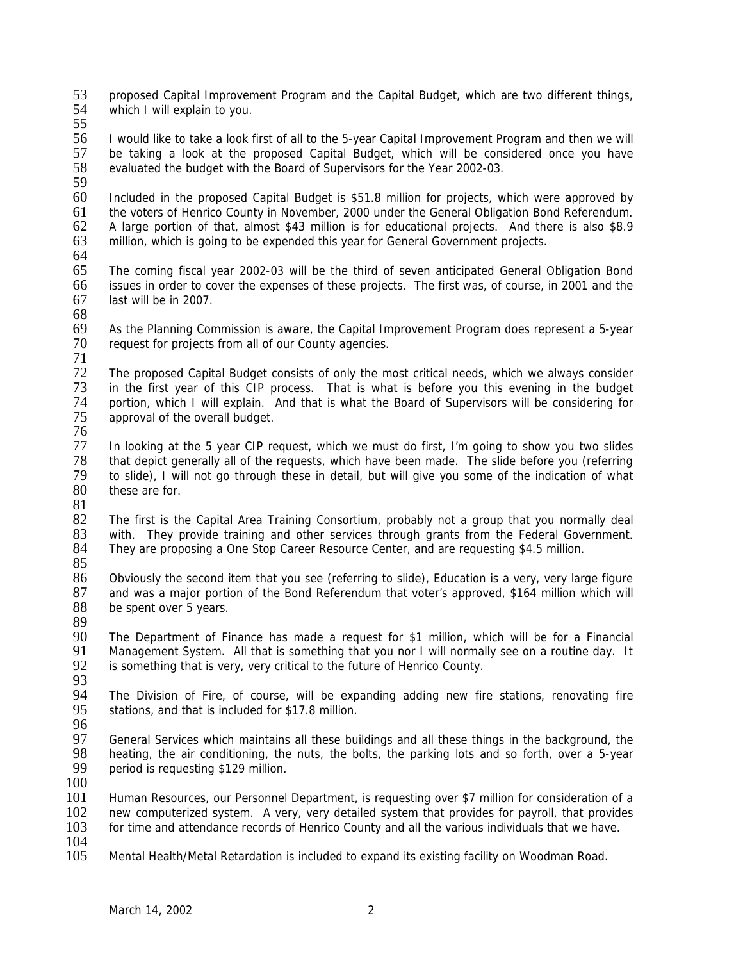53 proposed Capital Improvement Program and the Capital Budget, which are two different things,<br>54 which I will explain to you which I will explain to you.

55

56 I would like to take a look first of all to the 5-year Capital Improvement Program and then we will 57 be taking a look at the proposed Capital Budget, which will be considered once you have be taking a look at the proposed Capital Budget, which will be considered once you have 58 evaluated the budget with the Board of Supervisors for the Year 2002-03.

59<br>60

Included in the proposed Capital Budget is \$51.8 million for projects, which were approved by 61 the voters of Henrico County in November, 2000 under the General Obligation Bond Referendum.<br>62 A large portion of that, almost \$43 million is for educational projects. And there is also \$8.9 62 A large portion of that, almost \$43 million is for educational projects. And there is also \$8.9<br>63 million, which is going to be expended this year for General Government projects. million, which is going to be expended this year for General Government projects.

64<br>65

The coming fiscal year 2002-03 will be the third of seven anticipated General Obligation Bond 66 issues in order to cover the expenses of these projects. The first was, of course, in 2001 and the last will be in 2007.

68

69 As the Planning Commission is aware, the Capital Improvement Program does represent a 5-year 70 request for projects from all of our County agencies.

71

72 The proposed Capital Budget consists of only the most critical needs, which we always consider 73 in the first year of this CIP process. That is what is before you this evening in the budget<br>74 portion, which I will explain. And that is what the Board of Supervisors will be considering for 74 portion, which I will explain. And that is what the Board of Supervisors will be considering for<br>75 approval of the overall budget. approval of the overall budget. 76

77 In looking at the 5 year CIP request, which we must do first, I'm going to show you two slides<br>78 that depict generally all of the requests, which have been made. The slide before you (referring 78 that depict generally all of the requests, which have been made. The slide before you (referring 79 to slide), I will not go through these in detail, but will give you some of the indication of what these are for.

81

82 The first is the Capital Area Training Consortium, probably not a group that you normally deal<br>83 with. They provide training and other services through grants from the Federal Government. 83 with. They provide training and other services through grants from the Federal Government.<br>84 They are proposing a One Stop Career Resource Center, and are requesting \$4.5 million. They are proposing a One Stop Career Resource Center, and are requesting \$4.5 million.

85<br>86

Obviously the second item that you see (referring to slide), Education is a very, very large figure 87 and was a major portion of the Bond Referendum that voter's approved, \$164 million which will 88 be spent over 5 years. be spent over 5 years.

89

The Department of Finance has made a request for \$1 million, which will be for a Financial 91 Management System. All that is something that you nor I will normally see on a routine day. It<br>92 is something that is very, very critical to the future of Henrico County. is something that is very, very critical to the future of Henrico County.

93<br>94

94 The Division of Fire, of course, will be expanding adding new fire stations, renovating fire 95 stations, and that is included for \$17.8 million. stations, and that is included for \$17.8 million.

96<br>97

97 General Services which maintains all these buildings and all these things in the background, the 98 heating the air conditioning, the nuts, the bolts, the parking lots and so forth, over a 5-year 98 heating, the air conditioning, the nuts, the bolts, the parking lots and so forth, over a 5-year period is requesting \$129 million. period is requesting \$129 million.

100

101 Human Resources, our Personnel Department, is requesting over \$7 million for consideration of a 102 new computerized system. A very, very detailed system that provides for payroll, that provides 103 for time and attendance records of Henrico County and all the various individuals that we have. for time and attendance records of Henrico County and all the various individuals that we have.

 $\frac{104}{105}$ 

Mental Health/Metal Retardation is included to expand its existing facility on Woodman Road.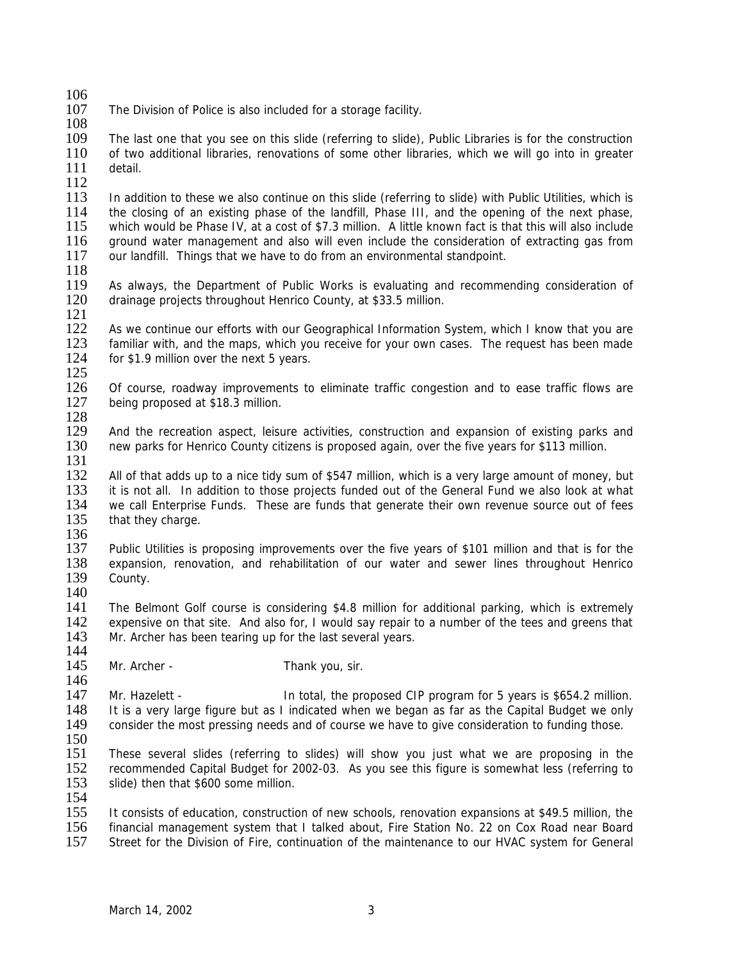- $\frac{106}{107}$ The Division of Police is also included for a storage facility.
- 108

109 The last one that you see on this slide (referring to slide), Public Libraries is for the construction 110 of two additional libraries, renovations of some other libraries, which we will go into in greater of two additional libraries, renovations of some other libraries, which we will go into in greater 111 detail.

 $\frac{112}{113}$ 

113 In addition to these we also continue on this slide (referring to slide) with Public Utilities, which is<br>114 the closing of an existing phase of the landfill. Phase III, and the opening of the next phase. 114 the closing of an existing phase of the landfill, Phase III, and the opening of the next phase,<br>115 which would be Phase IV, at a cost of \$7.3 million. A little known fact is that this will also include 115 which would be Phase IV, at a cost of \$7.3 million. A little known fact is that this will also include 116 around water management and also will even include the consideration of extracting gas from 116 ground water management and also will even include the consideration of extracting gas from 117 our landfill. Things that we have to do from an environmental standpoint. our landfill. Things that we have to do from an environmental standpoint.

118

119 As always, the Department of Public Works is evaluating and recommending consideration of 120 drainage projects throughout Henrico County, at \$33.5 million. drainage projects throughout Henrico County, at \$33.5 million.

 $\frac{121}{122}$ 

As we continue our efforts with our Geographical Information System, which I know that you are 123 familiar with, and the maps, which you receive for your own cases. The request has been made 124 for \$1.9 million over the next 5 vears. for  $$1.9$  million over the next 5 years.

 $\frac{125}{126}$ 126 Of course, roadway improvements to eliminate traffic congestion and to ease traffic flows are 127 being proposed at \$18.3 million. being proposed at \$18.3 million.

 $\frac{128}{129}$ And the recreation aspect, leisure activities, construction and expansion of existing parks and 130 new parks for Henrico County citizens is proposed again, over the five years for \$113 million. 131

 All of that adds up to a nice tidy sum of \$547 million, which is a very large amount of money, but it is not all. In addition to those projects funded out of the General Fund we also look at what we call Enterprise Funds. These are funds that generate their own revenue source out of fees that they charge.

136<br>137

137 Public Utilities is proposing improvements over the five years of \$101 million and that is for the 138 expansion, renovation, and rehabilitation of our water and sewer lines throughout Henrico 138 expansion, renovation, and rehabilitation of our water and sewer lines throughout Henrico<br>139 County. County.

 $\frac{140}{141}$ The Belmont Golf course is considering \$4.8 million for additional parking, which is extremely 142 expensive on that site. And also for, I would say repair to a number of the tees and greens that 143 Mr. Archer has been tearing up for the last several years. Mr. Archer has been tearing up for the last several years.

 $\frac{144}{145}$ Mr. Archer - Thank you, sir.

 $\frac{146}{147}$ 147 Mr. Hazelett - In total, the proposed CIP program for 5 years is \$654.2 million.<br>148 It is a very large figure but as I indicated when we began as far as the Capital Budget we only 148 It is a very large figure but as I indicated when we began as far as the Capital Budget we only 149 consider the most pressing needs and of course we have to give consideration to funding those. consider the most pressing needs and of course we have to give consideration to funding those.

 $\frac{150}{151}$ 

151 These several slides (referring to slides) will show you just what we are proposing in the 152 recommended Capital Budget for 2002-03. As you see this figure is somewhat less (referring to 152 recommended Capital Budget for 2002-03. As you see this figure is somewhat less (referring to 153 slide) then that \$600 some million.

154

155 It consists of education, construction of new schools, renovation expansions at \$49.5 million, the 156 financial management system that I talked about. Fire Station No. 22 on Cox Road near Board 156 financial management system that I talked about, Fire Station No. 22 on Cox Road near Board<br>157 Street for the Division of Fire, continuation of the maintenance to our HVAC system for General Street for the Division of Fire, continuation of the maintenance to our HVAC system for General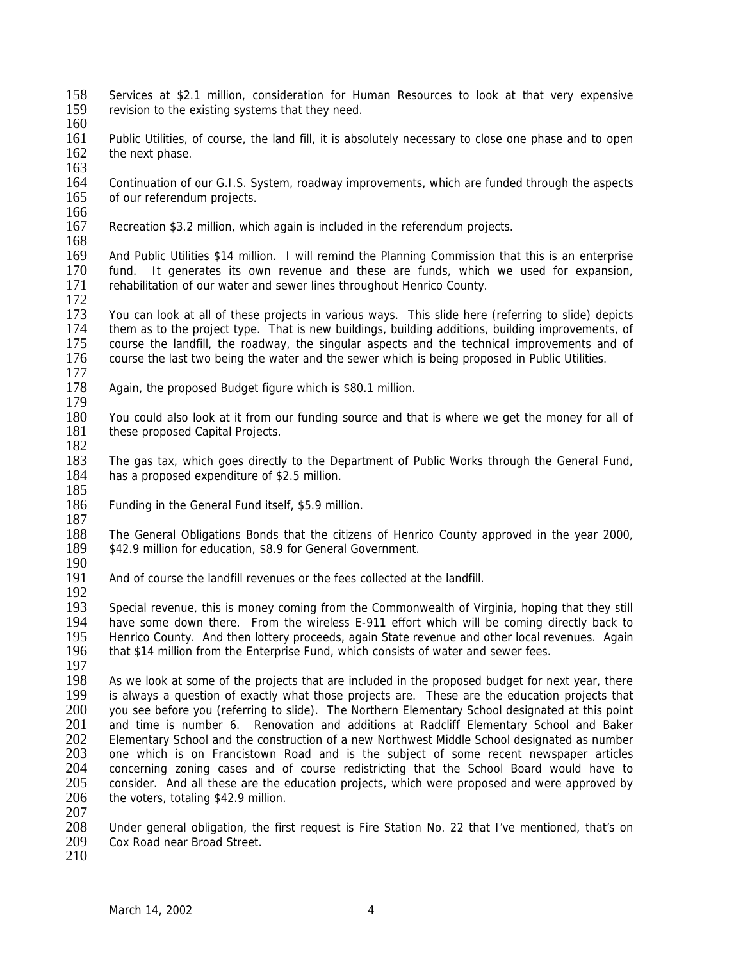- 158 Services at \$2.1 million, consideration for Human Resources to look at that very expensive<br>159 revision to the existing systems that they need. revision to the existing systems that they need.
- 160
- 161 Public Utilities, of course, the land fill, it is absolutely necessary to close one phase and to open 162 the next phase. the next phase.
- 163 164 Continuation of our G.I.S. System, roadway improvements, which are funded through the aspects 165 of our referendum projects.
- of our referendum projects.
- 166<br>167
- Recreation \$3.2 million, which again is included in the referendum projects.
- 168<br>169
- 169 And Public Utilities \$14 million. I will remind the Planning Commission that this is an enterprise 170 fund. It generates its own revenue and these are funds, which we used for expansion. fund. It generates its own revenue and these are funds, which we used for expansion, 171 rehabilitation of our water and sewer lines throughout Henrico County.
- 172
- 173 You can look at all of these projects in various ways. This slide here (referring to slide) depicts 174 them as to the project type. That is new buildings, building additions, building improvements, of them as to the project type. That is new buildings, building additions, building improvements, of 175 course the landfill, the roadway, the singular aspects and the technical improvements and of 176 course the last two being the water and the sewer which is being proposed in Public Utilities. course the last two being the water and the sewer which is being proposed in Public Utilities.
- $\frac{177}{178}$ Again, the proposed Budget figure which is \$80.1 million.
- $\frac{179}{180}$
- 180 You could also look at it from our funding source and that is where we get the money for all of 181 these proposed Capital Projects. these proposed Capital Projects.
- $\frac{182}{183}$
- The gas tax, which goes directly to the Department of Public Works through the General Fund, 184 has a proposed expenditure of \$2.5 million. 185
- 186 Funding in the General Fund itself, \$5.9 million.
- $\frac{187}{188}$ 188 The General Obligations Bonds that the citizens of Henrico County approved in the year 2000, 189 \$42.9 million for education. \$8.9 for General Government. \$42.9 million for education, \$8.9 for General Government.
- $\frac{190}{191}$
- And of course the landfill revenues or the fees collected at the landfill.
- 192<br>193 Special revenue, this is money coming from the Commonwealth of Virginia, hoping that they still 194 have some down there. From the wireless E-911 effort which will be coming directly back to 195 Henrico County. And then lottery proceeds, again State revenue and other local revenues. Again Henrico County. And then lottery proceeds, again State revenue and other local revenues. Again 196 that \$14 million from the Enterprise Fund, which consists of water and sewer fees.
- 
- 197<br>198 198 As we look at some of the projects that are included in the proposed budget for next year, there 199 is always a question of exactly what those projects are. These are the education projects that 199 is always a question of exactly what those projects are. These are the education projects that 200 vou see before vou (referring to slide). The Northern Elementary School designated at this point 200 you see before you (referring to slide). The Northern Elementary School designated at this point 201 and time is number 6. Repovation and additions at Radcliff Elementary School and Baker 201 and time is number 6. Renovation and additions at Radcliff Elementary School and Baker<br>202 Elementary School and the construction of a new Northwest Middle School designated as number 202 Elementary School and the construction of a new Northwest Middle School designated as number<br>203 one which is on Francistown Road and is the subject of some recent newspaper articles 203 one which is on Francistown Road and is the subject of some recent newspaper articles<br>204 concerning zoning cases and of course redistricting that the School Board would have to 204 concerning zoning cases and of course redistricting that the School Board would have to 205 consider. And all these are the education projects, which were proposed and were approved by 206 the voters, totaling \$42.9 million.
- $\frac{207}{208}$
- 208 Under general obligation, the first request is Fire Station No. 22 that I've mentioned, that's on 209 Cox Road near Broad Street. Cox Road near Broad Street.
- 210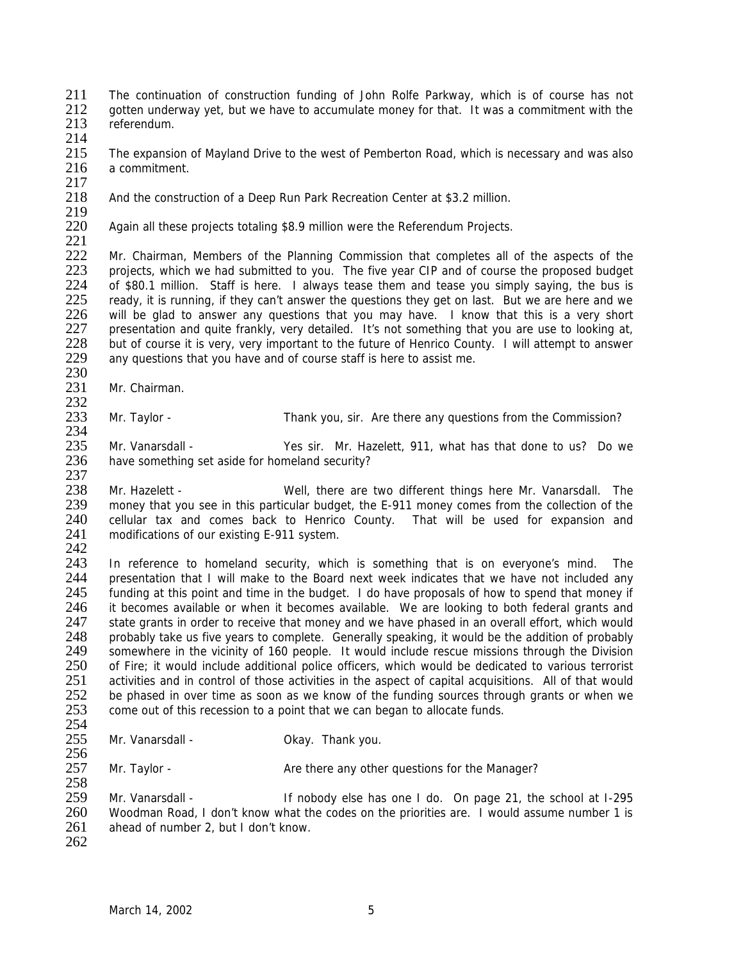211 The continuation of construction funding of John Rolfe Parkway, which is of course has not 212 or other underway vet but we have to accumulate money for that It was a commitment with the 212 gotten underway yet, but we have to accumulate money for that. It was a commitment with the 213 referendum.

- referendum.
- $\frac{214}{215}$

The expansion of Mayland Drive to the west of Pemberton Road, which is necessary and was also 216 a commitment.

 $\frac{217}{218}$ 

And the construction of a Deep Run Park Recreation Center at \$3.2 million.

219<br>220 Again all these projects totaling \$8.9 million were the Referendum Projects.

 $\frac{221}{222}$ 222 Mr. Chairman, Members of the Planning Commission that completes all of the aspects of the 223 projects, which we had submitted to you. The five year CIP and of course the proposed budget projects, which we had submitted to you. The five year CIP and of course the proposed budget 224 of \$80.1 million. Staff is here. I always tease them and tease you simply saying, the bus is 225 ready, it is running, if they can't answer the questions they get on last. But we are here and we 225 ready, it is running, if they can't answer the questions they get on last. But we are here and we<br>226 will be glad to answer any questions that you may have. I know that this is a very short 226 will be glad to answer any questions that you may have. I know that this is a very short 227 presentation and quite frankly, very detailed. It's not something that you are use to looking at, presentation and quite frankly, very detailed. It's not something that you are use to looking at, 228 but of course it is very, very important to the future of Henrico County. I will attempt to answer<br>229 any questions that you have and of course staff is here to assist me. any questions that you have and of course staff is here to assist me.

 $\frac{230}{231}$ Mr. Chairman.

 $\frac{232}{233}$ Mr. Taylor - Thank you, sir. Are there any questions from the Commission? 234

235 Mr. Vanarsdall - Yes sir. Mr. Hazelett, 911, what has that done to us? Do we  $236$  have something set aside for homeland security? have something set aside for homeland security? 237

238 Mr. Hazelett - Well, there are two different things here Mr. Vanarsdall. The 239 money that you see in this particular budget, the E-911 money comes from the collection of the money that you see in this particular budget, the E-911 money comes from the collection of the 240 cellular tax and comes back to Henrico County. That will be used for expansion and 241 modifications of our existing E-911 system. modifications of our existing E-911 system.

 $\frac{242}{243}$ 

243 In reference to homeland security, which is something that is on everyone's mind. The 244 presentation that I will make to the Board next week indicates that we have not included any 244 presentation that I will make to the Board next week indicates that we have not included any<br>245 funding at this point and time in the budget. I do have proposals of how to spend that money if 245 funding at this point and time in the budget. I do have proposals of how to spend that money if <br>246 it becomes available or when it becomes available. We are looking to both federal grants and it becomes available or when it becomes available. We are looking to both federal grants and 247 state grants in order to receive that money and we have phased in an overall effort, which would<br>248 orobably take us five vears to complete. Generally speaking, it would be the addition of probably probably take us five years to complete. Generally speaking, it would be the addition of probably 249 somewhere in the vicinity of 160 people. It would include rescue missions through the Division<br>250 of Fire: it would include additional police officers, which would be dedicated to various terrorist 250 of Fire; it would include additional police officers, which would be dedicated to various terrorist<br>251 activities and in control of those activities in the aspect of capital acquisitions. All of that would 251 activities and in control of those activities in the aspect of capital acquisitions. All of that would 252 be phased in over time as soon as we know of the funding sources through grants or when we 252 be phased in over time as soon as we know of the funding sources through grants or when we 253 come out of this recession to a point that we can began to allocate funds. come out of this recession to a point that we can began to allocate funds.

 $\frac{254}{255}$ Mr. Vanarsdall - Cassic Communist Communist Communist Okay. Thank you.

256<br>257 Mr. Taylor - **Are there any other questions for the Manager?** 

259 Mr. Vanarsdall - If nobody else has one I do. On page 21, the school at I-295 260 Woodman Road, I don't know what the codes on the priorities are. I would assume number 1 is 261 ahead of number 2, but I don't know. ahead of number 2, but I don't know.

262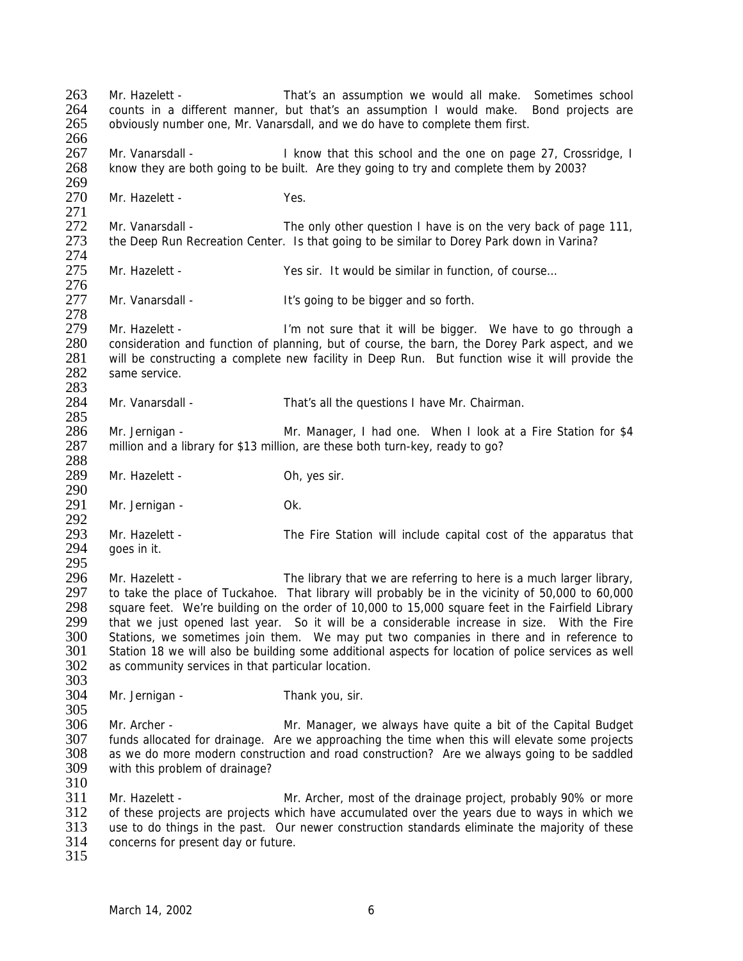263 Mr. Hazelett - That's an assumption we would all make. Sometimes school<br>264 counts in a different manner but that's an assumption I would make. Bond projects are 264 counts in a different manner, but that's an assumption I would make. Bond projects are 265 obviously number one. Mr. Vanarsdall, and we do have to complete them first. 265 obviously number one, Mr. Vanarsdall, and we do have to complete them first. 266 267 Mr. Vanarsdall - I know that this school and the one on page 27, Crossridge, I 268 know they are both going to be built. Are they going to try and complete them by 2003? 269<br>270 Mr. Hazelett - Yes. 271<br>272 272 Mr. Vanarsdall - The only other question I have is on the very back of page 111,<br>273 the Deep Run Recreation Center. Is that going to be similar to Dorey Park down in Varina? the Deep Run Recreation Center. Is that going to be similar to Dorey Park down in Varina? 274<br>275 275 Mr. Hazelett - Yes sir. It would be similar in function, of course… 276<br>277 Mr. Vanarsdall - The Music History of the bigger and so forth. 278 279 Mr. Hazelett - I'm not sure that it will be bigger. We have to go through a 280 consideration and function of planning, but of course, the barn, the Dorey Park aspect, and we<br>281 vill be constructing a complete new facility in Deep Run. But function wise it will provide the 281 will be constructing a complete new facility in Deep Run. But function wise it will provide the 282 same service. same service. 283<br>284 Mr. Vanarsdall - That's all the questions I have Mr. Chairman. 285<br>286 Mr. Jernigan - The Mr. Manager, I had one. When I look at a Fire Station for \$4 287 million and a library for \$13 million, are these both turn-key, ready to go? 288 289 Mr. Hazelett - Oh, yes sir. 290 291 Mr. Jernigan - Ok. 292<br>293 293 Mr. Hazelett - The Fire Station will include capital cost of the apparatus that 294 aces in it. aoes in it. 295<br>296 296 Mr. Hazelett - The library that we are referring to here is a much larger library,<br>297 to take the place of Tuckahoe. That library will probably be in the vicinity of 50.000 to 60.000 297 to take the place of Tuckahoe. That library will probably be in the vicinity of 50,000 to 60,000<br>298 square feet. We're building on the order of 10,000 to 15,000 square feet in the Fairfield Library 298 square feet. We're building on the order of 10,000 to 15,000 square feet in the Fairfield Library<br>299 that we just opened last year. So it will be a considerable increase in size. With the Fire that we just opened last year. So it will be a considerable increase in size. With the Fire 300 Stations, we sometimes join them. We may put two companies in there and in reference to 301 Station 18 we will also be building some additional aspects for location of police services as well 302 as community services in that particular location. 303<br>304 Mr. Jernigan - Thank you, sir.  $\frac{305}{306}$ 306 Mr. Archer - Mr. Manager, we always have quite a bit of the Capital Budget<br>307 funds allocated for drainage. Are we approaching the time when this will elevate some projects 307 funds allocated for drainage. Are we approaching the time when this will elevate some projects 308 as we do more modern construction and road construction? Are we always going to be saddled 309 with this problem of drainage? with this problem of drainage? 310 311 Mr. Hazelett - Mr. Archer, most of the drainage project, probably 90% or more 312 of these projects are projects which have accumulated over the years due to ways in which we<br>313 use to do things in the past. Our newer construction standards eliminate the maiority of these 313 use to do things in the past. Our newer construction standards eliminate the majority of these<br>314 concerns for present day or future. concerns for present day or future. 315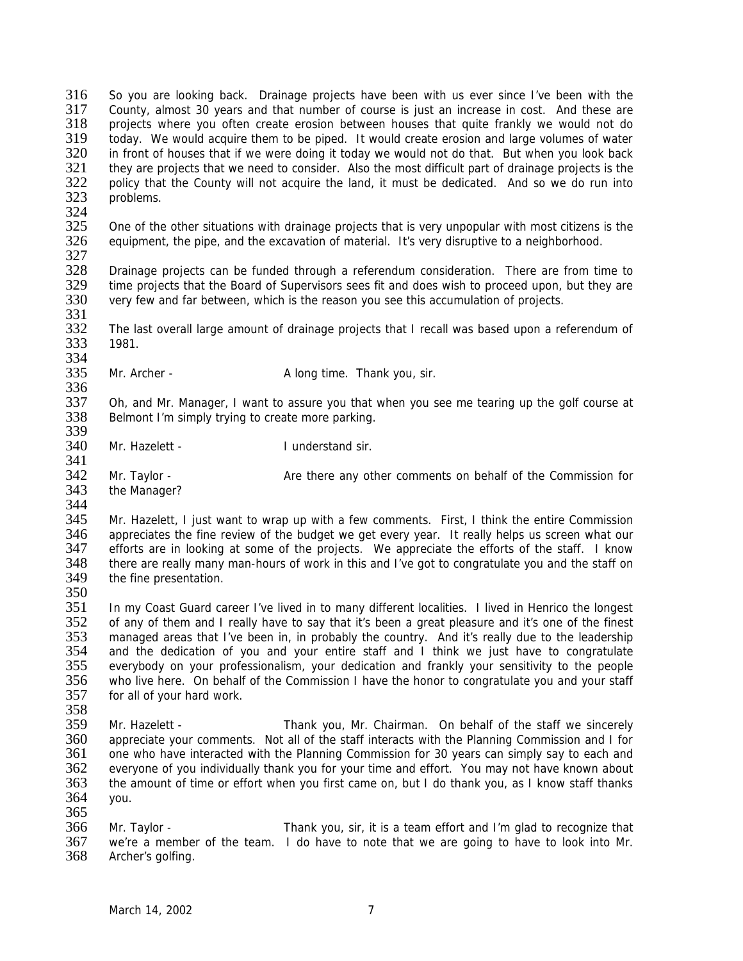316 So you are looking back. Drainage projects have been with us ever since I've been with the 317 County almost 30 years and that number of course is just an increase in cost. And these are 317 County, almost 30 years and that number of course is just an increase in cost. And these are<br>318 projects where you often create erosion between houses that quite frankly we would not do projects where you often create erosion between houses that quite frankly we would not do 319 today. We would acquire them to be piped. It would create erosion and large volumes of water<br>320 in front of houses that if we were doing it today we would not do that. But when you look back in front of houses that if we were doing it today we would not do that. But when you look back 321 they are projects that we need to consider. Also the most difficult part of drainage projects is the 322 policy that the County will not acquire the land, it must be dedicated. And so we do run into 322 policy that the County will not acquire the land, it must be dedicated. And so we do run into 323 problems. problems. 324<br>325 325 One of the other situations with drainage projects that is very unpopular with most citizens is the 326 equipment, the pipe, and the excavation of material. It's very disruptive to a neighborhood. equipment, the pipe, and the excavation of material. It's very disruptive to a neighborhood. 327<br>328 Drainage projects can be funded through a referendum consideration. There are from time to 329 time projects that the Board of Supervisors sees fit and does wish to proceed upon, but they are 330 very few and far between, which is the reason you see this accumulation of projects. very few and far between, which is the reason you see this accumulation of projects. 331<br>332 The last overall large amount of drainage projects that I recall was based upon a referendum of 333 1981. 334<br>335 Mr. Archer - A long time. Thank you, sir. 336<br>337 337 Oh, and Mr. Manager, I want to assure you that when you see me tearing up the golf course at 338 Belmont I'm simply trying to create more parking. Belmont I'm simply trying to create more parking. 339 340 Mr. Hazelett - Inderstand sir. 341<br>342 342 Mr. Taylor - Are there any other comments on behalf of the Commission for 343 the Manager? the Manager? 344 345 Mr. Hazelett, I just want to wrap up with a few comments. First, I think the entire Commission<br>346 appreciates the fine review of the budget we get every year. It really helps us screen what our 346 appreciates the fine review of the budget we get every year. It really helps us screen what our 347 efforts are in looking at some of the proiects. We appreciate the efforts of the staff. I know 347 efforts are in looking at some of the projects. We appreciate the efforts of the staff. I know<br>348 there are really many man-hours of work in this and I've got to congratulate you and the staff on 348 there are really many man-hours of work in this and I've got to congratulate you and the staff on 349 the fine presentation. the fine presentation. 350<br>351 In my Coast Guard career I've lived in to many different localities. I lived in Henrico the longest 352 of any of them and I really have to say that it's been a great pleasure and it's one of the finest 353 managed areas that I've been in, in probably the country. And it's really due to the leadership 354 and the dedication of you and your entire staff and I think we just have to congratulate 355 everybody on your professionalism, your dedication and frankly your sensitivity to the people<br>356 who live here. On behalf of the Commission I have the honor to congratulate you and your staff 356 who live here. On behalf of the Commission I have the honor to congratulate you and your staff for all of your hard work.  $\frac{358}{359}$ 359 Mr. Hazelett - Thank you, Mr. Chairman. On behalf of the staff we sincerely<br>360 appreciate your comments. Not all of the staff interacts with the Planning Commission and I for 360 appreciate your comments. Not all of the staff interacts with the Planning Commission and I for 361 one who have interacted with the Planning Commission for 30 years can simply say to each and 361 one who have interacted with the Planning Commission for 30 years can simply say to each and<br>362 everyone of you individually thank you for your time and effort. You may not have known about everyone of you individually thank you for your time and effort. You may not have known about 363 the amount of time or effort when you first came on, but I do thank you, as I know staff thanks 364 you.  $\frac{365}{366}$ 366 Mr. Taylor - Thank you, sir, it is a team effort and I'm glad to recognize that 367 we're a member of the team. I do have to note that we are going to have to look into Mr. 367 we're a member of the team. I do have to note that we are going to have to look into Mr.<br>368 Archer's golfing.

Archer's golfing.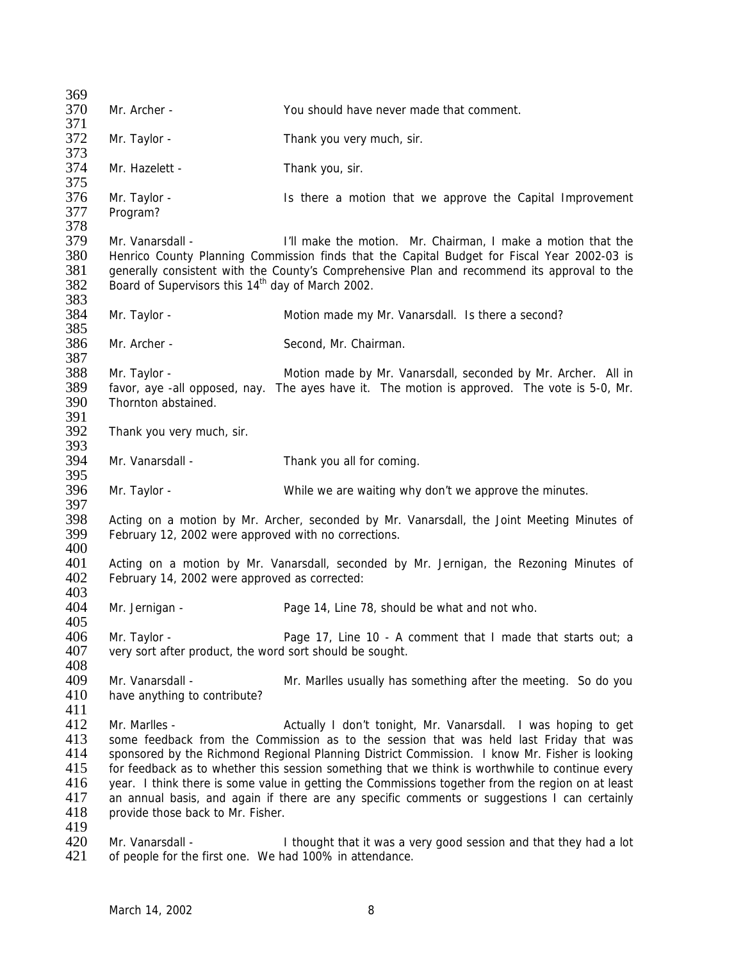| 369                  |                                                               |                                                                                                   |
|----------------------|---------------------------------------------------------------|---------------------------------------------------------------------------------------------------|
| 370                  | Mr. Archer -                                                  | You should have never made that comment.                                                          |
| 371                  |                                                               |                                                                                                   |
| 372                  | Mr. Taylor -                                                  | Thank you very much, sir.                                                                         |
| 373                  |                                                               |                                                                                                   |
| 374                  | Mr. Hazelett -                                                | Thank you, sir.                                                                                   |
| 375                  |                                                               |                                                                                                   |
| 376                  | Mr. Taylor -                                                  | Is there a motion that we approve the Capital Improvement                                         |
| 377                  | Program?                                                      |                                                                                                   |
| 378                  |                                                               |                                                                                                   |
| 379                  | Mr. Vanarsdall -                                              | I'll make the motion. Mr. Chairman, I make a motion that the                                      |
| 380                  |                                                               | Henrico County Planning Commission finds that the Capital Budget for Fiscal Year 2002-03 is       |
| 381                  |                                                               | generally consistent with the County's Comprehensive Plan and recommend its approval to the       |
| 382                  | Board of Supervisors this 14 <sup>th</sup> day of March 2002. |                                                                                                   |
| 383                  |                                                               |                                                                                                   |
| 384                  | Mr. Taylor -                                                  | Motion made my Mr. Vanarsdall. Is there a second?                                                 |
| 385                  |                                                               |                                                                                                   |
| 386                  | Mr. Archer -                                                  | Second, Mr. Chairman.                                                                             |
| 387                  |                                                               |                                                                                                   |
| 388<br>389           | Mr. Taylor -                                                  | Motion made by Mr. Vanarsdall, seconded by Mr. Archer. All in                                     |
| 390                  | Thornton abstained.                                           | favor, aye -all opposed, nay. The ayes have it. The motion is approved. The vote is 5-0, Mr.      |
| 391                  |                                                               |                                                                                                   |
| 392                  |                                                               |                                                                                                   |
| 393                  | Thank you very much, sir.                                     |                                                                                                   |
| 394                  | Mr. Vanarsdall -                                              | Thank you all for coming.                                                                         |
| 395                  |                                                               |                                                                                                   |
| 396                  | Mr. Taylor -                                                  | While we are waiting why don't we approve the minutes.                                            |
| 397                  |                                                               |                                                                                                   |
| 398                  |                                                               | Acting on a motion by Mr. Archer, seconded by Mr. Vanarsdall, the Joint Meeting Minutes of        |
| 399                  | February 12, 2002 were approved with no corrections.          |                                                                                                   |
| 400                  |                                                               |                                                                                                   |
| 401                  |                                                               | Acting on a motion by Mr. Vanarsdall, seconded by Mr. Jernigan, the Rezoning Minutes of           |
| 402                  | February 14, 2002 were approved as corrected:                 |                                                                                                   |
| 403                  |                                                               |                                                                                                   |
| 404                  | Mr. Jernigan -                                                | Page 14, Line 78, should be what and not who.                                                     |
| 405                  |                                                               |                                                                                                   |
| 406                  | Mr. Taylor -                                                  | Page 17, Line 10 - A comment that I made that starts out; a                                       |
| 407                  | very sort after product, the word sort should be sought.      |                                                                                                   |
| 408                  |                                                               |                                                                                                   |
| 409                  | Mr. Vanarsdall -                                              | Mr. Marlles usually has something after the meeting. So do you                                    |
| 410                  | have anything to contribute?                                  |                                                                                                   |
| 411                  |                                                               |                                                                                                   |
| 412                  | Mr. Marlles -                                                 | Actually I don't tonight, Mr. Vanarsdall. I was hoping to get                                     |
| 413                  |                                                               | some feedback from the Commission as to the session that was held last Friday that was            |
| 414                  |                                                               | sponsored by the Richmond Regional Planning District Commission. I know Mr. Fisher is looking     |
| 415                  |                                                               | for feedback as to whether this session something that we think is worthwhile to continue every   |
| 416                  |                                                               | year. I think there is some value in getting the Commissions together from the region on at least |
| 417                  |                                                               | an annual basis, and again if there are any specific comments or suggestions I can certainly      |
| 418                  | provide those back to Mr. Fisher.                             |                                                                                                   |
| 419                  |                                                               |                                                                                                   |
| 420<br>$4 \bigcap 1$ | Mr. Vanarsdall -                                              | I thought that it was a very good session and that they had a lot                                 |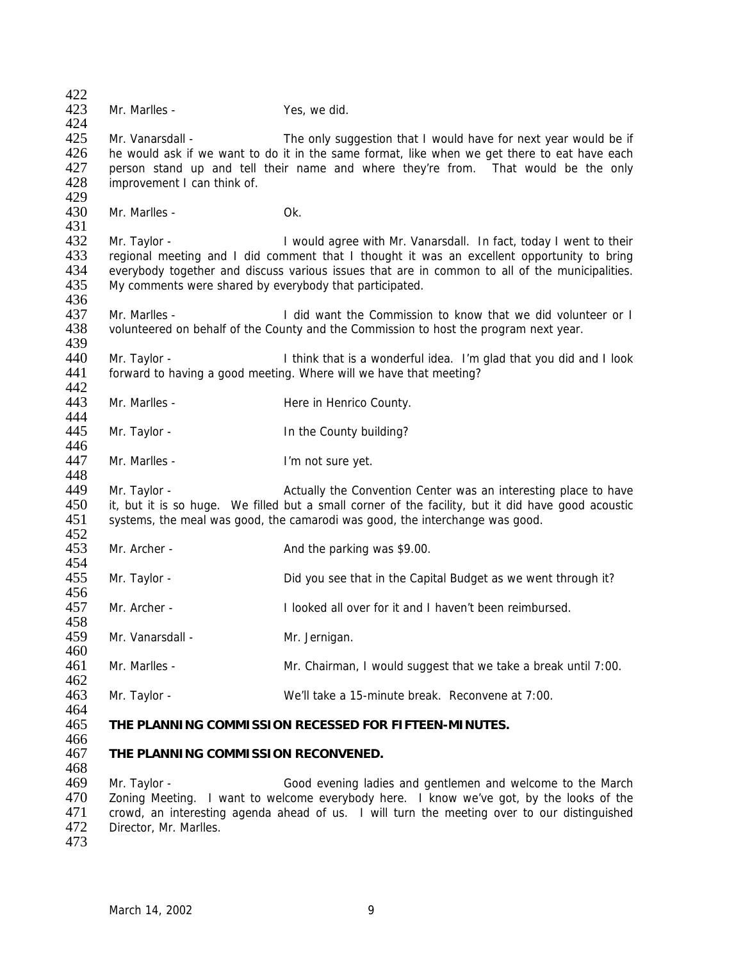| 422<br>423 | Mr. Marlles -                                           | Yes, we did.                                                                                       |
|------------|---------------------------------------------------------|----------------------------------------------------------------------------------------------------|
| 424        |                                                         |                                                                                                    |
| 425        | Mr. Vanarsdall -                                        | The only suggestion that I would have for next year would be if                                    |
| 426        |                                                         | he would ask if we want to do it in the same format, like when we get there to eat have each       |
| 427        |                                                         | person stand up and tell their name and where they're from. That would be the only                 |
| 428        | improvement I can think of.                             |                                                                                                    |
| 429        |                                                         |                                                                                                    |
| 430        | Mr. Marlles -                                           | Ok.                                                                                                |
| 431        |                                                         |                                                                                                    |
| 432        | Mr. Taylor -                                            | I would agree with Mr. Vanarsdall. In fact, today I went to their                                  |
| 433        |                                                         | regional meeting and I did comment that I thought it was an excellent opportunity to bring         |
| 434        |                                                         | everybody together and discuss various issues that are in common to all of the municipalities.     |
| 435        | My comments were shared by everybody that participated. |                                                                                                    |
| 436        |                                                         |                                                                                                    |
| 437        | Mr. Marlles -                                           | I did want the Commission to know that we did volunteer or I                                       |
| 438        |                                                         | volunteered on behalf of the County and the Commission to host the program next year.              |
| 439        |                                                         |                                                                                                    |
| 440        | Mr. Taylor -                                            | I think that is a wonderful idea. I'm glad that you did and I look                                 |
| 441        |                                                         | forward to having a good meeting. Where will we have that meeting?                                 |
| 442        |                                                         |                                                                                                    |
| 443<br>444 | Mr. Marlles -                                           | Here in Henrico County.                                                                            |
| 445        |                                                         | In the County building?                                                                            |
| 446        | Mr. Taylor -                                            |                                                                                                    |
| 447        | Mr. Marlles -                                           | I'm not sure yet.                                                                                  |
| 448        |                                                         |                                                                                                    |
| 449        | Mr. Taylor -                                            | Actually the Convention Center was an interesting place to have                                    |
| 450        |                                                         | it, but it is so huge. We filled but a small corner of the facility, but it did have good acoustic |
| 451        |                                                         | systems, the meal was good, the camarodi was good, the interchange was good.                       |
| 452        |                                                         |                                                                                                    |
| 453        | Mr. Archer -                                            | And the parking was \$9.00.                                                                        |
| 454        |                                                         |                                                                                                    |
| 455        | Mr. Taylor -                                            | Did you see that in the Capital Budget as we went through it?                                      |
| 456        |                                                         |                                                                                                    |
| 457        | Mr. Archer -                                            | I looked all over for it and I haven't been reimbursed.                                            |
| 458        |                                                         |                                                                                                    |
| 459        | Mr. Vanarsdall -                                        | Mr. Jernigan.                                                                                      |
| 460        |                                                         |                                                                                                    |
| 461        | Mr. Marlles -                                           | Mr. Chairman, I would suggest that we take a break until 7:00.                                     |
| 462        |                                                         |                                                                                                    |
| 463        | Mr. Taylor -                                            | We'll take a 15-minute break. Reconvene at 7:00.                                                   |
| 464<br>465 |                                                         |                                                                                                    |
| 466        |                                                         | THE PLANNING COMMISSION RECESSED FOR FIFTEEN-MINUTES.                                              |
| 467        | THE PLANNING COMMISSION RECONVENED.                     |                                                                                                    |
| 468        |                                                         |                                                                                                    |
| 469        | Mr. Taylor -                                            | Good evening ladies and gentlemen and welcome to the March                                         |
| 470        |                                                         | Zoning Meeting. I want to welcome everybody here. I know we've got, by the looks of the            |
| 471        |                                                         | crowd, an interesting agenda ahead of us. I will turn the meeting over to our distinguished        |
| 472        | Director, Mr. Marlles.                                  |                                                                                                    |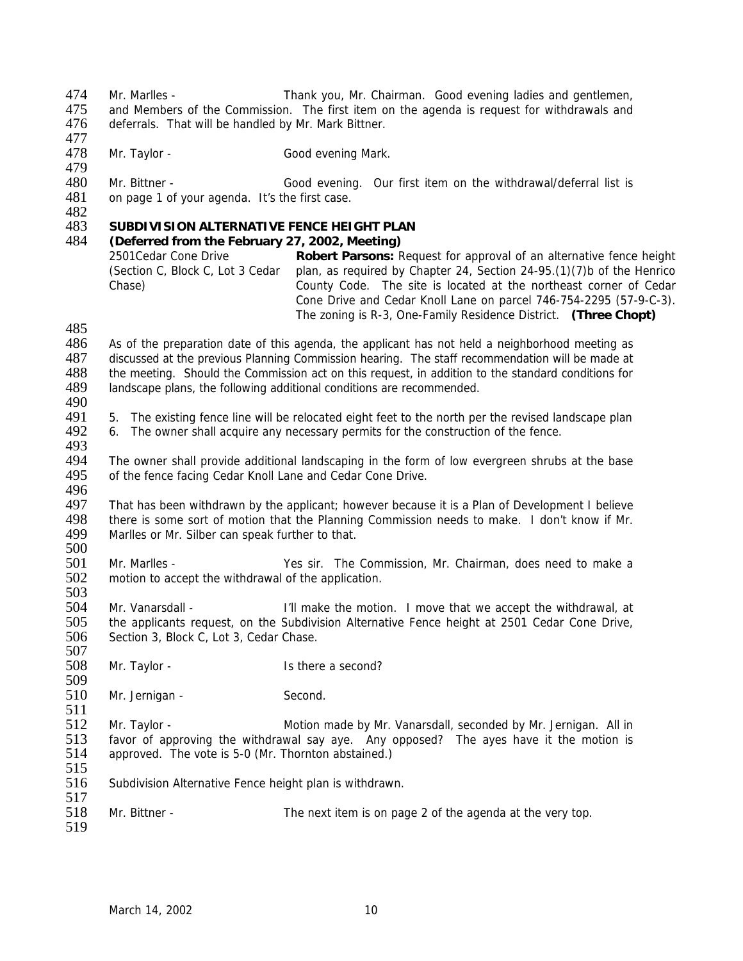An Mr. Marlles - Thank you, Mr. Chairman. Good evening ladies and gentlemen,<br>475 and Members of the Commission The first item on the agenda is request for withdrawals and 475 and Members of the Commission. The first item on the agenda is request for withdrawals and 476 deferrals. That will be handled by Mr. Mark Bittner. deferrals. That will be handled by Mr. Mark Bittner.

- 477<br>478 Mr. Taylor - Good evening Mark.
- 480 Mr. Bittner Good evening. Our first item on the withdrawal/deferral list is 481 on page 1 of your agenda. It's the first case. on page 1 of your agenda. It's the first case.
- 482<br>483

479

## 483 **SUBDIVISION ALTERNATIVE FENCE HEIGHT PLAN**

#### 484 *(Deferred from the February 27, 2002, Meeting)*

2501Cedar Cone Drive (Section C, Block C, Lot 3 Cedar Chase) **Robert Parsons:** Request for approval of an alternative fence height plan, as required by Chapter 24, Section 24-95.(1)(7)b of the Henrico County Code. The site is located at the northeast corner of Cedar Cone Drive and Cedar Knoll Lane on parcel 746-754-2295 (57-9-C-3). The zoning is R-3, One-Family Residence District. **(Three Chopt)**

485

- 486 As of the preparation date of this agenda, the applicant has not held a neighborhood meeting as 487 discussed at the previous Planning Commission hearing. The staff recommendation will be made at 488 the meeting. Should the Commission act on this request, in addition to the standard conditions for 488 the meeting. Should the Commission act on this request, in addition to the standard conditions for 489 landscape plans, the following additional conditions are recommended. landscape plans, the following additional conditions are recommended.
- 490<br>491

491 5. The existing fence line will be relocated eight feet to the north per the revised landscape plan<br>492 6. The owner shall acquire any necessary permits for the construction of the fence.

- 6. The owner shall acquire any necessary permits for the construction of the fence.
- 493<br>494
- The owner shall provide additional landscaping in the form of low evergreen shrubs at the base 495 of the fence facing Cedar Knoll Lane and Cedar Cone Drive. 496

497 That has been withdrawn by the applicant; however because it is a Plan of Development I believe 498 there is some sort of motion that the Planning Commission needs to make. I don't know if Mr.<br>499 Marlles or Mr. Silber can speak further to that. Marlles or Mr. Silber can speak further to that.

 $\frac{500}{501}$ 501 Mr. Marlles - Yes sir. The Commission, Mr. Chairman, does need to make a 502 motion to accept the withdrawal of the application. motion to accept the withdrawal of the application.

503<br>504 Mr. Vanarsdall - The same of the motion. I move that we accept the withdrawal, at 505 the applicants request, on the Subdivision Alternative Fence height at 2501 Cedar Cone Drive, 506 Section 3, Block C, Lot 3, Cedar Chase.

508 Mr. Taylor - Is there a second?

509<br>510 Mr. Jernigan - Second.

 $\frac{511}{512}$ 512 Mr. Taylor - Motion made by Mr. Vanarsdall, seconded by Mr. Jernigan. All in S13 favor of approving the withdrawal say ave. Any opposed? The aves have it the motion is 513 favor of approving the withdrawal say aye. Any opposed? The ayes have it the motion is 514 approved. The vote is 5-0 (Mr. Thornton abstained.) approved. The vote is 5-0 (Mr. Thornton abstained.)

515

517

507

516 Subdivision Alternative Fence height plan is withdrawn.

518 Mr. Bittner - The next item is on page 2 of the agenda at the very top. 519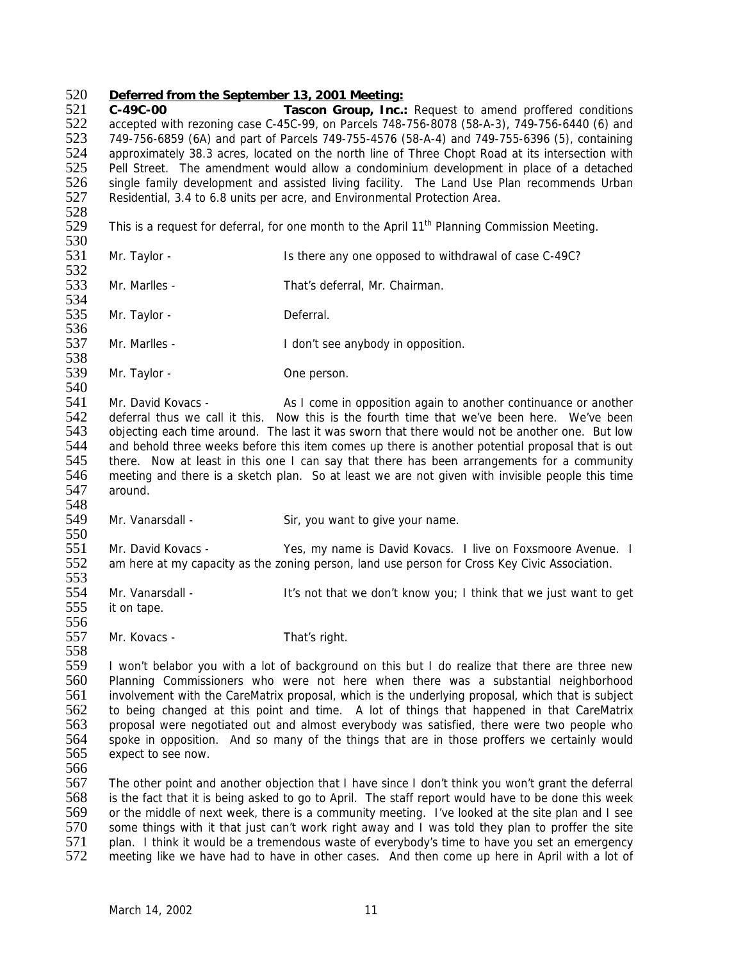### 520 *Deferred from the September 13, 2001 Meeting:*

521 **C-49C-00 Tascon Group, Inc.:** Request to amend proffered conditions 522 accepted with rezoning case C-45C-99, on Parcels 748-756-8078 (58-A-3), 749-756-6440 (6) and 523 749-756-6859 (6A) and part of Parcels 749-755-4576 (58-A-4) and 749-755-6396 (5), containing<br>524 approximately 38.3 acres, located on the north line of Three Chopt Road at its intersection with 524 approximately 38.3 acres, located on the north line of Three Chopt Road at its intersection with 525 Pell Street. The amendment would allow a condominium development in place of a detached Pell Street. The amendment would allow a condominium development in place of a detached 526 single family development and assisted living facility. The Land Use Plan recommends Urban<br>527 Residential, 3.4 to 6.8 units per acre, and Environmental Protection Area. Residential, 3.4 to 6.8 units per acre, and Environmental Protection Area.

- 528 This is a request for deferral, for one month to the April  $11<sup>th</sup>$  Planning Commission Meeting.
- 530<br>531
- Mr. Taylor Is there any one opposed to withdrawal of case C-49C? 532
- 533 Mr. Marlles That's deferral, Mr. Chairman. 534
- 535 Mr. Taylor Deferral. 536
- 537 Mr. Marlles I don't see anybody in opposition.
- 538<br>539 Mr. Taylor - Carrier Come person.

540<br>541 541 Mr. David Kovacs - As I come in opposition again to another continuance or another<br>542 deferral thus we call it this. Now this is the fourth time that we've been here. We've been 542 deferral thus we call it this. Now this is the fourth time that we've been here. We've been 543 objecting each time around. The last it was sworn that there would not be another one. But low objecting each time around. The last it was sworn that there would not be another one. But low 544 and behold three weeks before this item comes up there is another potential proposal that is out<br>545 there. Now at least in this one I can say that there has been arrangements for a community there. Now at least in this one I can say that there has been arrangements for a community 546 meeting and there is a sketch plan. So at least we are not given with invisible people this time 547 around.

549 Mr. Vanarsdall - Sir, you want to give your name.

550<br>551 551 Mr. David Kovacs - Yes, my name is David Kovacs. I live on Foxsmoore Avenue. I<br>552 am here at my capacity as the zoning person, land use person for Cross Key Civic Association. am here at my capacity as the zoning person, land use person for Cross Key Civic Association. 553

554 Mr. Vanarsdall - It's not that we don't know you; I think that we just want to get 555 it on tape. it on tape.

557 Mr. Kovacs - That's right.

559 I won't belabor you with a lot of background on this but I do realize that there are three new<br>560 Planning Commissioners who were not here when there was a substantial neighborhood 560 Planning Commissioners who were not here when there was a substantial neighborhood<br>561 involvement with the CareMatrix proposal, which is the underlying proposal, which that is subject 561 involvement with the CareMatrix proposal, which is the underlying proposal, which that is subject 562 to being changed at this point and time. A lot of things that happened in that CareMatrix 562 to being changed at this point and time. A lot of things that happened in that CareMatrix<br>563 proposal were negotiated out and almost everybody was satisfied, there were two people who 563 proposal were negotiated out and almost everybody was satisfied, there were two people who 564 spoke in opposition. And so many of the things that are in those proffers we certainly would 564 spoke in opposition. And so many of the things that are in those proffers we certainly would 565 expect to see now. expect to see now.

566

548

556

558

567 The other point and another objection that I have since I don't think you won't grant the deferral 568 is the fact that it is being asked to go to April. The staff report would have to be done this week 569 or the middle of next week, there is a community meeting. I've looked at the site plan and I see<br>570 some things with it that just can't work right away and I was told they plan to proffer the site 570 some things with it that just can't work right away and I was told they plan to proffer the site<br>571 plan. I think it would be a tremendous waste of everybody's time to have you set an emergency 571 plan. I think it would be a tremendous waste of everybody's time to have you set an emergency<br>572 meeting like we have had to have in other cases. And then come up here in April with a lot of meeting like we have had to have in other cases. And then come up here in April with a lot of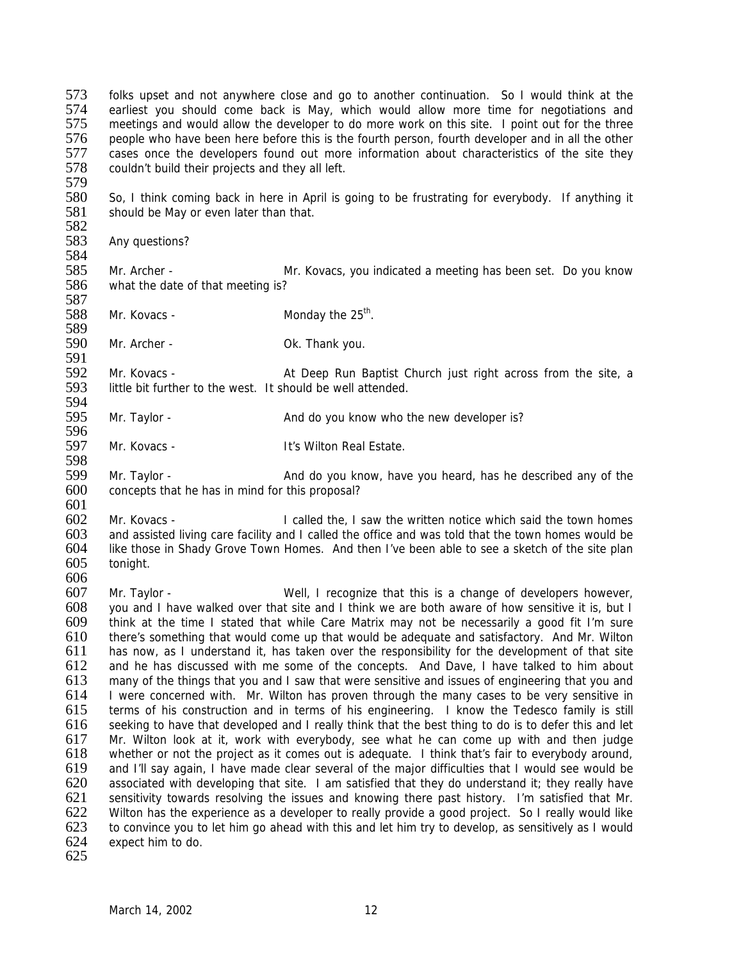573 folks upset and not anywhere close and go to another continuation. So I would think at the 574 earliest vou should come back is May which would allow more time for negotiations and 574 earliest you should come back is May, which would allow more time for negotiations and 575 meetings and would allow the developer to do more work on this site. I point out for the three meetings and would allow the developer to do more work on this site. I point out for the three 576 people who have been here before this is the fourth person, fourth developer and in all the other<br>577 cases once the developers found out more information about characteristics of the site they 577 cases once the developers found out more information about characteristics of the site they<br>578 couldn't build their proiects and they all left. couldn't build their projects and they all left.

579<br>580

580 So, I think coming back in here in April is going to be frustrating for everybody. If anything it 581 should be May or even later than that. should be May or even later than that.

582<br>583 Any questions?

584<br>585 585 Mr. Archer - Mr. Kovacs, you indicated a meeting has been set. Do you know 586 what the date of that meeting is?

587  $588$  Mr. Kovacs - Monday the  $25<sup>th</sup>$ .

589

590 Mr. Archer - Ok. Thank you.

591<br>592 592 Mr. Kovacs - At Deep Run Baptist Church just right across from the site, a<br>593 little bit further to the west. It should be well attended. little bit further to the west. It should be well attended.

- 594<br>595 Mr. Taylor - And do you know who the new developer is? 596
- 597 Mr. Kovacs It's Wilton Real Estate.
- 598<br>599 Mr. Taylor - **And do you know, have you heard, has he described any of the** 600 concepts that he has in mind for this proposal?
- 601

602 Mr. Kovacs - I called the, I saw the written notice which said the town homes<br>603 and assisted living care facility and I called the office and was told that the town homes would be 603 and assisted living care facility and I called the office and was told that the town homes would be 604 like those in Shady Grove Town Homes. And then I've been able to see a sketch of the site plan 604 like those in Shady Grove Town Homes. And then I've been able to see a sketch of the site plan 605 tonight. tonight.

606<br>607

607 Mr. Taylor - Well, I recognize that this is a change of developers however, 608 vou and I have walked over that site and I think we are both aware of how sensitive it is, but I you and I have walked over that site and I think we are both aware of how sensitive it is, but I 609 think at the time I stated that while Care Matrix may not be necessarily a good fit I'm sure 610 there's something that would come up that would be adequate and satisfactory. And Mr. Wilton 611 has now, as I understand it, has taken over the responsibility for the development of that site 612 and he has discussed with me some of the concepts. And Dave, I have talked to him about 613 many of the things that you and I saw that were sensitive and issues of engineering that you and 613 many of the things that you and I saw that were sensitive and issues of engineering that you and 614 I were concerned with. Mr. Wilton has proven through the many cases to be very sensitive in 614 I were concerned with. Mr. Wilton has proven through the many cases to be very sensitive in 615 terms of his construction and in terms of his engineering. I know the Tedesco family is still terms of his construction and in terms of his engineering. I know the Tedesco family is still 616 seeking to have that developed and I really think that the best thing to do is to defer this and let 617 Mr. Wilton look at it, work with everybody, see what he can come up with and then judge 618 whether or not the project as it comes out is adequate. I think that's fair to everybody around. 618 whether or not the project as it comes out is adequate. I think that's fair to everybody around,<br>619 and I'll say again, I have made clear several of the major difficulties that I would see would be and I'll say again, I have made clear several of the major difficulties that I would see would be 620 associated with developing that site. I am satisfied that they do understand it; they really have 621 sensitivity towards resolving the issues and knowing there past history. I'm satisfied that Mr. 622 Wilton has the experience as a developer to really provide a good project. So I really would like<br>623 to convince vou to let him go ahead with this and let him try to develop, as sensitively as I would 623 to convince you to let him go ahead with this and let him try to develop, as sensitively as I would expect him to do.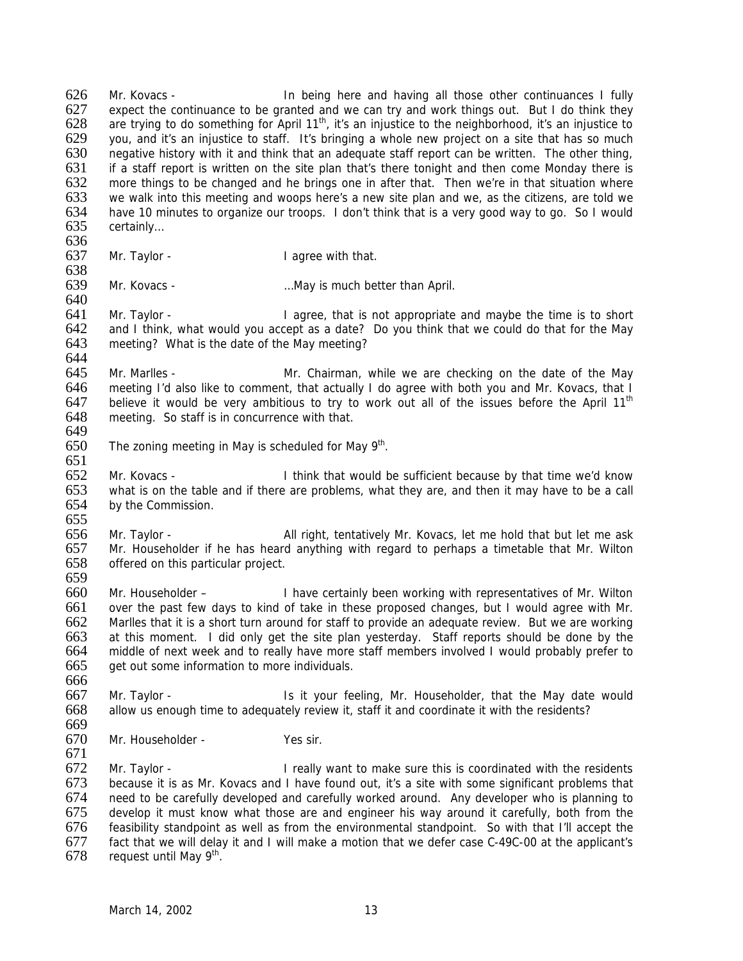626 Mr. Kovacs - In being here and having all those other continuances I fully<br>627 expect the continuance to be granted and we can try and work things out. But I do think they 627 expect the continuance to be granted and we can try and work things out. But I do think they 628 are trying to do something for April 11<sup>th</sup>, it's an injustice to the neighborhood, it's an injustice to are trying to do something for April 11<sup>th</sup>, it's an injustice to the neighborhood, it's an injustice to 629 you, and it's an injustice to staff. It's bringing a whole new project on a site that has so much<br>630 negative history with it and think that an adeguate staff report can be written. The other thing, negative history with it and think that an adequate staff report can be written. The other thing, 631 if a staff report is written on the site plan that's there tonight and then come Monday there is 632 more things to be changed and he brings one in after that. Then we're in that situation where 633 we walk into this meeting and woops here's a new site plan and we, as the citizens, are told we we walk into this meeting and woops here's a new site plan and we, as the citizens, are told we 634 have 10 minutes to organize our troops. I don't think that is a very good way to go. So I would 635 certainly... certainly... 636<br>637

Mr. Taylor - **I** agree with that. 638

639 Mr. Kovacs - …May is much better than April. 640

641 Mr. Taylor - I agree, that is not appropriate and maybe the time is to short 642 and I think, what would you accept as a date? Do you think that we could do that for the May and I think, what would you accept as a date? Do you think that we could do that for the May 643 meeting? What is the date of the May meeting?

644<br>645 645 Mr. Marlles - Mr. Chairman, while we are checking on the date of the May<br>646 meeting I'd also like to comment, that actually I do agree with both you and Mr. Kovacs, that I 646 meeting I'd also like to comment, that actually I do agree with both you and Mr. Kovacs, that I<br>647 believe it would be very ambitious to try to work out all of the issues before the April 11<sup>th</sup> 647 believe it would be very ambitious to try to work out all of the issues before the April 11<sup>th</sup> 648 meeting. So staff is in concurrence with that. meeting. So staff is in concurrence with that. 649

- $650$  The zoning meeting in May is scheduled for May  $9<sup>th</sup>$ .
- 652 Mr. Kovacs I think that would be sufficient because by that time we'd know 653 what is on the table and if there are problems, what they are, and then it may have to be a call 654 by the Commission.

655<br>656 656 Mr. Taylor - All right, tentatively Mr. Kovacs, let me hold that but let me ask<br>657 Mr. Householder if he has heard anything with regard to perhaps a timetable that Mr. Wilton 657 Mr. Householder if he has heard anything with regard to perhaps a timetable that Mr. Wilton 658 offered on this particular project. offered on this particular project. 659

 Mr. Householder – I have certainly been working with representatives of Mr. Wilton over the past few days to kind of take in these proposed changes, but I would agree with Mr. Marlles that it is a short turn around for staff to provide an adequate review. But we are working at this moment. I did only get the site plan yesterday. Staff reports should be done by the middle of next week and to really have more staff members involved I would probably prefer to get out some information to more individuals.

666<br>667 667 Mr. Taylor - Is it your feeling, Mr. Householder, that the May date would 668 allow us enough time to adequately review it. staff it and coordinate it with the residents? allow us enough time to adequately review it, staff it and coordinate it with the residents?

669<br>670

651

Mr. Householder - Yes sir.

671 Mr. Taylor - **I** really want to make sure this is coordinated with the residents 673 because it is as Mr. Kovacs and I have found out, it's a site with some significant problems that 674 need to be carefully developed and carefully worked around. Any developer who is planning to 675 develop it must know what those are and engineer his way around it carefully, both from the 676 feasibility standpoint as well as from the environmental standpoint. So with that I'll accept the 676 feasibility standpoint as well as from the environmental standpoint. So with that I'll accept the 677 fact that we will delay it and I will make a motion that we defer case C-49C-00 at the applicant's 678 request until May 9<sup>th</sup>. request until May  $9<sup>th</sup>$ .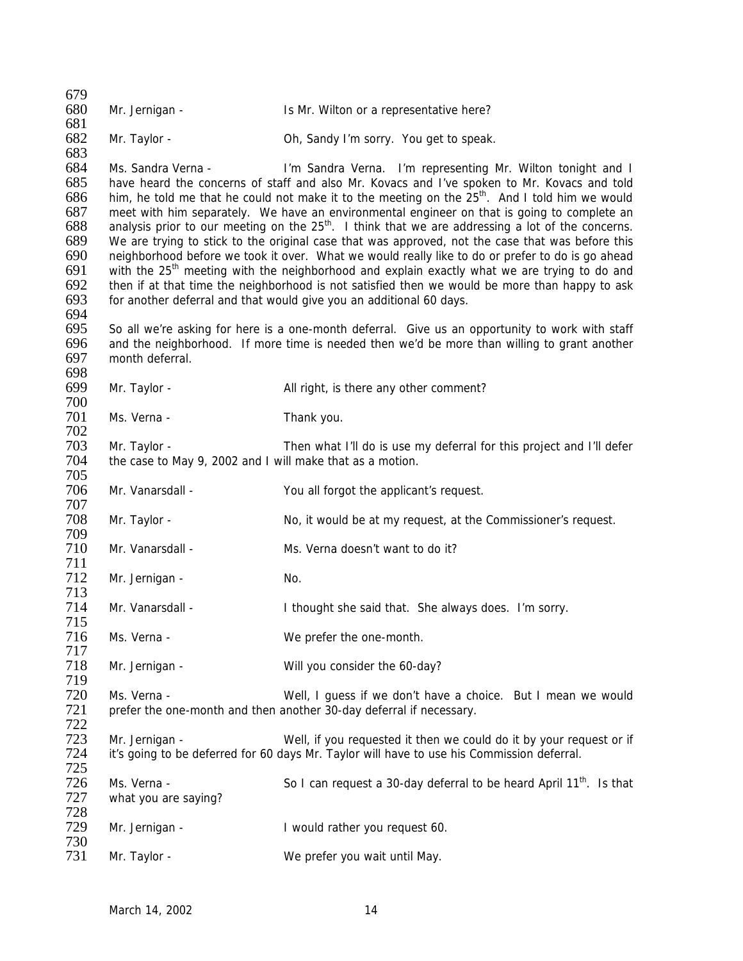| 679        |                                                           |                                                                                                               |
|------------|-----------------------------------------------------------|---------------------------------------------------------------------------------------------------------------|
| 680        | Mr. Jernigan -                                            | Is Mr. Wilton or a representative here?                                                                       |
| 681        |                                                           |                                                                                                               |
| 682        | Mr. Taylor -                                              | Oh, Sandy I'm sorry. You get to speak.                                                                        |
| 683        |                                                           |                                                                                                               |
| 684        | Ms. Sandra Verna -                                        | I'm Sandra Verna. I'm representing Mr. Wilton tonight and I                                                   |
| 685        |                                                           | have heard the concerns of staff and also Mr. Kovacs and I've spoken to Mr. Kovacs and told                   |
| 686        |                                                           | him, he told me that he could not make it to the meeting on the 25 <sup>th</sup> . And I told him we would    |
| 687        |                                                           | meet with him separately. We have an environmental engineer on that is going to complete an                   |
| 688        |                                                           | analysis prior to our meeting on the 25 <sup>th</sup> . I think that we are addressing a lot of the concerns. |
| 689        |                                                           | We are trying to stick to the original case that was approved, not the case that was before this              |
| 690        |                                                           | neighborhood before we took it over. What we would really like to do or prefer to do is go ahead              |
| 691        |                                                           | with the 25 <sup>th</sup> meeting with the neighborhood and explain exactly what we are trying to do and      |
| 692        |                                                           | then if at that time the neighborhood is not satisfied then we would be more than happy to ask                |
| 693        |                                                           | for another deferral and that would give you an additional 60 days.                                           |
| 694        |                                                           |                                                                                                               |
| 695        |                                                           | So all we're asking for here is a one-month deferral. Give us an opportunity to work with staff               |
| 696        |                                                           | and the neighborhood. If more time is needed then we'd be more than willing to grant another                  |
| 697        | month deferral.                                           |                                                                                                               |
| 698        |                                                           |                                                                                                               |
| 699        | Mr. Taylor -                                              | All right, is there any other comment?                                                                        |
| 700        |                                                           |                                                                                                               |
| 701        | Ms. Verna -                                               | Thank you.                                                                                                    |
| 702        |                                                           |                                                                                                               |
| 703        | Mr. Taylor -                                              | Then what I'll do is use my deferral for this project and I'll defer                                          |
| 704        | the case to May 9, 2002 and I will make that as a motion. |                                                                                                               |
| 705        |                                                           |                                                                                                               |
| 706        | Mr. Vanarsdall -                                          | You all forgot the applicant's request.                                                                       |
| 707        |                                                           |                                                                                                               |
| 708        | Mr. Taylor -                                              | No, it would be at my request, at the Commissioner's request.                                                 |
| 709        |                                                           |                                                                                                               |
| 710        | Mr. Vanarsdall -                                          | Ms. Verna doesn't want to do it?                                                                              |
| 711        |                                                           |                                                                                                               |
| 712        | Mr. Jernigan -                                            | No.                                                                                                           |
| 713        |                                                           |                                                                                                               |
| 714        | Mr. Vanarsdall -                                          | I thought she said that. She always does. I'm sorry.                                                          |
| 715        |                                                           |                                                                                                               |
| 716<br>717 | Ms. Verna -                                               | We prefer the one-month.                                                                                      |
| 718        | Mr. Jernigan -                                            | Will you consider the 60-day?                                                                                 |
| 719        |                                                           |                                                                                                               |
| 720        | Ms. Verna -                                               | Well, I guess if we don't have a choice. But I mean we would                                                  |
| 721        |                                                           | prefer the one-month and then another 30-day deferral if necessary.                                           |
| 722        |                                                           |                                                                                                               |
| 723        | Mr. Jernigan -                                            | Well, if you requested it then we could do it by your request or if                                           |
| 724        |                                                           | it's going to be deferred for 60 days Mr. Taylor will have to use his Commission deferral.                    |
| 725        |                                                           |                                                                                                               |
| 726        | Ms. Verna -                                               | So I can request a 30-day deferral to be heard April 11 <sup>th</sup> . Is that                               |
| 727        | what you are saying?                                      |                                                                                                               |
| 728        |                                                           |                                                                                                               |
| 729        | Mr. Jernigan -                                            | I would rather you request 60.                                                                                |
| 730        |                                                           |                                                                                                               |
| 731        | Mr. Taylor -                                              | We prefer you wait until May.                                                                                 |
|            |                                                           |                                                                                                               |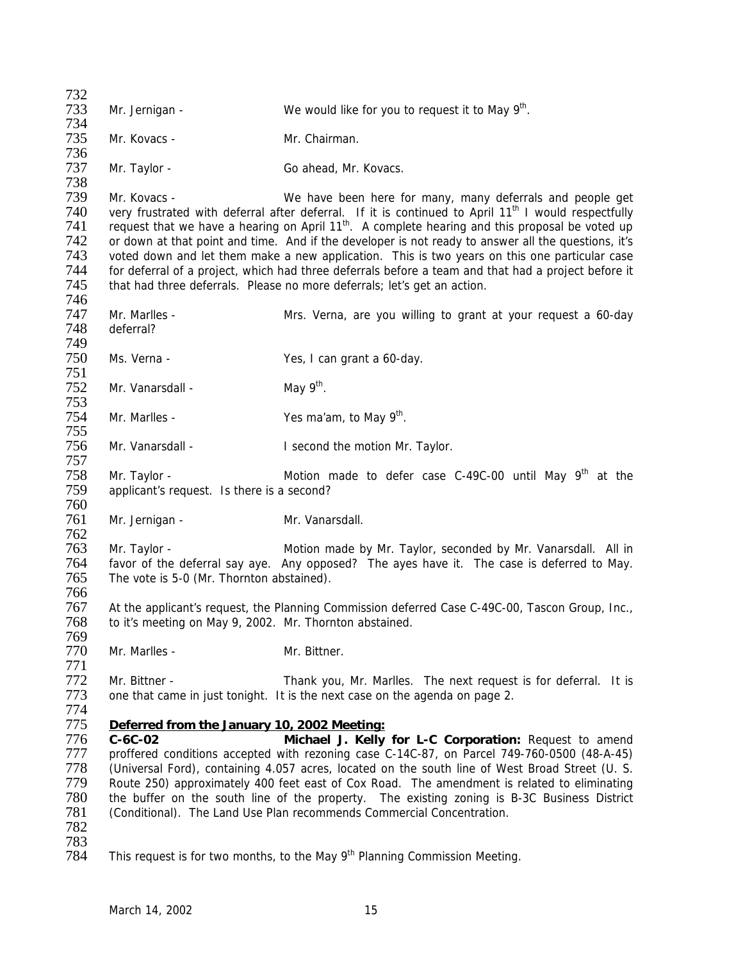| 732        |                                                          |                                                                                                                 |
|------------|----------------------------------------------------------|-----------------------------------------------------------------------------------------------------------------|
| 733        | Mr. Jernigan -                                           | We would like for you to request it to May 9 <sup>th</sup> .                                                    |
| 734        |                                                          |                                                                                                                 |
| 735        | Mr. Kovacs -                                             | Mr. Chairman.                                                                                                   |
| 736        |                                                          |                                                                                                                 |
| 737        | Mr. Taylor -                                             | Go ahead, Mr. Kovacs.                                                                                           |
| 738        |                                                          |                                                                                                                 |
| 739        | Mr. Kovacs -                                             | We have been here for many, many deferrals and people get                                                       |
| 740        |                                                          | very frustrated with deferral after deferral. If it is continued to April 11 <sup>th</sup> I would respectfully |
| 741        |                                                          | request that we have a hearing on April 11 <sup>th</sup> . A complete hearing and this proposal be voted up     |
| 742        |                                                          | or down at that point and time. And if the developer is not ready to answer all the questions, it's             |
| 743        |                                                          | voted down and let them make a new application. This is two years on this one particular case                   |
| 744        |                                                          | for deferral of a project, which had three deferrals before a team and that had a project before it             |
| 745        |                                                          | that had three deferrals. Please no more deferrals; let's get an action.                                        |
| 746        |                                                          |                                                                                                                 |
| 747        | Mr. Marlles -                                            | Mrs. Verna, are you willing to grant at your request a 60-day                                                   |
| 748        | deferral?                                                |                                                                                                                 |
| 749<br>750 |                                                          |                                                                                                                 |
| 751        | Ms. Verna -                                              | Yes, I can grant a 60-day.                                                                                      |
| 752        | Mr. Vanarsdall -                                         | May $9th$ .                                                                                                     |
| 753        |                                                          |                                                                                                                 |
| 754        | Mr. Marlles -                                            | Yes ma'am, to May 9 <sup>th</sup> .                                                                             |
| 755        |                                                          |                                                                                                                 |
| 756        | Mr. Vanarsdall -                                         | I second the motion Mr. Taylor.                                                                                 |
| 757        |                                                          |                                                                                                                 |
| 758        | Mr. Taylor -                                             | Motion made to defer case C-49C-00 until May 9 <sup>th</sup> at the                                             |
| 759        | applicant's request. Is there is a second?               |                                                                                                                 |
| 760        |                                                          |                                                                                                                 |
| 761        | Mr. Jernigan -                                           | Mr. Vanarsdall.                                                                                                 |
| 762        |                                                          |                                                                                                                 |
| 763        | Mr. Taylor -                                             | Motion made by Mr. Taylor, seconded by Mr. Vanarsdall. All in                                                   |
| 764        |                                                          | favor of the deferral say aye. Any opposed? The ayes have it. The case is deferred to May.                      |
| 765        | The vote is 5-0 (Mr. Thornton abstained).                |                                                                                                                 |
| 766        |                                                          |                                                                                                                 |
| 767        |                                                          | At the applicant's request, the Planning Commission deferred Case C-49C-00, Tascon Group, Inc.,                 |
| 768        | to it's meeting on May 9, 2002. Mr. Thornton abstained.  |                                                                                                                 |
| 769        |                                                          |                                                                                                                 |
| 770        | Mr. Marlles -                                            | Mr. Bittner.                                                                                                    |
| 771        |                                                          |                                                                                                                 |
| 772        | Mr. Bittner -                                            | Thank you, Mr. Marlles. The next request is for deferral. It is                                                 |
| 773        |                                                          | one that came in just tonight. It is the next case on the agenda on page 2.                                     |
| 774<br>775 |                                                          |                                                                                                                 |
| 776        | Deferred from the January 10, 2002 Meeting:<br>$C-6C-02$ | Michael J. Kelly for L-C Corporation: Request to amend                                                          |
| 777        |                                                          | proffered conditions accepted with rezoning case C-14C-87, on Parcel 749-760-0500 (48-A-45)                     |
| 778        |                                                          | (Universal Ford), containing 4.057 acres, located on the south line of West Broad Street (U. S.                 |
| 779        |                                                          | Route 250) approximately 400 feet east of Cox Road. The amendment is related to eliminating                     |
| 780        |                                                          | the buffer on the south line of the property. The existing zoning is B-3C Business District                     |
| 781        |                                                          | (Conditional). The Land Use Plan recommends Commercial Concentration.                                           |
| 782        |                                                          |                                                                                                                 |
| 783        |                                                          |                                                                                                                 |
| 784        |                                                          | This request is for two months, to the May $9th$ Planning Commission Meeting.                                   |
|            |                                                          |                                                                                                                 |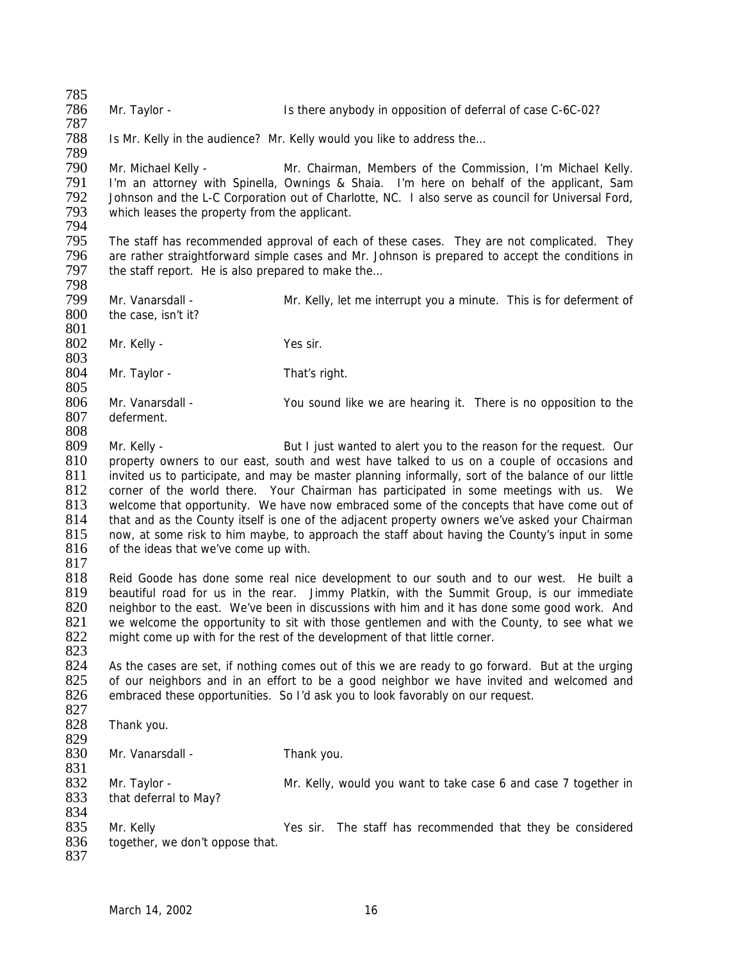785<br>786 Mr. Taylor - The Is there anybody in opposition of deferral of case C-6C-02?

788 Is Mr. Kelly in the audience? Mr. Kelly would you like to address the…

789 Mr. Michael Kelly - Mr. Chairman, Members of the Commission, I'm Michael Kelly. 791 I'm an attorney with Spinella, Ownings & Shaia. I'm here on behalf of the applicant, Sam<br>792 Johnson and the L-C Corporation out of Charlotte. NC. I also serve as council for Universal Ford. 792 Johnson and the L-C Corporation out of Charlotte, NC. I also serve as council for Universal Ford,<br>793 which leases the property from the applicant. which leases the property from the applicant.

794 795 The staff has recommended approval of each of these cases. They are not complicated. They<br>796 are rather straightforward simple cases and Mr. Johnson is prepared to accept the conditions in 796 are rather straightforward simple cases and Mr. Johnson is prepared to accept the conditions in 797 the staff report. He is also prepared to make the... the staff report. He is also prepared to make the...

798 799 Mr. Vanarsdall - Mr. Kelly, let me interrupt you a minute. This is for deferment of 700 the case, isn't it? the case, isn't it? 801

802 Mr. Kelly - Yes sir.

 $\frac{803}{804}$ Mr. Taylor - That's right.

805<br>806 806 Mr. Vanarsdall - You sound like we are hearing it. There is no opposition to the 807 deferment deferment

- 809 Mr. Kelly But I just wanted to alert you to the reason for the request. Our 810 property owners to our east, south and west have talked to us on a couple of occasions and 811 invited us to participate, and may be master planning informally, sort of the balance of our little 812 corner of the world there. Your Chairman has participated in some meetings with us. We 813 welcome that opportunity. We have now embraced some of the concepts that have come out of 814 that and as the County itself is one of the adjacent property owners we've asked your Chairman 815 now, at some risk to him maybe, to approach the staff about having the County's input in some 815 now, at some risk to him maybe, to approach the staff about having the County's input in some 816 of the ideas that we've come up with. of the ideas that we've come up with.
- $\frac{817}{818}$

837

808

787

Reid Goode has done some real nice development to our south and to our west. He built a 819 beautiful road for us in the rear. Jimmy Platkin, with the Summit Group, is our immediate 820 neighbor to the east. We've been in discussions with him and it has done some good work. And neighbor to the east. We've been in discussions with him and it has done some good work. And 821 we welcome the opportunity to sit with those gentlemen and with the County, to see what we<br>822 might come up with for the rest of the development of that little corner. might come up with for the rest of the development of that little corner. 823

824 As the cases are set, if nothing comes out of this we are ready to go forward. But at the urging 825 of our neighbors and in an effort to be a good neighbor we have invited and welcomed and 825 of our neighbors and in an effort to be a good neighbor we have invited and welcomed and 826 embraced these opportunities. So I'd ask vou to look favorably on our request. embraced these opportunities. So I'd ask you to look favorably on our request.

- 827<br>828 Thank you. 829<br>830 Mr. Vanarsdall - Thank you. 831 832 Mr. Taylor - Mr. Kelly, would you want to take case 6 and case 7 together in 833 that deferral to May? 834<br>835
- 835 Mr. Kelly Yes sir. The staff has recommended that they be considered 836 together, we don't oppose that. together, we don't oppose that.
	- March 14, 2002 16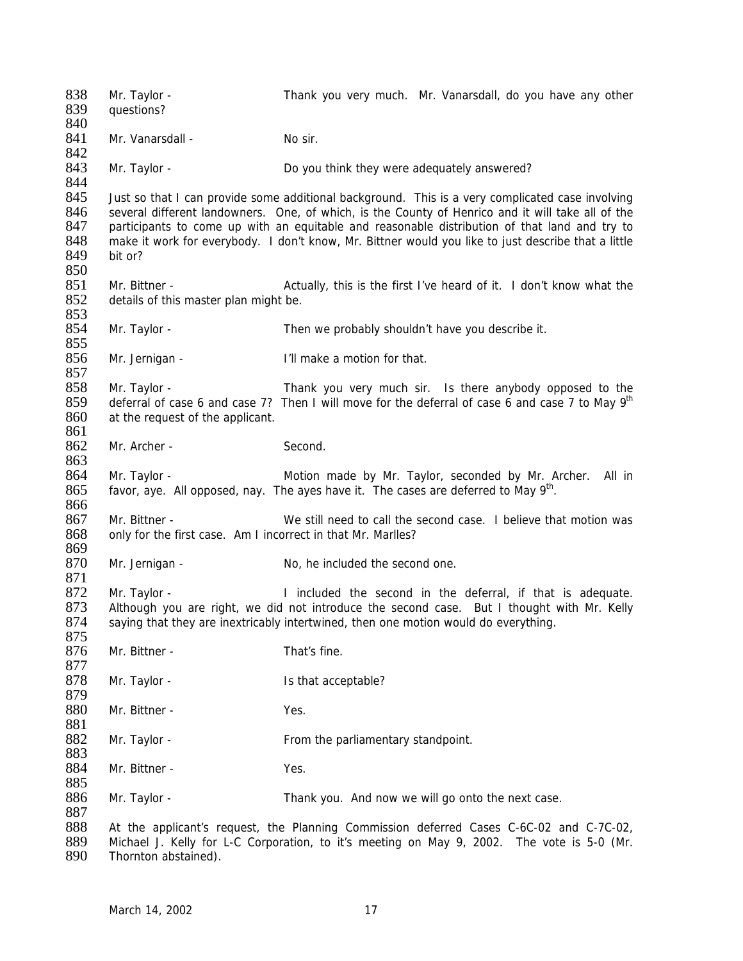838 Mr. Taylor - Thank you very much. Mr. Vanarsdall, do you have any other R39 auestions? questions? 840 841 Mr. Vanarsdall - No sir. 842 843 Mr. Taylor - **Do you think they were adequately answered?** 844<br>845 Just so that I can provide some additional background. This is a very complicated case involving 846 several different landowners. One, of which, is the County of Henrico and it will take all of the 847 participants to come up with an equitable and reasonable distribution of that land and try to 847 participants to come up with an equitable and reasonable distribution of that land and try to 848 make it work for everybody. I don't know, Mr. Bittner would you like to just describe that a little 848 make it work for everybody. I don't know, Mr. Bittner would you like to just describe that a little 849 bit or? bit or? 850 851 Mr. Bittner - **Actually**, this is the first I've heard of it. I don't know what the 852 details of this master plan might be. details of this master plan might be. 853 854 Mr. Taylor - Then we probably shouldn't have you describe it. 855<br>856 Mr. Jernigan - T'll make a motion for that. 857<br>858 858 Mr. Taylor - Thank you very much sir. Is there anybody opposed to the 859 deferral of case 6 and case 7 to May  $9<sup>th</sup>$ deferral of case 6 and case 7? Then I will move for the deferral of case 6 and case 7 to May  $9<sup>th</sup>$ 860 at the request of the applicant. 861 862 Mr. Archer - Second. 863 864 Mr. Taylor - Motion made by Mr. Taylor, seconded by Mr. Archer. All in  $f$  favor, aye. All opposed, nay. The ayes have it. The cases are deferred to May  $9<sup>th</sup>$ . 866 867 Mr. Bittner - We still need to call the second case. I believe that motion was 868 only for the first case. Am I incorrect in that Mr. Marlles? only for the first case. Am I incorrect in that Mr. Marlles? 869<br>870 Mr. Jernigan - No. he included the second one. 871 Mr. Taylor - **I** included the second in the deferral, if that is adequate.<br>873 Although you are right, we did not introduce the second case. But I thought with Mr. Kelly Although you are right, we did not introduce the second case. But I thought with Mr. Kelly 874 saying that they are inextricably intertwined, then one motion would do everything. 875 876 Mr. Bittner - That's fine. 877<br>878 Mr. Taylor - Is that acceptable? 879<br>880 Mr. Bittner - Yes. 881 882 Mr. Taylor - From the parliamentary standpoint. 883<br>884 Mr. Bittner - Yes. 885 886 Mr. Taylor - Thank you. And now we will go onto the next case. 887 888 At the applicant's request, the Planning Commission deferred Cases C-6C-02 and C-7C-02, 889 Michael J. Kelly for L-C Corporation, to it's meeting on May 9, 2002. The vote is 5-0 (Mr. 890) Thornton abstained). Thornton abstained).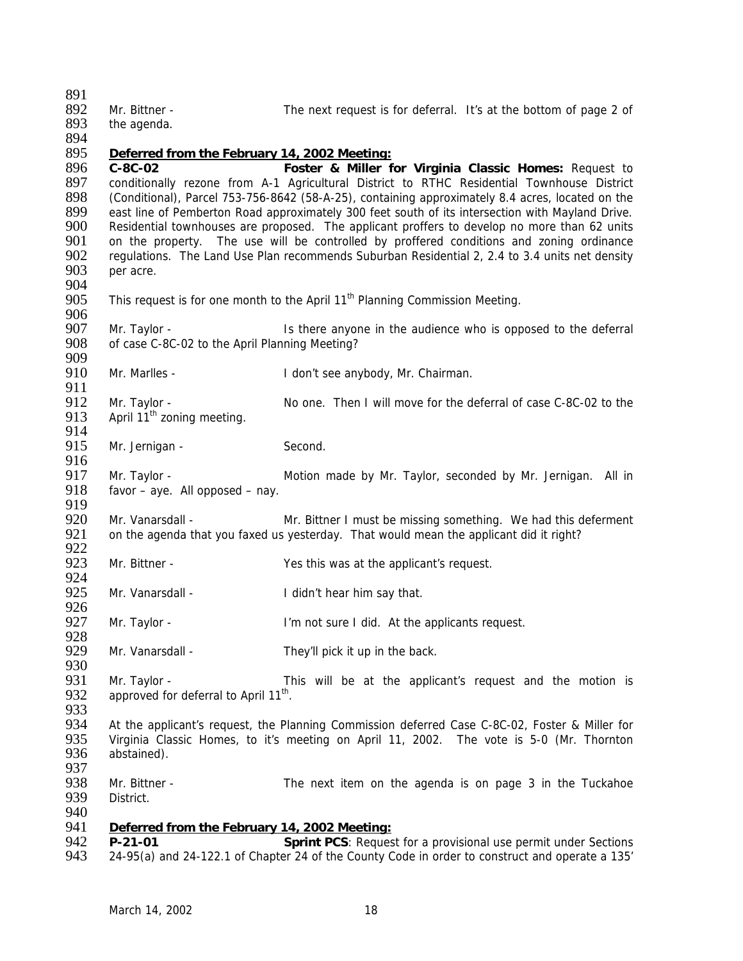| 891<br>892<br>893<br>894 | Mr. Bittner -<br>the agenda.                      | The next request is for deferral. It's at the bottom of page 2 of                                |
|--------------------------|---------------------------------------------------|--------------------------------------------------------------------------------------------------|
| 895                      | Deferred from the February 14, 2002 Meeting:      |                                                                                                  |
| 896                      |                                                   |                                                                                                  |
|                          | $C-8C-02$                                         | Foster & Miller for Virginia Classic Homes: Request to                                           |
| 897                      |                                                   | conditionally rezone from A-1 Agricultural District to RTHC Residential Townhouse District       |
| 898                      |                                                   | (Conditional), Parcel 753-756-8642 (58-A-25), containing approximately 8.4 acres, located on the |
| 899                      |                                                   | east line of Pemberton Road approximately 300 feet south of its intersection with Mayland Drive. |
| 900                      |                                                   | Residential townhouses are proposed. The applicant proffers to develop no more than 62 units     |
| 901                      |                                                   | on the property. The use will be controlled by proffered conditions and zoning ordinance         |
| 902                      |                                                   | regulations. The Land Use Plan recommends Suburban Residential 2, 2.4 to 3.4 units net density   |
| 903                      | per acre.                                         |                                                                                                  |
| 904                      |                                                   |                                                                                                  |
| 905                      |                                                   | This request is for one month to the April 11 <sup>th</sup> Planning Commission Meeting.         |
| 906                      |                                                   |                                                                                                  |
| 907                      | Mr. Taylor -                                      | Is there anyone in the audience who is opposed to the deferral                                   |
| 908                      | of case C-8C-02 to the April Planning Meeting?    |                                                                                                  |
| 909                      |                                                   |                                                                                                  |
| 910                      | Mr. Marlles -                                     | I don't see anybody, Mr. Chairman.                                                               |
| 911                      |                                                   |                                                                                                  |
| 912                      | Mr. Taylor -                                      | No one. Then I will move for the deferral of case C-8C-02 to the                                 |
| 913                      | April 11 <sup>th</sup> zoning meeting.            |                                                                                                  |
| 914                      |                                                   |                                                                                                  |
| 915                      | Mr. Jernigan -                                    | Second.                                                                                          |
| 916                      |                                                   |                                                                                                  |
| 917                      | Mr. Taylor -                                      | Motion made by Mr. Taylor, seconded by Mr. Jernigan. All in                                      |
| 918                      | favor - aye. All opposed - nay.                   |                                                                                                  |
| 919                      |                                                   |                                                                                                  |
| 920                      | Mr. Vanarsdall -                                  | Mr. Bittner I must be missing something. We had this deferment                                   |
| 921                      |                                                   | on the agenda that you faxed us yesterday. That would mean the applicant did it right?           |
| 922                      |                                                   |                                                                                                  |
| 923                      | Mr. Bittner -                                     | Yes this was at the applicant's request.                                                         |
| 924                      |                                                   |                                                                                                  |
| 925                      | Mr. Vanarsdall -                                  | I didn't hear him say that.                                                                      |
| 926                      |                                                   |                                                                                                  |
| 927                      | Mr. Taylor -                                      | I'm not sure I did. At the applicants request.                                                   |
| 928                      |                                                   |                                                                                                  |
| 929                      | Mr. Vanarsdall -                                  | They'll pick it up in the back.                                                                  |
| 930                      |                                                   |                                                                                                  |
| 931                      | Mr. Taylor -                                      | This will be at the applicant's request and the motion is                                        |
| 932                      | approved for deferral to April 11 <sup>th</sup> . |                                                                                                  |
| 933                      |                                                   |                                                                                                  |
| 934                      |                                                   | At the applicant's request, the Planning Commission deferred Case C-8C-02, Foster & Miller for   |
| 935                      |                                                   | Virginia Classic Homes, to it's meeting on April 11, 2002. The vote is 5-0 (Mr. Thornton         |
| 936                      | abstained).                                       |                                                                                                  |
| 937                      |                                                   |                                                                                                  |
| 938                      | Mr. Bittner -                                     | The next item on the agenda is on page 3 in the Tuckahoe                                         |
| 939                      | District.                                         |                                                                                                  |
| 940                      |                                                   |                                                                                                  |
| 941                      | Deferred from the February 14, 2002 Meeting:      |                                                                                                  |
| 942                      | $P-21-01$                                         | Sprint PCS: Request for a provisional use permit under Sections                                  |
| 943                      |                                                   | 24-95(a) and 24-122.1 of Chapter 24 of the County Code in order to construct and operate a 135'  |
|                          |                                                   |                                                                                                  |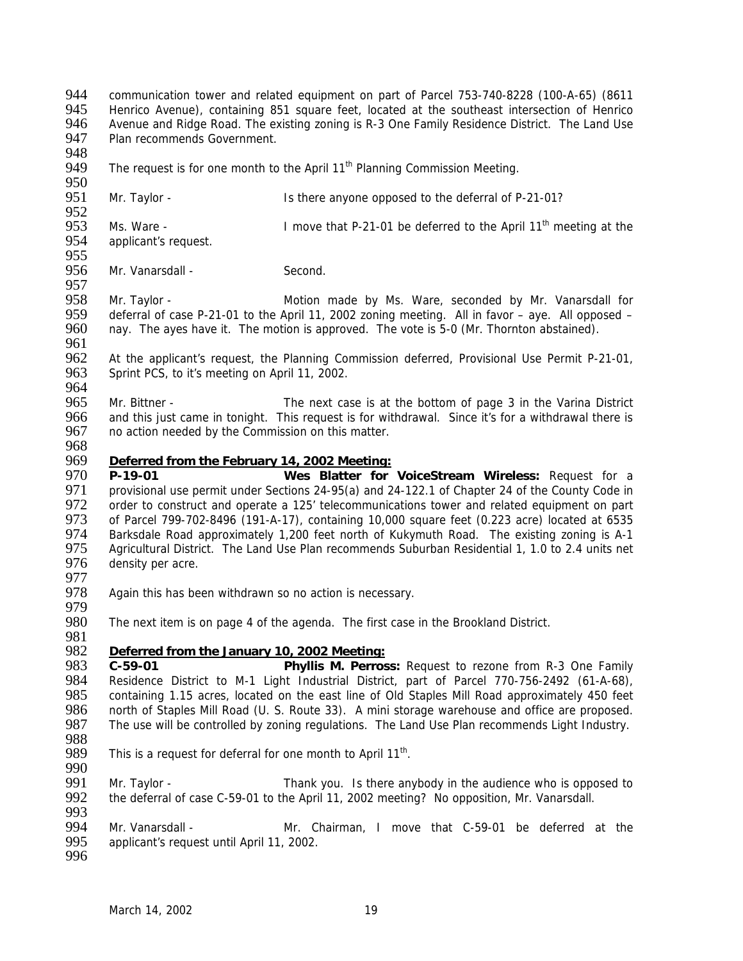948<br>949 The request is for one month to the April  $11<sup>th</sup>$  Planning Commission Meeting. 950<br>951 Mr. Taylor - Is there anyone opposed to the deferral of P-21-01? 952<br>953 953 Ms. Ware - I move that P-21-01 be deferred to the April 11<sup>th</sup> meeting at the 954 applicant's request. applicant's request. 955<br>956 Mr. Vanarsdall - Second. 957<br>958 Mr. Taylor - The Motion made by Ms. Ware, seconded by Mr. Vanarsdall for 959 deferral of case P-21-01 to the April 11, 2002 zoning meeting. All in favor – aye. All opposed – 960 nay. The ayes have it. The motion is approved. The vote is 5-0 (Mr. Thornton abstained). 961<br>962 962 At the applicant's request, the Planning Commission deferred, Provisional Use Permit P-21-01, 963 Sprint PCS, to it's meeting on April 11, 2002. Sprint PCS, to it's meeting on April 11, 2002. 964<br>965 965 Mr. Bittner - The next case is at the bottom of page 3 in the Varina District<br>966 and this just came in tonight. This request is for withdrawal. Since it's for a withdrawal there is 966 and this just came in tonight. This request is for withdrawal. Since it's for a withdrawal there is 967 no action needed by the Commission on this matter. no action needed by the Commission on this matter. 968<br>969 969 *Deferred from the February 14, 2002 Meeting:* 970 **P-19-01 Wes Blatter for VoiceStream Wireless:** Request for a 971 provisional use permit under Sections 24-95(a) and 24-122.1 of Chapter 24 of the County Code in 972 order to construct and operate a 125' telecommunications tower and related equipment on part 973 of Parcel 799-702-8496 (191-A-17), containing 10,000 square feet (0.223 acre) located at 6535<br>974 Barksdale Road approximately 1,200 feet north of Kukymuth Road. The existing zoning is A-1 974 Barksdale Road approximately 1,200 feet north of Kukymuth Road. The existing zoning is A-1<br>975 Agricultural District. The Land Use Plan recommends Suburban Residential 1, 1.0 to 2.4 units net 975 Agricultural District. The Land Use Plan recommends Suburban Residential 1, 1.0 to 2.4 units net 976 density per acre. density per acre. 977<br>978 Again this has been withdrawn so no action is necessary. 979<br>980 The next item is on page 4 of the agenda. The first case in the Brookland District. 981 982 *Deferred from the January 10, 2002 Meeting:* 983 **C-59-01 Phyllis M. Perross:** Request to rezone from R-3 One Family 984 Residence District to M-1 Light Industrial District, part of Parcel 770-756-2492 (61-A-68),<br>985 containing 1.15 acres, located on the east line of Old Staples Mill Road approximately 450 feet 985 containing 1.15 acres, located on the east line of Old Staples Mill Road approximately 450 feet 986 north of Staples Mill Road (U. S. Route 33). A mini storage warehouse and office are proposed.

944 communication tower and related equipment on part of Parcel 753-740-8228 (100-A-65) (8611<br>945 Henrico Avenue), containing 851 square feet, located at the southeast intersection of Henrico 945 Henrico Avenue), containing 851 square feet, located at the southeast intersection of Henrico<br>946 Avenue and Ridge Road. The existing zoning is R-3 One Family Residence District. The Land Use Avenue and Ridge Road. The existing zoning is R-3 One Family Residence District. The Land Use

- 986 north of Staples Mill Road (U. S. Route 33). A mini storage warehouse and office are proposed.<br>987 The use will be controlled by zoning regulations. The Land Use Plan recommends Light Industry.
- 988 This is a request for deferral for one month to April  $11^{th}$ .
- 990<br>991

Mr. Taylor - Thank you. Is there anybody in the audience who is opposed to 992 the deferral of case C-59-01 to the April 11, 2002 meeting? No opposition, Mr. Vanarsdall.

The use will be controlled by zoning regulations. The Land Use Plan recommends Light Industry.

993<br>994 994 Mr. Vanarsdall - Mr. Chairman, I move that C-59-01 be deferred at the 995 applicant's request until April 11, 2002. applicant's request until April 11, 2002.

996

947 Plan recommends Government.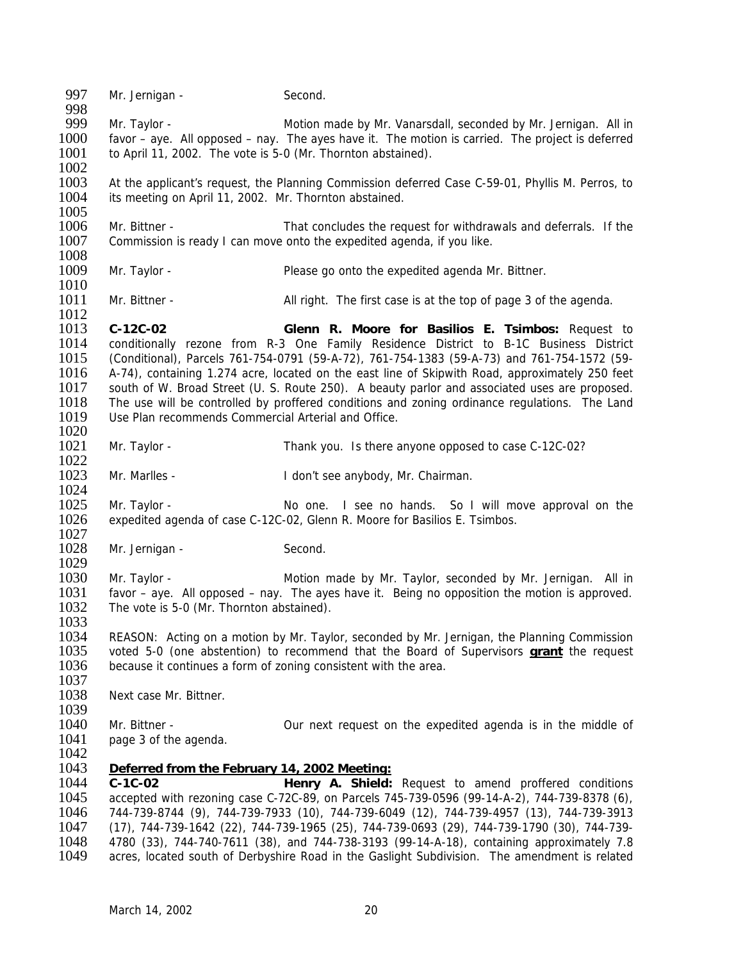997 Mr. Jernigan - Second. 998<br>999 999 Mr. Taylor - Motion made by Mr. Vanarsdall, seconded by Mr. Jernigan. All in 1000 favor – aye. All opposed – nay. The ayes have it. The motion is carried. The project is deferred 1001 to April 11, 2002. The vote is 5-0 (Mr. Thornton abstained). 1002 1003 At the applicant's request, the Planning Commission deferred Case C-59-01, Phyllis M. Perros, to 1004 its meeting on April 11, 2002. Mr. Thornton abstained. its meeting on April 11, 2002. Mr. Thornton abstained. 1005<br>1006 1006 Mr. Bittner - That concludes the request for withdrawals and deferrals. If the 1007 Commission is ready I can move onto the expedited agenda, if you like. Commission is ready I can move onto the expedited agenda, if you like. 1008<br>1009 Mr. Taylor - Please go onto the expedited agenda Mr. Bittner. 1010 1011 Mr. Bittner - All right. The first case is at the top of page 3 of the agenda. 1012 1013 **C-12C-02 Glenn R. Moore for Basilios E. Tsimbos:** Request to 1014 conditionally rezone from R-3 One Family Residence District to B-1C Business District 1015 (Conditional), Parcels 761-754-0791 (59-A-72), 761-754-1383 (59-A-73) and 761-754-1572 (59- 1016 A-74), containing 1.274 acre, located on the east line of Skipwith Road, approximately 250 feet 1017 south of W. Broad Street (U. S. Route 250). A beauty parlor and associated uses are proposed. 1017 south of W. Broad Street (U. S. Route 250). A beauty parlor and associated uses are proposed.<br>1018 The use will be controlled by proffered conditions and zoning ordinance regulations. The Land The use will be controlled by proffered conditions and zoning ordinance regulations. The Land 1019 Use Plan recommends Commercial Arterial and Office. 1020 1021 Mr. Taylor - Thank you. Is there anyone opposed to case C-12C-02? 1022 1023 Mr. Marlles - I don't see anybody, Mr. Chairman. 1024 1025 Mr. Taylor - No one. I see no hands. So I will move approval on the 1026 expedited agenda of case C-12C-02, Glenn R. Moore for Basilios E. Tsimbos. 1027<br>1028 Mr. Jernigan - Second. 1029<br>1030 Mr. Taylor - The Motion made by Mr. Taylor, seconded by Mr. Jernigan. All in 1031 favor – aye. All opposed – nay. The ayes have it. Being no opposition the motion is approved. 1032 The vote is 5-0 (Mr. Thornton abstained). 1033 1034 REASON: Acting on a motion by Mr. Taylor, seconded by Mr. Jernigan, the Planning Commission 1035 voted 5-0 (one abstention) to recommend that the Board of Supervisors **grant** the request 1036 because it continues a form of zoning consistent with the area. 1037<br>1038 Next case Mr. Bittner. 1039 1040 Mr. Bittner - Our next request on the expedited agenda is in the middle of 1041 page 3 of the agenda. 1042 1043 *Deferred from the February 14, 2002 Meeting:* 1044 **C-1C-02 Henry A. Shield:** Request to amend proffered conditions 1045 accepted with rezoning case C-72C-89, on Parcels 745-739-0596 (99-14-A-2), 744-739-8378 (6), 1046 744-739-8744 (9), 744-739-7933 (10), 744-739-6049 (12), 744-739-4957 (13), 744-739-3913 1047 (17), 744-739-1642 (22), 744-739-1965 (25), 744-739-0693 (29), 744-739-1790 (30), 744-739- 1048 4780 (33), 744-740-7611 (38), and 744-738-3193 (99-14-A-18), containing approximately 7.8 acres, located south of Derbyshire Road in the Gaslight Subdivision. The amendment is related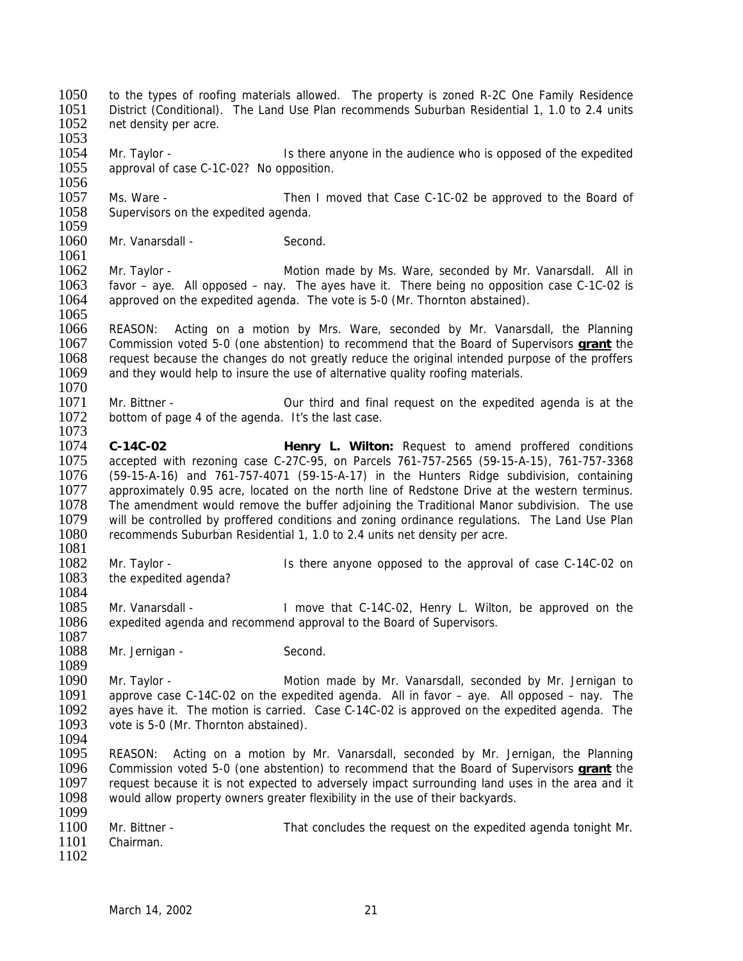1050 to the types of roofing materials allowed. The property is zoned R-2C One Family Residence<br>1051 District (Conditional) The Land Use Plan recommends Suburban Residential 1 1.0 to 2.4 units 1051 District (Conditional). The Land Use Plan recommends Suburban Residential 1, 1.0 to 2.4 units 1052 net density per acre. net density per acre. 1053<br>1054 Mr. Taylor - **IS there anyone in the audience who is opposed of the expedited** 1055 approval of case C-1C-02? No opposition. 1056<br>1057 1057 Ms. Ware - Then I moved that Case C-1C-02 be approved to the Board of 1058 Supervisors on the expedited agenda. Supervisors on the expedited agenda. 1059<br>1060 Mr. Vanarsdall - Second.  $\frac{1061}{1062}$ Mr. Taylor - The Motion made by Ms. Ware, seconded by Mr. Vanarsdall. All in 1063 favor – aye. All opposed – nay. The ayes have it. There being no opposition case C-1C-02 is 1064 approved on the expedited agenda. The vote is 5-0 (Mr. Thornton abstained). approved on the expedited agenda. The vote is 5-0 (Mr. Thornton abstained). 1065 1066 REASON: Acting on a motion by Mrs. Ware, seconded by Mr. Vanarsdall, the Planning 1067 Commission voted 5-0 (one abstention) to recommend that the Board of Supervisors **grant** the 1068 request because the changes do not greatly reduce the original intended purpose of the proffers 1069 and they would help to insure the use of alternative quality roofing materials. and they would help to insure the use of alternative quality roofing materials. 1070<br>1071 1071 Mr. Bittner - Our third and final request on the expedited agenda is at the 1072 bottom of page 4 of the agenda It's the last case bottom of page 4 of the agenda. It's the last case. 1073 1074 **C-14C-02 Henry L. Wilton:** Request to amend proffered conditions accepted with rezoning case C-27C-95, on Parcels 761-757-2565 (59-15-A-15), 761-757-3368 1076 (59-15-A-16) and 761-757-4071 (59-15-A-17) in the Hunters Ridge subdivision, containing 1077 approximately 0.95 acre, located on the north line of Redstone Drive at the western terminus. 1078 The amendment would remove the buffer adjoining the Traditional Manor subdivision. The use 1079 will be controlled by proffered conditions and zoning ordinance regulations. The Land Use Plan 1080 recommends Suburban Residential 1, 1.0 to 2.4 units net density per acre. recommends Suburban Residential 1, 1.0 to 2.4 units net density per acre. 1081<br>1082 1082 Mr. Taylor - Is there anyone opposed to the approval of case C-14C-02 on 1083 the expedited agenda? the expedited agenda? 1084<br>1085 Mr. Vanarsdall - I move that C-14C-02, Henry L. Wilton, be approved on the 1086 expedited agenda and recommend approval to the Board of Supervisors. 1087 1088 Mr. Jernigan - Second. 1089<br>1090 1090 Mr. Taylor - Motion made by Mr. Vanarsdall, seconded by Mr. Jernigan to 1091 approve case C-14C-02 on the expedited agenda. All in favor – ave. All opposed – nav. The 1091 approve case C-14C-02 on the expedited agenda. All in favor – aye. All opposed – nay. The 1092 aves have it. The motion is carried. Case C-14C-02 is approved on the expedited agenda. The 1092 ayes have it. The motion is carried. Case C-14C-02 is approved on the expedited agenda. The 1093 vote is 5-0 (Mr. Thornton abstained) vote is 5-0 (Mr. Thornton abstained). 1094<br>1095 1095 REASON: Acting on a motion by Mr. Vanarsdall, seconded by Mr. Jernigan, the Planning<br>1096 Commission voted 5-0 (one abstention) to recommend that the Board of Supervisors **grant** the 1096 Commission voted 5-0 (one abstention) to recommend that the Board of Supervisors **grant** the 1097 request because it is not expected to adversely impact surrounding land uses in the area and it 1098 would allow property owners greater flexibility in the use of their backyards. 1099<br>1100 1100 Mr. Bittner - That concludes the request on the expedited agenda tonight Mr.<br>1101 Chairman. Chairman. 1102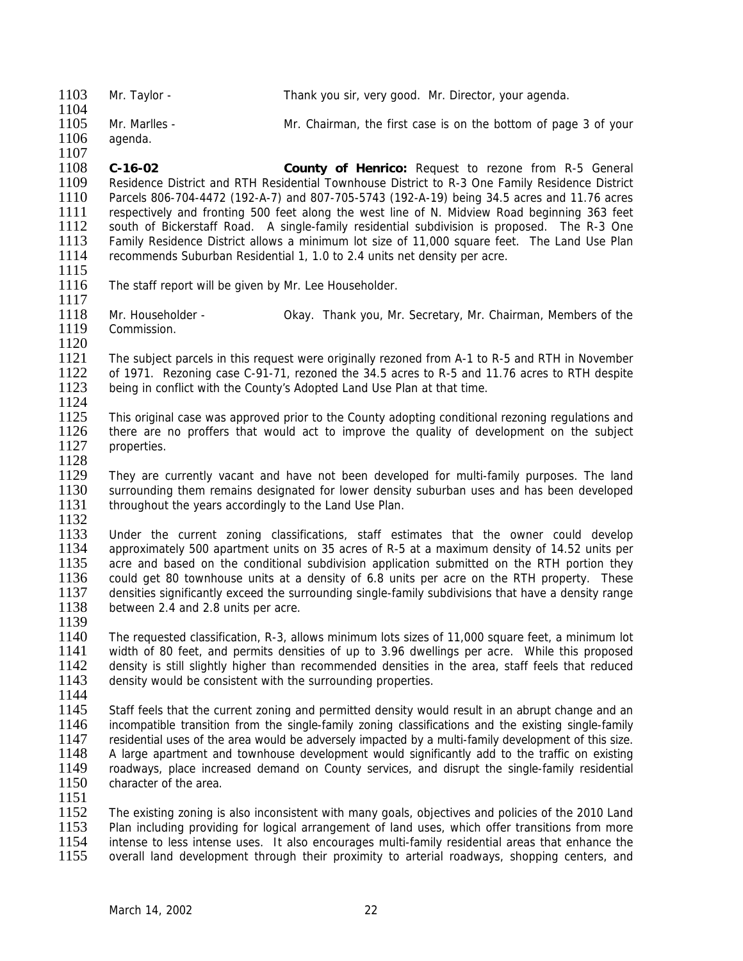| 1103<br>1104 | Mr. Tavlor -  | Thank you sir, very good. Mr. Director, your agenda.            |
|--------------|---------------|-----------------------------------------------------------------|
| 1105         | Mr. Marlles - | Mr. Chairman, the first case is on the bottom of page 3 of your |
| 1106         | aqenda.       |                                                                 |

1108 **C-16-02 County of Henrico:** Request to rezone from R-5 General 1109 Residence District and RTH Residential Townhouse District to R-3 One Family Residence District<br>1110 Parcels 806-704-4472 (192-A-7) and 807-705-5743 (192-A-19) being 34.5 acres and 11.76 acres 1110 Parcels 806-704-4472 (192-A-7) and 807-705-5743 (192-A-19) being 34.5 acres and 11.76 acres 1111 Frespectively and fronting 500 feet along the west line of N. Midview Road beginning 363 feet 112 South of Bickerstaff Road. A single-family residential subdivision is proposed. The R-3 One 1112 south of Bickerstaff Road. A single-family residential subdivision is proposed. The R-3 One<br>1113 Family Residence District allows a minimum lot size of 11.000 square feet. The Land Use Plan 1113 Family Residence District allows a minimum lot size of 11,000 square feet. The Land Use Plan 1114 recommends Suburban Residential 1, 1.0 to 2.4 units net density per acre. recommends Suburban Residential 1, 1.0 to 2.4 units net density per acre.

1115

1107

1116 The staff report will be given by Mr. Lee Householder. 1117

1118 Mr. Householder - Okay. Thank you, Mr. Secretary, Mr. Chairman, Members of the 1119 Commission.

1120<br>1121 1121 The subject parcels in this request were originally rezoned from A-1 to R-5 and RTH in November<br>1122 of 1971. Rezoning case C-91-71, rezoned the 34.5 acres to R-5 and 11.76 acres to RTH despite 1122 of 1971. Rezoning case C-91-71, rezoned the 34.5 acres to R-5 and 11.76 acres to RTH despite<br>1123 being in conflict with the County's Adopted Land Use Plan at that time. being in conflict with the County's Adopted Land Use Plan at that time.

 $\frac{1124}{1125}$ 1125 This original case was approved prior to the County adopting conditional rezoning regulations and 1126 there are no proffers that would act to improve the quality of development on the subject there are no proffers that would act to improve the quality of development on the subject 1127 properties.

1128<br>1129 They are currently vacant and have not been developed for multi-family purposes. The land 1130 surrounding them remains designated for lower density suburban uses and has been developed 1131 throughout the years accordingly to the Land Use Plan.

1132<br>1133

1133 Under the current zoning classifications, staff estimates that the owner could develop 1134 approximately 500 apartment units on 35 acres of R-5 at a maximum density of 14.52 units per 1134 approximately 500 apartment units on 35 acres of R-5 at a maximum density of 14.52 units per 1135 acre and based on the conditional subdivision application submitted on the RTH portion they 1135 acre and based on the conditional subdivision application submitted on the RTH portion they<br>1136 could get 80 townhouse units at a density of 6.8 units per acre on the RTH property. These could get 80 townhouse units at a density of 6.8 units per acre on the RTH property. These 1137 densities significantly exceed the surrounding single-family subdivisions that have a density range 1138 between 2.4 and 2.8 units per acre. between 2.4 and 2.8 units per acre.

1139

1140 The requested classification, R-3, allows minimum lots sizes of 11,000 square feet, a minimum lot 1141 width of 80 feet, and permits densities of up to 3.96 dwellings per acre. While this proposed 1142 density is still slightly higher than recommended densities in the area, staff feels that reduced 1143 density would be consistent with the surrounding properties. density would be consistent with the surrounding properties.

1144<br>1145

Staff feels that the current zoning and permitted density would result in an abrupt change and an 1146 incompatible transition from the single-family zoning classifications and the existing single-family 1147 residential uses of the area would be adversely impacted by a multi-family development of this size. 1147 residential uses of the area would be adversely impacted by a multi-family development of this size.<br>1148 A large apartment and townhouse development would significantly add to the traffic on existing 1148 A large apartment and townhouse development would significantly add to the traffic on existing<br>1149 roadways, place increased demand on County services, and disrupt the single-family residential roadways, place increased demand on County services, and disrupt the single-family residential 1150 character of the area.

1151

1152 The existing zoning is also inconsistent with many goals, objectives and policies of the 2010 Land<br>1153 Plan including providing for logical arrangement of land uses, which offer transitions from more 1153 Plan including providing for logical arrangement of land uses, which offer transitions from more<br>1154 intense to less intense uses. It also encourages multi-family residential areas that enhance the 1154 intense to less intense uses. It also encourages multi-family residential areas that enhance the 1155 overall land development through their proximity to arterial roadways, shopping centers, and overall land development through their proximity to arterial roadways, shopping centers, and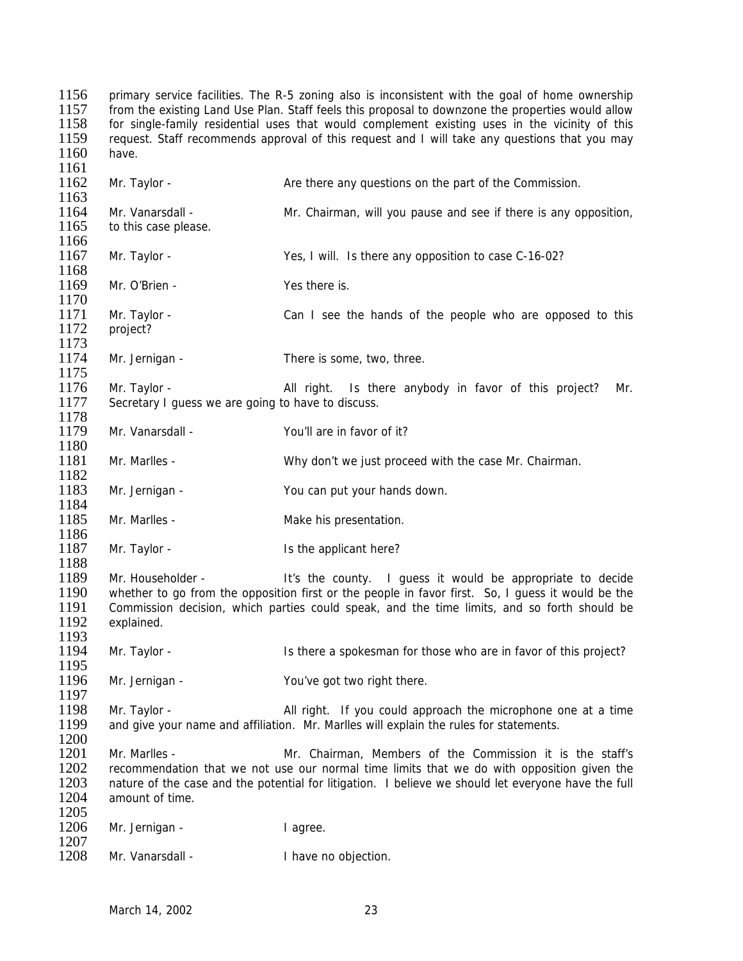1156 primary service facilities. The R-5 zoning also is inconsistent with the goal of home ownership 1157 from the existing Land Use Plan. Staff feels this proposal to downzone the properties would allow 1157 from the existing Land Use Plan. Staff feels this proposal to downzone the properties would allow<br>1158 for single-family residential uses that would complement existing uses in the vicinity of this for single-family residential uses that would complement existing uses in the vicinity of this 1159 request. Staff recommends approval of this request and I will take any questions that you may 1160 have. 1161 1162 Mr. Taylor - Are there any questions on the part of the Commission. 1163 1164 Mr. Vanarsdall - Mr. Chairman, will you pause and see if there is any opposition, 1165 to this case please. to this case please. 1166<br>1167 Mr. Taylor - Yes, I will. Is there any opposition to case C-16-02? 1168 1169 Mr. O'Brien - Yes there is. 1170 1171 Mr. Taylor - Can I see the hands of the people who are opposed to this 1172 project? 1173<br>1174 Mr. Jernigan - There is some, two, three. 1175<br>1176 1176 Mr. Taylor - All right. Is there anybody in favor of this project? Mr.<br>1177 Secretary I quess we are going to have to discuss. Secretary I guess we are going to have to discuss. 1178<br>1179 Mr. Vanarsdall - You'll are in favor of it? 1180 1181 Mr. Marlles - Why don't we just proceed with the case Mr. Chairman. 1182 1183 Mr. Jernigan - You can put your hands down. 1184 1185 Mr. Marlles - Make his presentation. 1186<br>1187 Mr. Taylor - The applicant here? 1188<br>1189 Mr. Householder - It's the county. I guess it would be appropriate to decide 1190 whether to go from the opposition first or the people in favor first. So, I guess it would be the 1191 Commission decision, which parties could speak, and the time limits, and so forth should be Commission decision, which parties could speak, and the time limits, and so forth should be 1192 explained. 1193 1194 Mr. Taylor - Is there a spokesman for those who are in favor of this project? 1195<br>1196 Mr. Jernigan - You've got two right there. 1197<br>1198 Mr. Taylor - **All right.** If you could approach the microphone one at a time 1199 and give your name and affiliation. Mr. Marlles will explain the rules for statements. 1200<br>1201 Mr. Marlles - The Staff's Mr. Chairman, Members of the Commission it is the staff's 1202 recommendation that we not use our normal time limits that we do with opposition given the 1203 nature of the case and the potential for litigation. I believe we should let everyone have the full 1204 amount of time. 1205<br>1206 Mr. Jernigan - I agree. 1207<br>1208 Mr. Vanarsdall - I have no objection.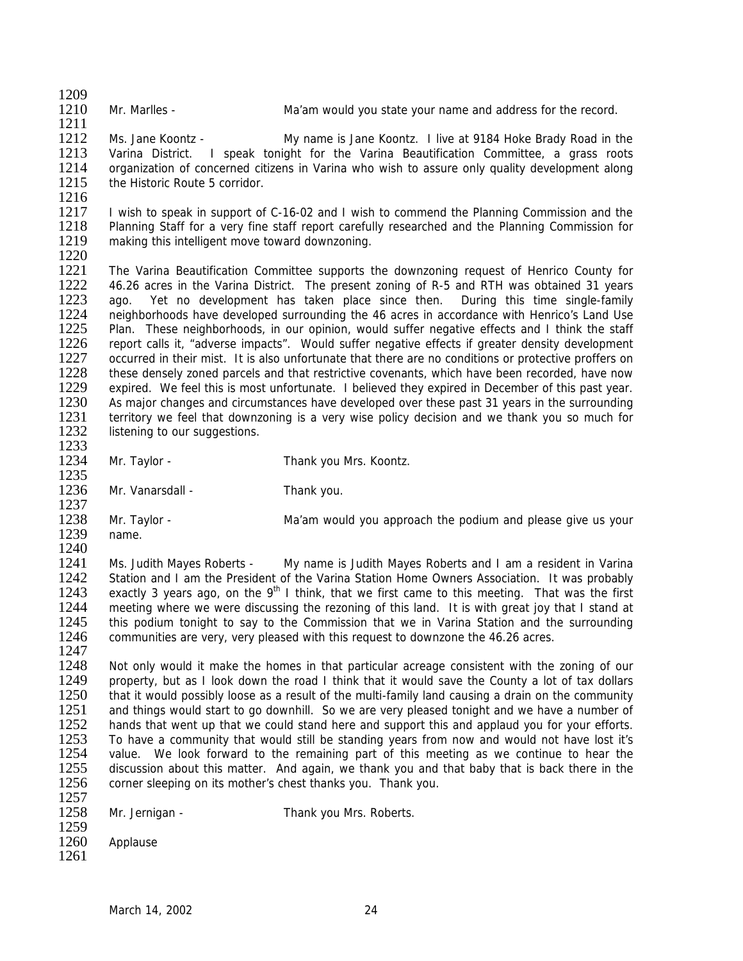1209<br>1210

1211

Mr. Marlles - The Ma'am would you state your name and address for the record.

1212 Ms. Jane Koontz - My name is Jane Koontz. I live at 9184 Hoke Brady Road in the 1213 Varina District. I speak tonight for the Varina Beautification Committee, a grass roots Varina District. I speak tonight for the Varina Beautification Committee, a grass roots 1214 organization of concerned citizens in Varina who wish to assure only quality development along 1215 the Historic Route 5 corridor.

1216

1217 I wish to speak in support of C-16-02 and I wish to commend the Planning Commission and the 1218 Planning Staff for a very fine staff report carefully researched and the Planning Commission for 1218 Planning Staff for a very fine staff report carefully researched and the Planning Commission for 1219 making this intelligent move toward downzoning. making this intelligent move toward downzoning.

1220<br>1221 The Varina Beautification Committee supports the downzoning request of Henrico County for 1222 46.26 acres in the Varina District. The present zoning of R-5 and RTH was obtained 31 years<br>1223 ago. Yet no development has taken place since then. During this time single-family ago. Yet no development has taken place since then. During this time single-family 1224 neighborhoods have developed surrounding the 46 acres in accordance with Henrico's Land Use<br>1225 Plan. These neighborhoods, in our opinion, would suffer negative effects and I think the staff Plan. These neighborhoods, in our opinion, would suffer negative effects and I think the staff 1226 report calls it, "adverse impacts". Would suffer negative effects if greater density development 1227 cccurred in their mist. It is also unfortunate that there are no conditions or protective proffers on 1227 occurred in their mist. It is also unfortunate that there are no conditions or protective proffers on 1228 these densely zoned parcels and that restrictive covenants, which have been recorded, have now 1228 these densely zoned parcels and that restrictive covenants, which have been recorded, have now<br>1229 expired. We feel this is most unfortunate. I believed they expired in December of this past year. 1229 expired. We feel this is most unfortunate. I believed they expired in December of this past year.<br>1230 As maior changes and circumstances have developed over these past 31 years in the surrounding 1230 As major changes and circumstances have developed over these past 31 years in the surrounding<br>1231 Ferritory we feel that downzoning is a very wise policy decision and we thank you so much for 1231 territory we feel that downzoning is a very wise policy decision and we thank you so much for 1232 listening to our suggestions. listening to our suggestions.

- 1233<br>1234
- 1235

Mr. Taylor - Thank you Mrs. Koontz.

1236 Mr. Vanarsdall - Thank you. 1237

1238 Mr. Taylor - Ma'am would you approach the podium and please give us your 1239 name. name.

 $\frac{1240}{1241}$ 1241 Ms. Judith Mayes Roberts - My name is Judith Mayes Roberts and I am a resident in Varina<br>1242 Station and Lam the President of the Varina Station Home Owners Association It was probably 1242 Station and I am the President of the Varina Station Home Owners Association. It was probably 1243 exactly 3 years ago, on the 9<sup>th</sup> I think, that we first came to this meeting. That was the first 1243 exactly 3 years ago, on the  $9<sup>th</sup>$  I think, that we first came to this meeting. That was the first 1244 meeting where we were discussing the rezoning of this land. It is with great joy that I stand at 1245 this podium tonight to say to the Commission that we in Varina Station and the surrounding 1246 communities are very, very pleased with this request to downzone the 46.26 acres. 1247

1248 Not only would it make the homes in that particular acreage consistent with the zoning of our 1249 property, but as I look down the road I think that it would save the County a lot of tax dollars 1249 property, but as I look down the road I think that it would save the County a lot of tax dollars 1250 that it would possibly loose as a result of the multi-family land causing a drain on the community 1250 that it would possibly loose as a result of the multi-family land causing a drain on the community 1251 and things would start to go downhill. So we are very pleased tonight and we have a number of 1251 and things would start to go downhill. So we are very pleased tonight and we have a number of 1252 hands that went up that we could stand here and support this and applaud you for your efforts 1252 hands that went up that we could stand here and support this and applaud you for your efforts.<br>1253 To have a community that would still be standing years from now and would not have lost it's 1253 To have a community that would still be standing years from now and would not have lost it's<br>1254 value. We look forward to the remaining part of this meeting as we continue to hear the 1254 value. We look forward to the remaining part of this meeting as we continue to hear the 1255 discussion about this matter. And again, we thank you and that baby that is back there in the discussion about this matter. And again, we thank you and that baby that is back there in the 1256 corner sleeping on its mother's chest thanks you. Thank you.

1257

1258 Mr. Jernigan - Thank you Mrs. Roberts.

| 1259 |          |
|------|----------|
| 1260 | Applause |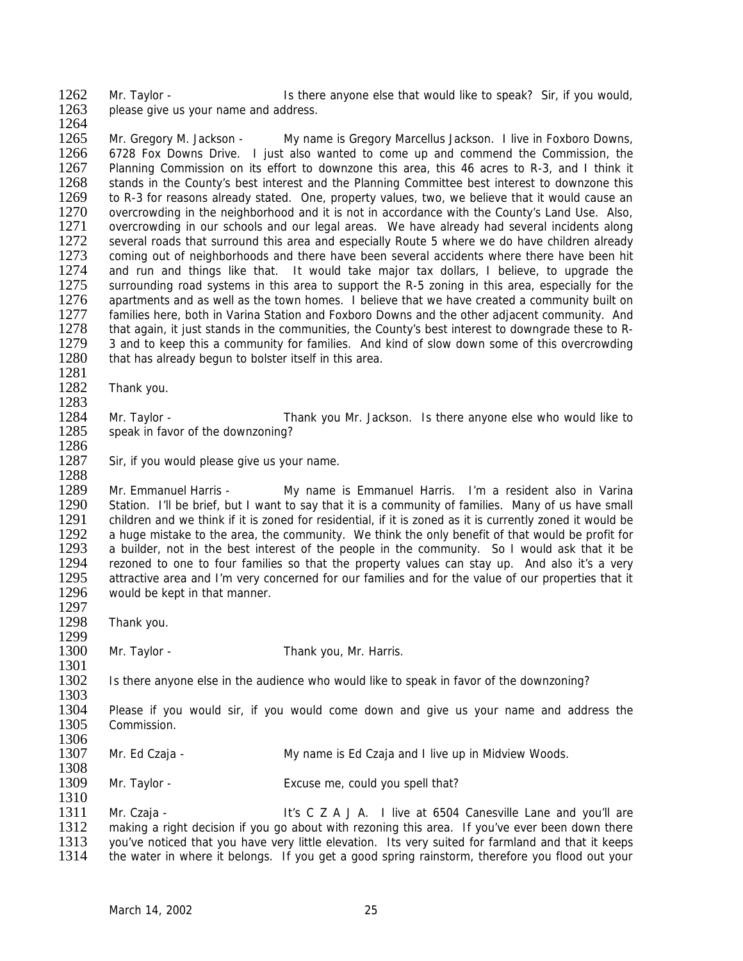1262 Mr. Taylor - Is there anyone else that would like to speak? Sir, if you would, <br>1263 Dlease give us your name and address please give us your name and address. 1264

1265 Mr. Gregory M. Jackson - My name is Gregory Marcellus Jackson. I live in Foxboro Downs, 1266 6728 Fox Downs Drive. I just also wanted to come up and commend the Commission, the 1267 Planning Commission on its effort to downzone this area, this 46 acres to R-3, and I think it 1268 stands in the County's best interest and the Planning Committee best interest to downzone this 1269 to R-3 for reasons already stated. One, property values, two, we believe that it would cause an 1269 to R-3 for reasons already stated. One, property values, two, we believe that it would cause an 1270 overcrowding in the neighborhood and it is not in accordance with the County's Land Use. Also, 1270 overcrowding in the neighborhood and it is not in accordance with the County's Land Use. Also, 1271 overcrowding in our schools and our legal areas. We have already had several incidents along 1271 overcrowding in our schools and our legal areas. We have already had several incidents along<br>1272 several roads that surround this area and especially Route 5 where we do have children already 1272 several roads that surround this area and especially Route 5 where we do have children already<br>1273 coming out of neighborhoods and there have been several accidents where there have been hit 1273 coming out of neighborhoods and there have been several accidents where there have been hit<br>1274 and run and things like that. It would take maior tax dollars. I believe, to upgrade the and run and things like that. It would take major tax dollars, I believe, to upgrade the 1275 surrounding road systems in this area to support the R-5 zoning in this area, especially for the 1276 apartments and as well as the town homes. I believe that we have created a community built on apartments and as well as the town homes. I believe that we have created a community built on 1277 families here, both in Varina Station and Foxboro Downs and the other adjacent community. And 1278 that again, it just stands in the communities, the County's best interest to downgrade these to R-1279 3 and to keep this a community for families. And kind of slow down some of this overcrowding<br>1280 that has already begun to bolster itself in this area. that has already begun to bolster itself in this area.

- 1281 Thank you.
- 1283<br>1284

1288

1297

1299

1308

1310

1284 Mr. Taylor - Thank you Mr. Jackson. Is there anyone else who would like to 1285 speak in favor of the downzoning? speak in favor of the downzoning?

1286<br>1287 Sir, if you would please give us your name.

1289 Mr. Emmanuel Harris - My name is Emmanuel Harris. I'm a resident also in Varina 1290 Station. I'll be brief, but I want to say that it is a community of families. Many of us have small 1291 children and we think if it is zoned for residential, if it is zoned as it is currently zoned it would be 1292 a huge mistake to the area, the community. We think the only benefit of that would be profit for 1292 a huge mistake to the area, the community. We think the only benefit of that would be profit for 1293 a builder, not in the best interest of the people in the community. So I would ask that it be 1293 a builder, not in the best interest of the people in the community. So I would ask that it be 1294 rezoned to one to four families so that the property values can stay up. And also it's a very 1294 rezoned to one to four families so that the property values can stay up. And also it's a very<br>1295 attractive area and I'm very concerned for our families and for the value of our properties that it 1295 attractive area and I'm very concerned for our families and for the value of our properties that it 1296 would be kept in that manner. would be kept in that manner.

1298 Thank you.

1300 Mr. Taylor - Thank you, Mr. Harris.

1301<br>1302 Is there anyone else in the audience who would like to speak in favor of the downzoning?

1303<br>1304 1304 Please if you would sir, if you would come down and give us your name and address the 1305 Commission Commission.

- 1306<br>1307 Mr. Ed Czaja - My name is Ed Czaja and I live up in Midview Woods.
- 1309 Mr. Taylor Excuse me, could you spell that?

1311 Mr. Czaja - It's C Z A J A. I live at 6504 Canesville Lane and you'll are<br>1312 making a right decision if you go about with rezoning this area. If you've ever been down there 1312 making a right decision if you go about with rezoning this area. If you've ever been down there<br>1313 vou've noticed that you have very little elevation. Its very suited for farmland and that it keeps 1313 you've noticed that you have very little elevation. Its very suited for farmland and that it keeps<br>1314 the water in where it belongs. If you get a good spring rainstorm, therefore you flood out your the water in where it belongs. If you get a good spring rainstorm, therefore you flood out your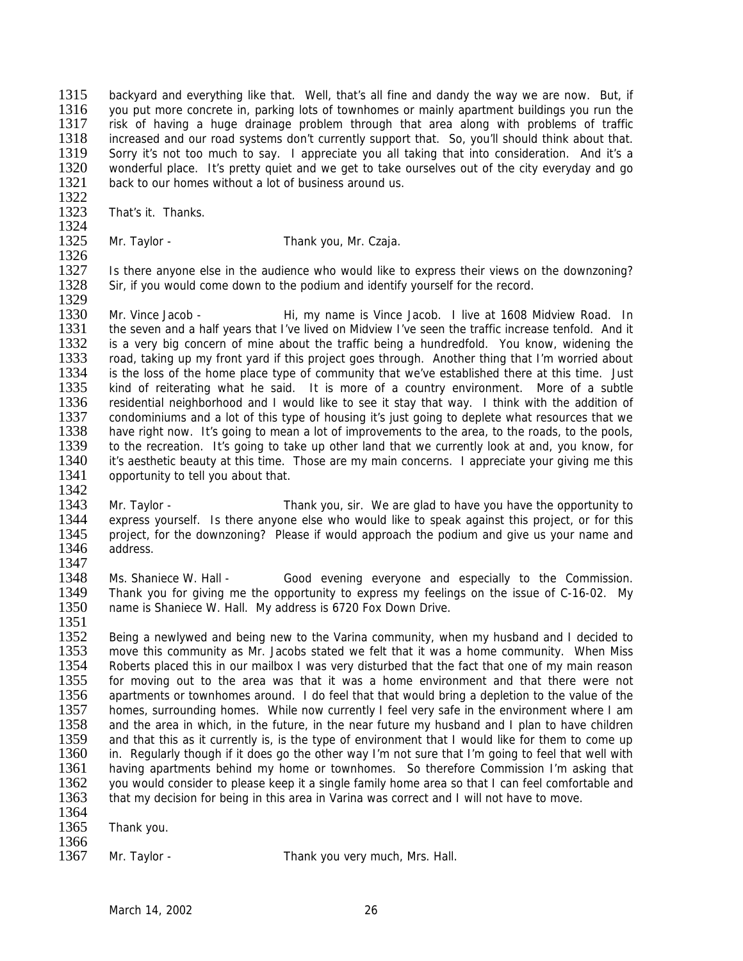1315 backyard and everything like that. Well, that's all fine and dandy the way we are now. But, if<br>1316 vou put more concrete in parking lots of townhomes or mainly apartment buildings you run the 1316 you put more concrete in, parking lots of townhomes or mainly apartment buildings you run the<br>1317 risk of having a huge drainage problem through that area along with problems of traffic risk of having a huge drainage problem through that area along with problems of traffic 1318 increased and our road systems don't currently support that. So, you'll should think about that.<br>1319 Sorry it's not too much to say. I appreciate you all taking that into consideration. And it's a 1319 Sorry it's not too much to say. I appreciate you all taking that into consideration. And it's a<br>1320 vonderful place. It's pretty quiet and we get to take ourselves out of the city everyday and go wonderful place. It's pretty quiet and we get to take ourselves out of the city everyday and go 1321 back to our homes without a lot of business around us.

1322<br>1323 That's it. Thanks.

1324<br>1325 Mr. Taylor - Thank you, Mr. Czaja.

1326<br>1327 Is there anyone else in the audience who would like to express their views on the downzoning? 1328 Sir, if you would come down to the podium and identify yourself for the record. 1329

1330 Mr. Vince Jacob - Hi, my name is Vince Jacob. I live at 1608 Midview Road. In 1331 the seven and a half years that I've lived on Midview I've seen the traffic increase tenfold. And it 1332 is a very big concern of mine about the traffic being a hundredfold. You know, widening the 1333 road, taking up my front vard if this proiect goes through. Another thing that I'm worried about 1333 road, taking up my front yard if this project goes through. Another thing that I'm worried about 1334 is the loss of the home place type of community that we've established there at this time. Just 1334 is the loss of the home place type of community that we've established there at this time. Just 1335 kind of reiterating what he said. It is more of a country environment. More of a subtle 1335 kind of reiterating what he said. It is more of a country environment. More of a subtle 1336 residential neighborhood and I would like to see it stay that way. I think with the addition of 1336 residential neighborhood and I would like to see it stay that way. I think with the addition of 1337 condominiums and a lot of this type of housing it's just going to deplete what resources that we 1337 condominiums and a lot of this type of housing it's just going to deplete what resources that we<br>1338 have right now. It's going to mean a lot of improvements to the area, to the roads, to the pools. have right now. It's going to mean a lot of improvements to the area, to the roads, to the pools, 1339 to the recreation. It's going to take up other land that we currently look at and, you know, for 1340 it's aesthetic beauty at this time. Those are my main concerns. I appreciate your giving me this 1340 it's aesthetic beauty at this time. Those are my main concerns. I appreciate your giving me this 1341 opportunity to tell you about that. opportunity to tell you about that. 1342

1343 Mr. Taylor - Thank you, sir. We are glad to have you have the opportunity to 1344 express yourself. Is there anyone else who would like to speak against this project, or for this 1345 project, for the downzoning? Please if would approach the podium and give us your name and 1345 project, for the downzoning? Please if would approach the podium and give us your name and 1346 address. address.

1347<br>1348 1348 Ms. Shaniece W. Hall - Good evening everyone and especially to the Commission.<br>1349 Thank you for giving me the opportunity to express my feelings on the issue of C-16-02. My 1349 Thank you for giving me the opportunity to express my feelings on the issue of C-16-02. My 1350 name is Shaniece W. Hall. My address is 6720 Fox Down Drive. name is Shaniece W. Hall. My address is 6720 Fox Down Drive.

1351<br>1352 Being a newlywed and being new to the Varina community, when my husband and I decided to 1353 move this community as Mr. Jacobs stated we felt that it was a home community. When Miss<br>1354 Roberts placed this in our mailbox I was very disturbed that the fact that one of my main reason 1354 Roberts placed this in our mailbox I was very disturbed that the fact that one of my main reason 1355 for moving out to the area was that it was a home environment and that there were not 1355 for moving out to the area was that it was a home environment and that there were not 1356 apartments or townhomes around. I do feel that that would bring a depletion to the value of the 1356 apartments or townhomes around. I do feel that that would bring a depletion to the value of the 1357 homes, surrounding homes. While now currently I feel very safe in the environment where I am 1357 homes, surrounding homes. While now currently I feel very safe in the environment where I am<br>1358 and the area in which in the future in the near future my husband and I plan to have children 1358 and the area in which, in the future, in the near future my husband and I plan to have children<br>1359 and that this as it currently is, is the type of environment that I would like for them to come up 1359 and that this as it currently is, is the type of environment that I would like for them to come up 1360 in. Regularly though if it does go the other way I'm not sure that I'm going to feel that well with in. Regularly though if it does go the other way I'm not sure that I'm going to feel that well with 1361 having apartments behind my home or townhomes. So therefore Commission I'm asking that 1362 you would consider to please keep it a single family home area so that I can feel comfortable and 1363 that my decision for being in this area in Varina was correct and I will not have to move.

1364<br>1365 Thank you.

1366<br>1367

Mr. Taylor - Thank you very much, Mrs. Hall.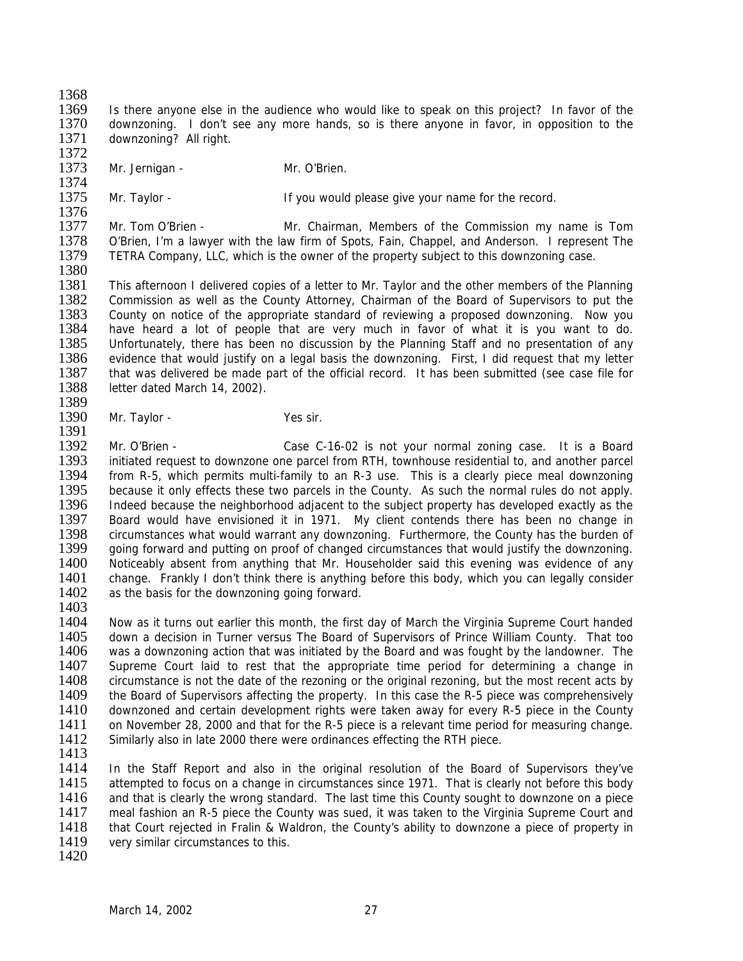1368<br>1369

1369 Is there anyone else in the audience who would like to speak on this project? In favor of the 1370 downzoning. I don't see any more hands, so is there anyone in favor, in opposition to the downzoning. I don't see any more hands, so is there anyone in favor, in opposition to the 1371 downzoning? All right.

- 1372<br>1373 Mr. Jernigan - Mr. O'Brien.
- 1374<br>1375
- Mr. Taylor The Matter of the If you would please give your name for the record.

1376<br>1377 1377 Mr. Tom O'Brien - Mr. Chairman, Members of the Commission my name is Tom<br>1378 O'Brien. I'm a lawyer with the law firm of Spots. Fain. Chappel. and Anderson. I represent The 1378 O'Brien, I'm a lawyer with the law firm of Spots, Fain, Chappel, and Anderson. I represent The 1379 TETRA Company. LLC, which is the owner of the property subject to this downzoning case. TETRA Company, LLC, which is the owner of the property subject to this downzoning case. 1380

1381 This afternoon I delivered copies of a letter to Mr. Taylor and the other members of the Planning<br>1382 Commission as well as the County Attorney, Chairman of the Board of Supervisors to put the 1382 Commission as well as the County Attorney, Chairman of the Board of Supervisors to put the 1383 County on notice of the appropriate standard of reviewing a proposed downzoning. Now you 1384 have heard a lot of people that are very much in favor of what it is you want to do. 1385 Unfortunately, there has been no discussion by the Planning Staff and no presentation of any<br>1386 evidence that would justify on a legal basis the downzoning. First, I did request that my letter 1386 evidence that would justify on a legal basis the downzoning. First, I did request that my letter 1387 that was delivered be made part of the official record. It has been submitted (see case file for 1387 that was delivered be made part of the official record. It has been submitted (see case file for 1388 letter dated March 14, 2002). letter dated March 14, 2002).

1389<br>1390 Mr. Taylor - Yes sir. 1391

1392 Mr. O'Brien - Case C-16-02 is not your normal zoning case. It is a Board<br>1393 initiated request to downzone one parcel from RTH, townhouse residential to, and another parcel initiated request to downzone one parcel from RTH, townhouse residential to, and another parcel 1394 from R-5, which permits multi-family to an R-3 use. This is a clearly piece meal downzoning 1395 because it only effects these two parcels in the County. As such the normal rules do not apply. 1396 Indeed because the neighborhood adjacent to the subject property has developed exactly as the 1397 Board would have envisioned it in 1971. My client contends there has been no change in 1398 circumstances what would warrant any downzoning. Furthermore, the County has the burden of 1398 circumstances what would warrant any downzoning. Furthermore, the County has the burden of 1399 coing forward and putting on proof of changed circumstances that would justify the downzoning. 1399 going forward and putting on proof of changed circumstances that would justify the downzoning.<br>1400 Noticeably absent from anything that Mr. Householder said this evening was evidence of any 1400 Noticeably absent from anything that Mr. Householder said this evening was evidence of any<br>1401 Change. Frankly I don't think there is anything before this body, which you can legally consider 1401 change. Frankly I don't think there is anything before this body, which you can legally consider 1402 as the basis for the downzoning going forward. as the basis for the downzoning going forward.

1403

1404 Now as it turns out earlier this month, the first day of March the Virginia Supreme Court handed 1405 down a decision in Turner versus The Board of Supervisors of Prince William County. That too 1406 was a downzoning action that was initiated by the Board and was fought by the landowner. The 1407 Supreme Court laid to rest that the appropriate time period for determining a change in 1408 circumstance is not the date of the rezoning or the original rezoning, but the most recent acts by 1408 circumstance is not the date of the rezoning or the original rezoning, but the most recent acts by<br>1409 the Board of Supervisors affecting the property. In this case the R-5 piece was comprehensively 1409 the Board of Supervisors affecting the property. In this case the R-5 piece was comprehensively 1410 downzoned and certain development rights were taken away for every R-5 piece in the County downzoned and certain development rights were taken away for every R-5 piece in the County 1411 on November 28, 2000 and that for the R-5 piece is a relevant time period for measuring change.<br>1412 Similarly also in late 2000 there were ordinances effecting the RTH piece. Similarly also in late 2000 there were ordinances effecting the RTH piece.

1413

1414 In the Staff Report and also in the original resolution of the Board of Supervisors they've 1415 attempted to focus on a change in circumstances since 1971. That is clearly not before this body 1416 and that is clearly the wrong standard. The last time this County sought to downzone on a piece 1417 meal fashion an R-5 piece the County was sued, it was taken to the Virginia Supreme Court and 1418 that Court rejected in Fralin & Waldron, the County's ability to downzone a piece of property in 1418 that Court rejected in Fralin & Waldron, the County's ability to downzone a piece of property in 1419 very similar circumstances to this. very similar circumstances to this.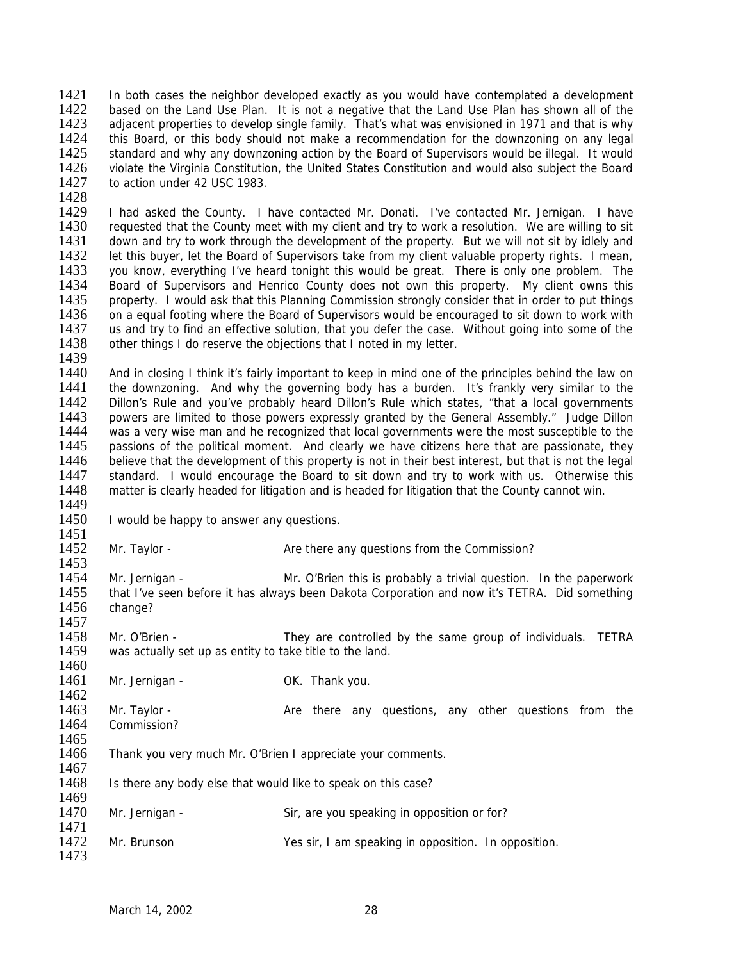1421 In both cases the neighbor developed exactly as you would have contemplated a development 1422 based on the Land Use Plan. It is not a negative that the Land Use Plan has shown all of the 1422 based on the Land Use Plan. It is not a negative that the Land Use Plan has shown all of the 1423 adiacent properties to develop single family. That's what was envisioned in 1971 and that is why adjacent properties to develop single family. That's what was envisioned in 1971 and that is why 1424 this Board, or this body should not make a recommendation for the downzoning on any legal<br>1425 standard and why any downzoning action by the Board of Supervisors would be illegal. It would 1425 standard and why any downzoning action by the Board of Supervisors would be illegal. It would<br>1426 violate the Virginia Constitution, the United States Constitution and would also subject the Board violate the Virginia Constitution, the United States Constitution and would also subject the Board 1427 to action under 42 USC 1983.

1428<br>1429 1429 I had asked the County. I have contacted Mr. Donati. I've contacted Mr. Jernigan. I have 1430 requested that the County meet with my client and try to work a resolution. We are willing to sit 1430 requested that the County meet with my client and try to work a resolution. We are willing to sit 1431 down and try to work through the development of the property. But we will not sit by idlely and 1431 down and try to work through the development of the property. But we will not sit by idlely and 1432 let this buyer, let the Board of Supervisors take from my client valuable property rights. I mean, 1432 let this buyer, let the Board of Supervisors take from my client valuable property rights. I mean, 1433 vou know everything I've heard tonight this would be great. There is only one problem. The you know, everything I've heard tonight this would be great. There is only one problem. The 1434 Board of Supervisors and Henrico County does not own this property. My client owns this 1435 property. I would ask that this Planning Commission strongly consider that in order to put things property. I would ask that this Planning Commission strongly consider that in order to put things 1436 on a equal footing where the Board of Supervisors would be encouraged to sit down to work with 1437 us and try to find an effective solution, that you defer the case. Without going into some of the us and try to find an effective solution, that you defer the case. Without going into some of the 1438 other things I do reserve the objections that I noted in my letter.

1439<br>1440 1440 And in closing I think it's fairly important to keep in mind one of the principles behind the law on<br>1441 the downzoning. And why the governing body has a burden. It's frankly very similar to the 1441 the downzoning. And why the governing body has a burden. It's frankly very similar to the 1442 Dillon's Rule and vou've probably heard Dillon's Rule which states. "that a local governments 1442 Dillon's Rule and you've probably heard Dillon's Rule which states, "that a local governments<br>1443 Dowers are limited to those powers expressly granted by the General Assembly "Ludge Dillon 1443 powers are limited to those powers expressly granted by the General Assembly." Judge Dillon<br>1444 was a very wise man and he recognized that local governments were the most susceptible to the was a very wise man and he recognized that local governments were the most susceptible to the 1445 passions of the political moment. And clearly we have citizens here that are passionate, they 1446 believe that the development of this property is not in their best interest, but that is not the legal 1447 standard. I would encourage the Board to sit down and try to work with us. Otherwise this 1448 matter is clearly headed for litigation and is headed for litigation that the County cannot win. 1449

- 1450 I would be happy to answer any questions.
- 1451<br>1452

1467

1469

1473

Mr. Taylor - Are there any questions from the Commission?

1453<br>1454 1454 Mr. Jernigan - Mr. O'Brien this is probably a trivial question. In the paperwork<br>1455 that I've seen before it has always been Dakota Corporation and now it's TETRA. Did something 1455 that I've seen before it has always been Dakota Corporation and now it's TETRA. Did something 1456 change? change?

1457<br>1458 Mr. O'Brien - They are controlled by the same group of individuals. TETRA 1459 was actually set up as entity to take title to the land.

1460<br>1461 Mr. Jernigan - Cassett Communist Communist Communist Communist Communist Communist Communist Communist Communist Communist Communist Communist Communist Communist Communist Communist Communist Communist Communist Communist

 $\frac{1462}{1463}$ Mr. Taylor - The Are there any questions, any other questions from the 1464 Commission?

1465<br>1466 Thank you very much Mr. O'Brien I appreciate your comments.

1468 Is there any body else that would like to speak on this case?

1470 Mr. Jernigan - Sir, are you speaking in opposition or for?

1471<br>1472 Mr. Brunson **Nation Clubson** Yes sir, I am speaking in opposition. In opposition.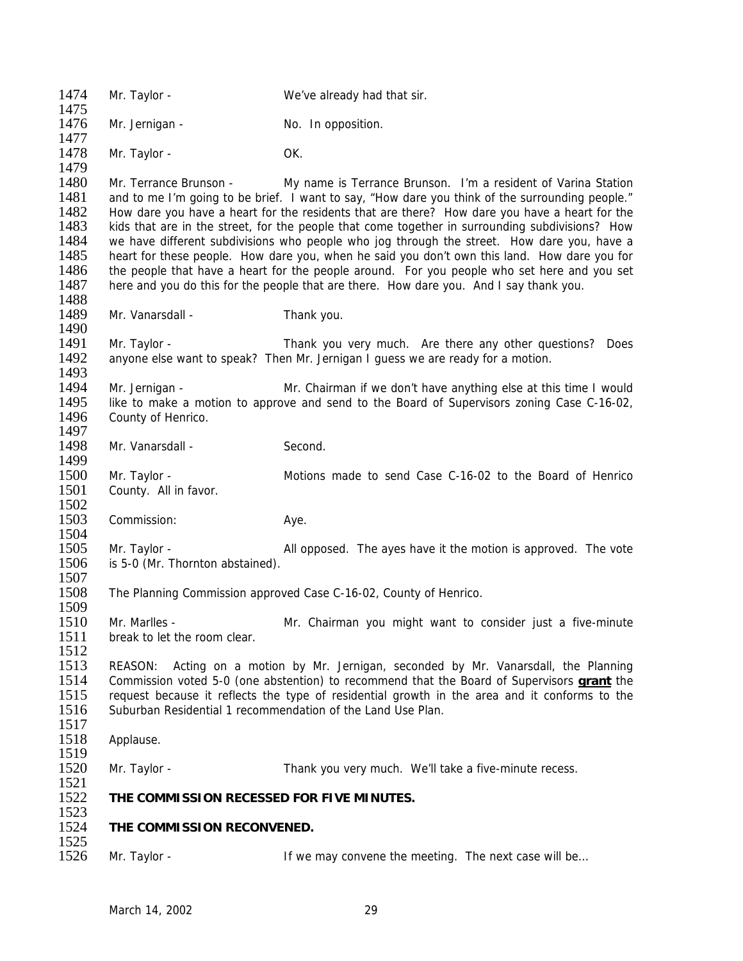| 1474<br>1475                                                         | Mr. Taylor -                                     | We've already had that sir.                                                                                                                                                                                                                                                                                                                                                                                                                                                                                                                                                                                                                                                                                                                                 |
|----------------------------------------------------------------------|--------------------------------------------------|-------------------------------------------------------------------------------------------------------------------------------------------------------------------------------------------------------------------------------------------------------------------------------------------------------------------------------------------------------------------------------------------------------------------------------------------------------------------------------------------------------------------------------------------------------------------------------------------------------------------------------------------------------------------------------------------------------------------------------------------------------------|
| 1476<br>1477                                                         | Mr. Jernigan -                                   | No. In opposition.                                                                                                                                                                                                                                                                                                                                                                                                                                                                                                                                                                                                                                                                                                                                          |
| 1478<br>1479                                                         | Mr. Taylor -                                     | OK.                                                                                                                                                                                                                                                                                                                                                                                                                                                                                                                                                                                                                                                                                                                                                         |
| 1480<br>1481<br>1482<br>1483<br>1484<br>1485<br>1486<br>1487<br>1488 | Mr. Terrance Brunson -                           | My name is Terrance Brunson. I'm a resident of Varina Station<br>and to me I'm going to be brief. I want to say, "How dare you think of the surrounding people."<br>How dare you have a heart for the residents that are there? How dare you have a heart for the<br>kids that are in the street, for the people that come together in surrounding subdivisions? How<br>we have different subdivisions who people who jog through the street. How dare you, have a<br>heart for these people. How dare you, when he said you don't own this land. How dare you for<br>the people that have a heart for the people around. For you people who set here and you set<br>here and you do this for the people that are there. How dare you. And I say thank you. |
| 1489<br>1490                                                         | Mr. Vanarsdall -                                 | Thank you.                                                                                                                                                                                                                                                                                                                                                                                                                                                                                                                                                                                                                                                                                                                                                  |
| 1491<br>1492<br>1493                                                 | Mr. Taylor -                                     | Thank you very much. Are there any other questions? Does<br>anyone else want to speak? Then Mr. Jernigan I guess we are ready for a motion.                                                                                                                                                                                                                                                                                                                                                                                                                                                                                                                                                                                                                 |
| 1494<br>1495<br>1496<br>1497                                         | Mr. Jernigan -<br>County of Henrico.             | Mr. Chairman if we don't have anything else at this time I would<br>like to make a motion to approve and send to the Board of Supervisors zoning Case C-16-02,                                                                                                                                                                                                                                                                                                                                                                                                                                                                                                                                                                                              |
| 1498<br>1499                                                         | Mr. Vanarsdall -                                 | Second.                                                                                                                                                                                                                                                                                                                                                                                                                                                                                                                                                                                                                                                                                                                                                     |
| 1500<br>1501<br>1502                                                 | Mr. Taylor -<br>County. All in favor.            | Motions made to send Case C-16-02 to the Board of Henrico                                                                                                                                                                                                                                                                                                                                                                                                                                                                                                                                                                                                                                                                                                   |
| 1503<br>1504                                                         | Commission:                                      | Aye.                                                                                                                                                                                                                                                                                                                                                                                                                                                                                                                                                                                                                                                                                                                                                        |
| 1505<br>1506<br>1507                                                 | Mr. Taylor -<br>is 5-0 (Mr. Thornton abstained). | All opposed. The ayes have it the motion is approved. The vote                                                                                                                                                                                                                                                                                                                                                                                                                                                                                                                                                                                                                                                                                              |
| 1508<br>1509                                                         |                                                  | The Planning Commission approved Case C-16-02, County of Henrico.                                                                                                                                                                                                                                                                                                                                                                                                                                                                                                                                                                                                                                                                                           |
| 1510<br>1511<br>1512                                                 | Mr. Marlles -<br>break to let the room clear.    | Mr. Chairman you might want to consider just a five-minute                                                                                                                                                                                                                                                                                                                                                                                                                                                                                                                                                                                                                                                                                                  |
| 1513<br>1514<br>1515<br>1516<br>1517                                 | REASON:                                          | Acting on a motion by Mr. Jernigan, seconded by Mr. Vanarsdall, the Planning<br>Commission voted 5-0 (one abstention) to recommend that the Board of Supervisors <b>grant</b> the<br>request because it reflects the type of residential growth in the area and it conforms to the<br>Suburban Residential 1 recommendation of the Land Use Plan.                                                                                                                                                                                                                                                                                                                                                                                                           |
| 1518<br>1519                                                         | Applause.                                        |                                                                                                                                                                                                                                                                                                                                                                                                                                                                                                                                                                                                                                                                                                                                                             |
| 1520<br>1521                                                         | Mr. Taylor -                                     | Thank you very much. We'll take a five-minute recess.                                                                                                                                                                                                                                                                                                                                                                                                                                                                                                                                                                                                                                                                                                       |
| 1522<br>1523                                                         | THE COMMISSION RECESSED FOR FIVE MINUTES.        |                                                                                                                                                                                                                                                                                                                                                                                                                                                                                                                                                                                                                                                                                                                                                             |
| 1524<br>1525                                                         | THE COMMISSION RECONVENED.                       |                                                                                                                                                                                                                                                                                                                                                                                                                                                                                                                                                                                                                                                                                                                                                             |
| 1526                                                                 | Mr. Taylor -                                     | If we may convene the meeting. The next case will be                                                                                                                                                                                                                                                                                                                                                                                                                                                                                                                                                                                                                                                                                                        |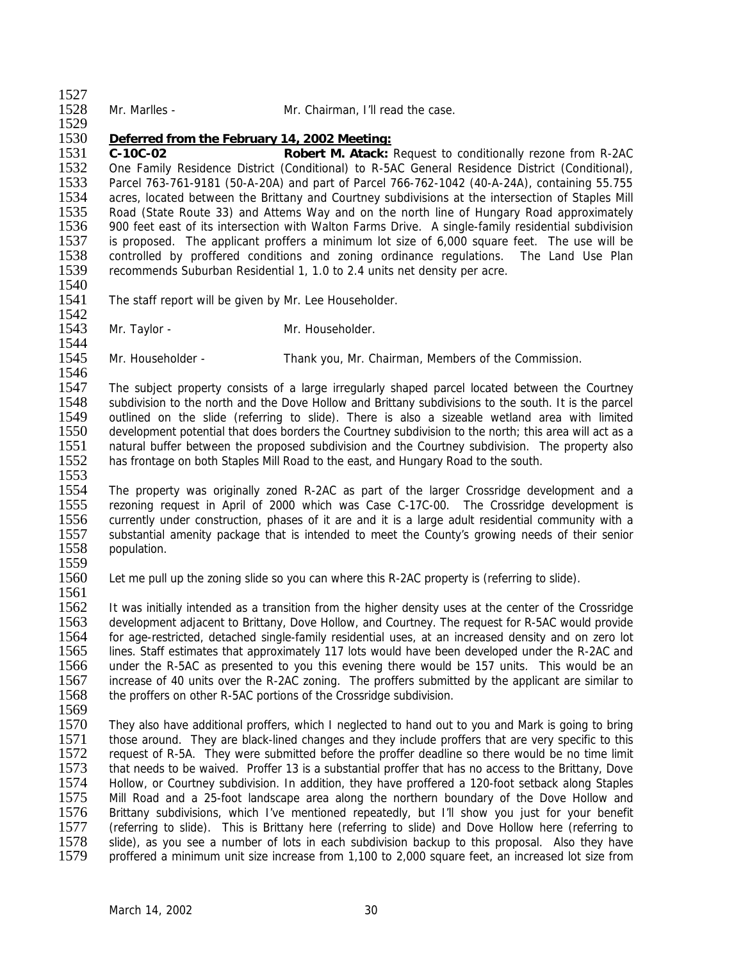| 1528 |  | Mr. Marlle |
|------|--|------------|

1527

1529

es - Mr. Chairman, I'll read the case.

## 1530 *Deferred from the February 14, 2002 Meeting:*

1531 **C-10C-02 Robert M. Atack:** Request to conditionally rezone from R-2AC 1532 One Family Residence District (Conditional) to R-5AC General Residence District (Conditional), 1533 Parcel 763-761-9181 (50-A-20A) and part of Parcel 766-762-1042 (40-A-24A), containing 55.755<br>1534 acres, located between the Brittany and Courtney subdivisions at the intersection of Staples Mill 1534 acres, located between the Brittany and Courtney subdivisions at the intersection of Staples Mill<br>1535 Road (State Route 33) and Attems Way and on the north line of Hungary Road approximately 1535 Road (State Route 33) and Attems Way and on the north line of Hungary Road approximately<br>1536 900 feet east of its intersection with Walton Farms Drive. A single-family residential subdivision 1536 900 feet east of its intersection with Walton Farms Drive. A single-family residential subdivision<br>1537 is proposed. The applicant proffers a minimum lot size of 6.000 square feet. The use will be 1537 is proposed. The applicant proffers a minimum lot size of 6,000 square feet. The use will be 1538 controlled by proffered conditions and zoning ordinance regulations. The Land Use Plan 1538 controlled by proffered conditions and zoning ordinance regulations. The Land Use Plan 1539 recommends Suburban Residential 1, 1.0 to 2.4 units net density per acre. recommends Suburban Residential 1, 1.0 to 2.4 units net density per acre.

1540<br>1541

The staff report will be given by Mr. Lee Householder.

1542<br>1543 Mr. Taylor - Mr. Householder.

1544<br>1545 Mr. Householder - Thank you, Mr. Chairman, Members of the Commission.

1546<br>1547 1547 The subject property consists of a large irregularly shaped parcel located between the Courtney<br>1548 Subdivision to the north and the Dove Hollow and Brittany subdivisions to the south. It is the parcel 1548 subdivision to the north and the Dove Hollow and Brittany subdivisions to the south. It is the parcel<br>1549 outlined on the slide (referring to slide). There is also a sizeable wetland area with limited 1549 outlined on the slide (referring to slide). There is also a sizeable wetland area with limited 1550 development potential that does borders the Courtney subdivision to the north: this area will act as a development potential that does borders the Courtney subdivision to the north; this area will act as a 1551 natural buffer between the proposed subdivision and the Courtney subdivision. The property also<br>1552 has frontage on both Staples Mill Road to the east, and Hungary Road to the south. has frontage on both Staples Mill Road to the east, and Hungary Road to the south. 1553

1554 The property was originally zoned R-2AC as part of the larger Crossridge development and a 1555 rezoning request in April of 2000 which was Case C-17C-00. The Crossridge development is 1556 currently under construction, phases of it are and it is a large adult residential community with a<br>1557 substantial amenity package that is intended to meet the County's growing needs of their senior 1557 substantial amenity package that is intended to meet the County's growing needs of their senior population.

1559<br>1560

Let me pull up the zoning slide so you can where this R-2AC property is (referring to slide).

1561<br>1562 It was initially intended as a transition from the higher density uses at the center of the Crossridge 1563 development adjacent to Brittany, Dove Hollow, and Courtney. The request for R-5AC would provide 1564 for age-restricted, detached single-family residential uses, at an increased density and on zero lot 1565 lines. Staff estimates that approximately 117 lots would have been developed under the R-2AC and 1566 under the R-5AC as presented to you this evening there would be 157 units. This would be an 1567 increase of 40 units over the R-2AC zoning. The proffers submitted by the applicant are similar to 1567 increase of 40 units over the R-2AC zoning. The proffers submitted by the applicant are similar to 1568 the proffers on other R-5AC portions of the Crossridge subdivision. the proffers on other R-5AC portions of the Crossridge subdivision.

1569<br>1570

They also have additional proffers, which I neglected to hand out to you and Mark is going to bring 1571 those around. They are black-lined changes and they include proffers that are very specific to this 1572 request of R-5A. They were submitted before the proffer deadline so there would be no time limit 1572 request of R-5A. They were submitted before the proffer deadline so there would be no time limit 1573 that needs to be waived. Proffer 13 is a substantial proffer that has no access to the Brittany, Dove that needs to be waived. Proffer 13 is a substantial proffer that has no access to the Brittany, Dove 1574 Hollow, or Courtney subdivision. In addition, they have proffered a 120-foot setback along Staples 1575 Mill Road and a 25-foot landscape area along the northern boundary of the Dove Hollow and 1576 Brittany subdivisions, which I've mentioned repeatedly, but I'll show you just for your benefit 1577 (referring to slide). This is Brittany here (referring to slide) and Dove Hollow here (referring to 1577 (referring to slide). This is Brittany here (referring to slide) and Dove Hollow here (referring to 1578 slide), as vou see a number of lots in each subdivision backup to this proposal. Also they have 1578 slide), as you see a number of lots in each subdivision backup to this proposal. Also they have<br>1579 proffered a minimum unit size increase from 1.100 to 2.000 square feet, an increased lot size from proffered a minimum unit size increase from 1,100 to 2,000 square feet, an increased lot size from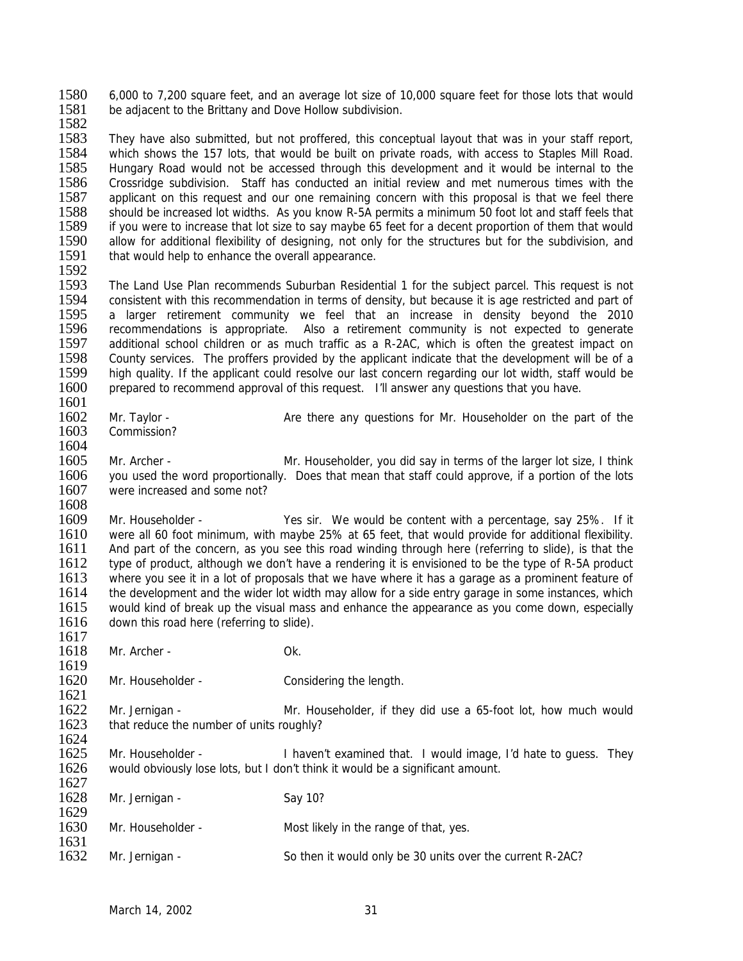1580 6,000 to 7,200 square feet, and an average lot size of 10,000 square feet for those lots that would 1581 be adiacent to the Brittany and Dove Hollow subdivision be adjacent to the Brittany and Dove Hollow subdivision.

1582

1583 They have also submitted, but not proffered, this conceptual layout that was in your staff report,<br>1584 which shows the 157 lots, that would be built on private roads, with access to Staples Mill Road. 1584 which shows the 157 lots, that would be built on private roads, with access to Staples Mill Road.<br>1585 Hungary Road would not be accessed through this development and it would be internal to the Hungary Road would not be accessed through this development and it would be internal to the 1586 Crossridge subdivision. Staff has conducted an initial review and met numerous times with the 1587 applicant on this request and our one remaining concern with this proposal is that we feel there 1587 applicant on this request and our one remaining concern with this proposal is that we feel there<br>1588 should be increased lot widths. As you know R-5A permits a minimum 50 foot lot and staff feels that 1588 should be increased lot widths. As you know R-5A permits a minimum 50 foot lot and staff feels that 1589 if you were to increase that lot size to say maybe 65 feet for a decent proportion of them that would 1589 if you were to increase that lot size to say maybe 65 feet for a decent proportion of them that would<br>1590 allow for additional flexibility of designing, not only for the structures but for the subdivision, and 1590 allow for additional flexibility of designing, not only for the structures but for the subdivision, and 1591 that would help to enhance the overall appearance. that would help to enhance the overall appearance.

1592

1593 The Land Use Plan recommends Suburban Residential 1 for the subject parcel. This request is not 1594 consistent with this recommendation in terms of density, but because it is age restricted and part of 1594 consistent with this recommendation in terms of density, but because it is age restricted and part of 1595 a larger retirement community we feel that an increase in density beyond the 2010 1595 a larger retirement community we feel that an increase in density beyond the 2010<br>1596 recommendations is appropriate. Also a retirement community is not expected to generate recommendations is appropriate. Also a retirement community is not expected to generate 1597 additional school children or as much traffic as a R-2AC, which is often the greatest impact on 1598 County services. The proffers provided by the applicant indicate that the development will be of a 1598 County services. The proffers provided by the applicant indicate that the development will be of a<br>1599 high quality. If the applicant could resolve our last concern regarding our lot width, staff would be 1599 high quality. If the applicant could resolve our last concern regarding our lot width, staff would be 1600 prepared to recommend approval of this request. I'll answer any questions that you have. prepared to recommend approval of this request. I'll answer any questions that you have.

 $\frac{1601}{1602}$ 1602 Mr. Taylor - Are there any questions for Mr. Householder on the part of the 1603 Commission? Commission?

1604<br>1605

Mr. Archer - Mr. Householder, you did say in terms of the larger lot size, I think 1606 you used the word proportionally. Does that mean that staff could approve, if a portion of the lots 1607 were increased and some not?

1608

1609 Mr. Householder - Yes sir. We would be content with a percentage, say 25%. If it 1610 were all 60 foot minimum, with maybe 25% at 65 feet, that would provide for additional flexibility. 1610 were all 60 foot minimum, with maybe 25% at 65 feet, that would provide for additional flexibility.<br>1611 And part of the concern, as you see this road winding through here (referring to slide), is that the 1611 And part of the concern, as you see this road winding through here (referring to slide), is that the 1612 type of product although we don't have a rendering it is envisioned to be the type of R-5A product 1612 type of product, although we don't have a rendering it is envisioned to be the type of R-5A product 1613 where you see it in a lot of proposals that we have where it has a garage as a prominent feature of 1613 where you see it in a lot of proposals that we have where it has a garage as a prominent feature of 1614 the development and the wider lot width may allow for a side entry garage in some instances, which 1614 the development and the wider lot width may allow for a side entry garage in some instances, which<br>1615 would kind of break up the visual mass and enhance the appearance as you come down, especially would kind of break up the visual mass and enhance the appearance as you come down, especially 1616 down this road here (referring to slide). 1617

1618 Mr. Archer - Ok.

1619<br>1620 Mr. Householder - Considering the length.

 $\frac{1621}{1622}$ 1622 Mr. Jernigan - Mr. Householder, if they did use a 65-foot lot, how much would 1623 that reduce the number of units roughly? that reduce the number of units roughly?

 $\frac{1624}{1625}$ Mr. Householder - I haven't examined that. I would image, I'd hate to guess. They 1626 would obviously lose lots, but I don't think it would be a significant amount.

| 1627 |                   |                                                           |
|------|-------------------|-----------------------------------------------------------|
| 1628 | Mr. Jernigan -    | Say 10?                                                   |
| 1629 |                   |                                                           |
| 1630 | Mr. Householder - | Most likely in the range of that, yes.                    |
| 1631 |                   |                                                           |
| 1632 | Mr. Jernigan -    | So then it would only be 30 units over the current R-2AC? |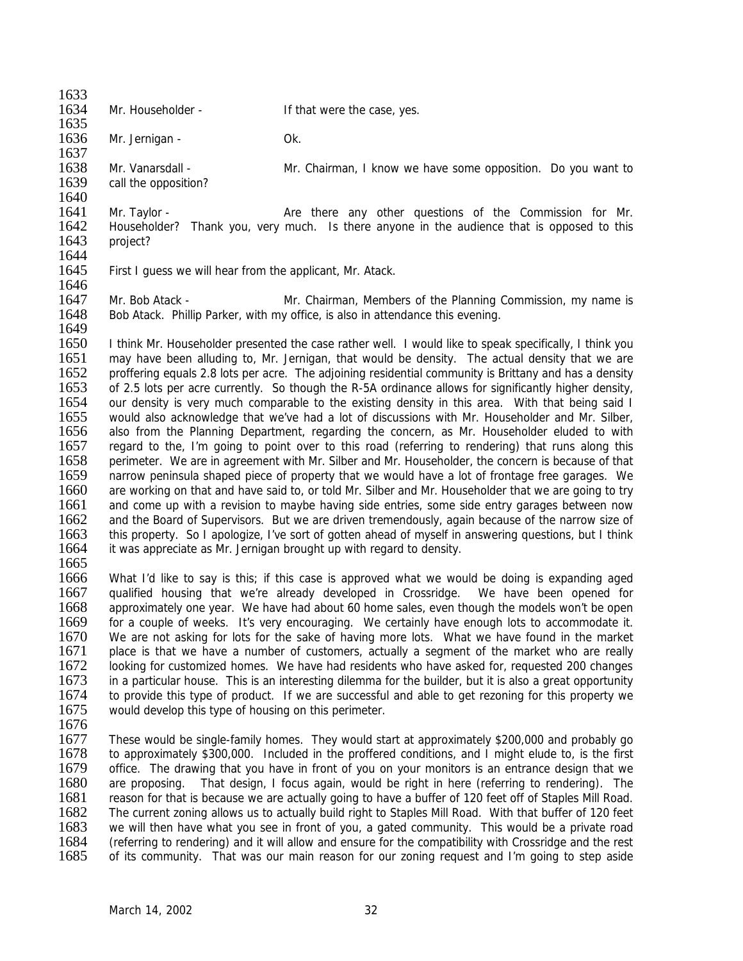1633<br>1634

1635

Mr. Householder - The Mat were the case, yes.

1636 Mr. Jernigan - Ok.

1637

1638 Mr. Vanarsdall - Mr. Chairman, I know we have some opposition. Do you want to 1639 call the opposition?

1640<br>1641 1641 Mr. Taylor - Are there any other questions of the Commission for Mr.<br>1642 Householder? Thank you, very much. Is there anyone in the audience that is opposed to this 1642 Householder? Thank you, very much. Is there anyone in the audience that is opposed to this 1643 project? project?

- 1644<br>1645
- First I guess we will hear from the applicant, Mr. Atack.

1646<br>1647

Mr. Bob Atack - Mr. Chairman, Members of the Planning Commission, my name is 1648 Bob Atack. Phillip Parker, with my office, is also in attendance this evening. 1649

1650 I think Mr. Householder presented the case rather well. I would like to speak specifically, I think you 1651 may have been alluding to, Mr. Jernigan, that would be density. The actual density that we are 1652 proffering equals 2.8 lots per acre. The adioining residential community is Brittany and has a density 1652 proffering equals 2.8 lots per acre. The adjoining residential community is Brittany and has a density<br>1653 of 2.5 lots per acre currently. So though the R-5A ordinance allows for significantly higher density. 1653 of 2.5 lots per acre currently. So though the R-5A ordinance allows for significantly higher density, 1654 our density is very much comparable to the existing density in this area. With that being said I 1654 our density is very much comparable to the existing density in this area. With that being said I<br>1655 would also acknowledge that we've had a lot of discussions with Mr. Householder and Mr. Silber. would also acknowledge that we've had a lot of discussions with Mr. Householder and Mr. Silber, 1656 also from the Planning Department, regarding the concern, as Mr. Householder eluded to with 1657 regard to the, I'm going to point over to this road (referring to rendering) that runs along this 1658 perimeter. We are in agreement with Mr. Silber and Mr. Householder, the concern is because of that 1659 narrow peninsula shaped piece of property that we would have a lot of frontage free garages. We 1660 are working on that and have said to, or told Mr. Silber and Mr. Householder that we are going to try 1661 and come up with a revision to maybe having side entries, some side entry garages between now 1662 and the Board of Supervisors. But we are driven tremendously, again because of the narrow size of 1663 this property. So I apologize, I've sort of gotten ahead of myself in answering questions, but I think 1663 this property. So I apologize, I've sort of gotten ahead of myself in answering questions, but I think 1664 it was appreciate as Mr. Jernigan brought up with regard to density. it was appreciate as Mr. Jernigan brought up with regard to density.

1665<br>1666

What I'd like to say is this; if this case is approved what we would be doing is expanding aged 1667 qualified housing that we're already developed in Crossridge. We have been opened for<br>1668 approximately one year. We have had about 60 home sales, even though the models won't be open approximately one year. We have had about 60 home sales, even though the models won't be open 1669 for a couple of weeks. It's very encouraging. We certainly have enough lots to accommodate it. 1670 We are not asking for lots for the sake of having more lots. What we have found in the market 1671 place is that we have a number of customers, actually a segment of the market who are really 1672 looking for customized homes. We have had residents who have asked for, requested 200 changes<br>1673 in a particular house. This is an interesting dilemma for the builder, but it is also a great opportunity 1673 in a particular house. This is an interesting dilemma for the builder, but it is also a great opportunity<br>1674 to provide this type of product. If we are successful and able to get rezoning for this property we 1674 to provide this type of product. If we are successful and able to get rezoning for this property we <br>1675 would develop this type of housing on this perimeter. would develop this type of housing on this perimeter.

1676

1677 These would be single-family homes. They would start at approximately \$200,000 and probably go<br>1678 to approximately \$300,000. Included in the proffered conditions, and I might elude to, is the first 1678 to approximately \$300,000. Included in the proffered conditions, and I might elude to, is the first 1679 office. The drawing that you have in front of you on your monitors is an entrance design that we office. The drawing that you have in front of you on your monitors is an entrance design that we 1680 are proposing. That design, I focus again, would be right in here (referring to rendering). The 1681 reason for that is because we are actually going to have a buffer of 120 feet off of Staples Mill Road. 1682 The current zoning allows us to actually build right to Staples Mill Road. With that buffer of 120 feet 1683 we will then have what you see in front of you. a gated community. This would be a private road 1683 we will then have what you see in front of you, a gated community. This would be a private road 1684 (referring to rendering) and it will allow and ensure for the compatibility with Crossridge and the rest 1684 (referring to rendering) and it will allow and ensure for the compatibility with Crossridge and the rest<br>1685 of its community. That was our main reason for our zoning request and I'm going to step aside of its community. That was our main reason for our zoning request and I'm going to step aside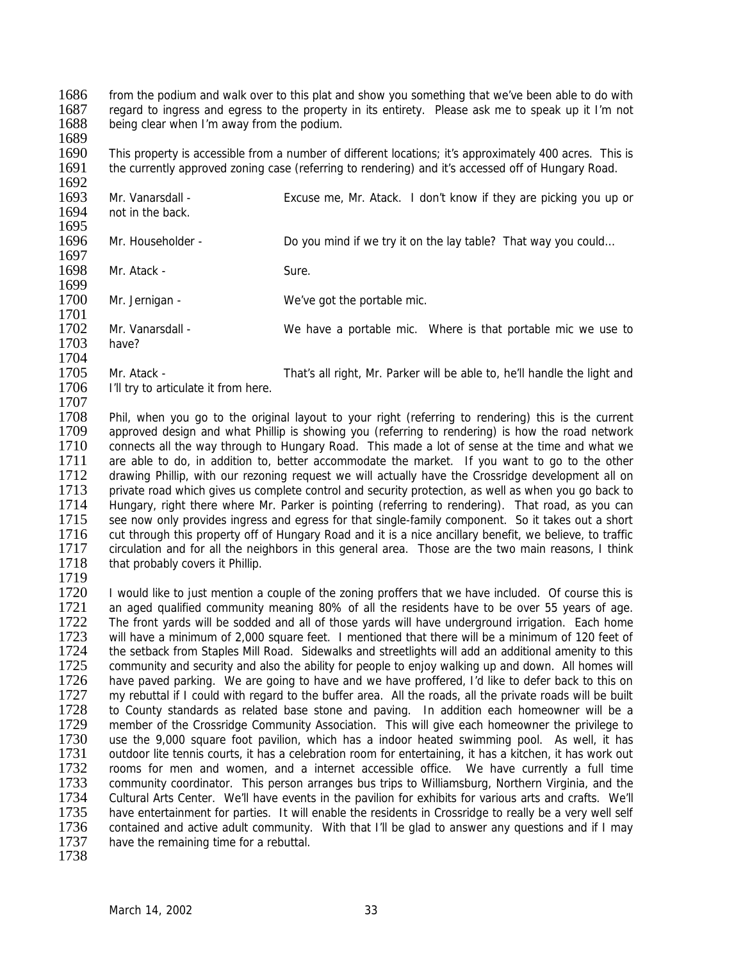1686 from the podium and walk over to this plat and show you something that we've been able to do with 1687 regard to ingress and egress to the property in its entirety. Please ask me to speak up it I'm not 1687 regard to ingress and egress to the property in its entirety. Please ask me to speak up it I'm not 1688 being clear when I'm away from the podium. being clear when I'm away from the podium.

1689<br>1690

1690 This property is accessible from a number of different locations; it's approximately 400 acres. This is 1691 the currently approved zoning case (referring to rendering) and it's accessed off of Hungary Road. the currently approved zoning case (referring to rendering) and it's accessed off of Hungary Road.

1692<br>1693 1693 Mr. Vanarsdall - Excuse me, Mr. Atack. I don't know if they are picking you up or 1694 not in the back. not in the back. 1695<br>1696 Mr. Householder - Do you mind if we try it on the lay table? That way you could... 1697<br>1698 Mr. Atack - Sure. 1699<br>1700 Mr. Jernigan - We've got the portable mic. 1701<br>1702 Mr. Vanarsdall - We have a portable mic. Where is that portable mic we use to 1703 have? 1704<br>1705 1705 Mr. Atack - That's all right, Mr. Parker will be able to, he'll handle the light and 1706 I'll try to articulate it from here. I'll try to articulate it from here.

1707<br>1708 1708 Phil, when you go to the original layout to your right (referring to rendering) this is the current 1709 approved design and what Phillip is showing you (referring to rendering) is how the road network approved design and what Phillip is showing you (referring to rendering) is how the road network 1710 connects all the way through to Hungary Road. This made a lot of sense at the time and what we<br>1711 are able to do, in addition to, better accommodate the market. If you want to go to the other 1711 are able to do, in addition to, better accommodate the market. If you want to go to the other 1712 drawing Phillip, with our rezoning request we will actually have the Crossridge development all on drawing Phillip, with our rezoning request we will actually have the Crossridge development all on 1713 private road which gives us complete control and security protection, as well as when you go back to 1714 Hungary, right there where Mr. Parker is pointing (referring to rendering). That road, as you can 1715 see now only provides ingress and egress for that single-family component. So it takes out a short 1716 cut through this property off of Hungary Road and it is a nice ancillary benefit, we believe, to traffic 1716 cut through this property off of Hungary Road and it is a nice ancillary benefit, we believe, to traffic<br>1717 circulation and for all the neighbors in this general area. Those are the two main reasons. I think 1717 circulation and for all the neighbors in this general area. Those are the two main reasons, I think 1718 that probably covers it Phillip. that probably covers it Phillip.

1719<br>1720 1720 I would like to just mention a couple of the zoning proffers that we have included. Of course this is 1721 an aged qualified community meaning 80% of all the residents have to be over 55 years of age. an aged qualified community meaning 80% of all the residents have to be over 55 years of age. 1722 The front yards will be sodded and all of those yards will have underground irrigation. Each home<br>1723 will have a minimum of 2.000 square feet. I mentioned that there will be a minimum of 120 feet of will have a minimum of 2,000 square feet. I mentioned that there will be a minimum of 120 feet of 1724 the setback from Staples Mill Road. Sidewalks and streetlights will add an additional amenity to this 1725 community and security and also the ability for people to enjoy walking up and down. All homes will<br>1726 have paved parking. We are going to have and we have proffered, I'd like to defer back to this on 1726 have paved parking. We are going to have and we have proffered, I'd like to defer back to this on 1727 my rebuttal if I could with regard to the buffer area. All the roads, all the private roads will be built 1727 my rebuttal if I could with regard to the buffer area. All the roads, all the private roads will be built 1728 to County standards as related base stone and paying. In addition each homeowner will be a 1728 to County standards as related base stone and paving. In addition each homeowner will be a<br>1729 member of the Crossridge Community Association. This will give each homeowner the privilege to 1729 member of the Crossridge Community Association. This will give each homeowner the privilege to 1730 use the 9.000 square foot pavilion, which has a indoor heated swimming pool. As well, it has 1730 use the 9,000 square foot pavilion, which has a indoor heated swimming pool. As well, it has 1731 undoor lite tennis courts, it has a celebration room for entertaining, it has a kitchen, it has work out 1731 outdoor lite tennis courts, it has a celebration room for entertaining, it has a kitchen, it has work out<br>1732 rooms for men and women, and a internet accessible office. We have currently a full time rooms for men and women, and a internet accessible office. We have currently a full time 1733 community coordinator. This person arranges bus trips to Williamsburg, Northern Virginia, and the 1734 Cultural Arts Center. We'll have events in the pavilion for exhibits for various arts and crafts. We'll 1735 have entertainment for parties. It will enable the residents in Crossridge to really be a very well self<br>1736 contained and active adult community. With that I'll be glad to answer any questions and if I may 1736 contained and active adult community. With that I'll be glad to answer any questions and if I may 1737 have the remaining time for a rebuttal. have the remaining time for a rebuttal.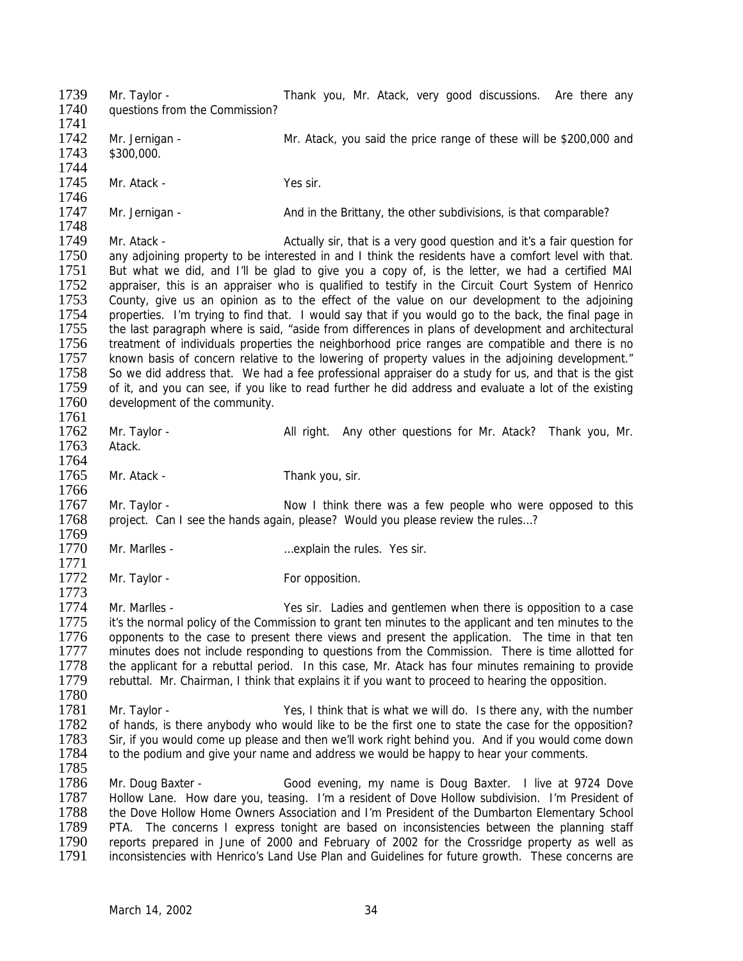1739 Mr. Taylor - Thank you, Mr. Atack, very good discussions. Are there any<br>1740 auestions from the Commission? questions from the Commission? 1741 1742 Mr. Jernigan - Mr. Atack, you said the price range of these will be \$200,000 and 1743 \$300,000. \$300,000. 1744 1745 Mr. Atack - Yes sir. 1746<br>1747 Mr. Jernigan - And in the Brittany, the other subdivisions, is that comparable? 1748<br>1749 1749 Mr. Atack - <br>1750 any adioining property to be interested in and I think the residents have a comfort level with that. 1750 any adjoining property to be interested in and I think the residents have a comfort level with that.<br>1751 But what we did, and I'll be glad to give you a copy of, is the letter, we had a certified MAI But what we did, and I'll be glad to give you a copy of, is the letter, we had a certified MAI 1752 appraiser, this is an appraiser who is qualified to testify in the Circuit Court System of Henrico<br>1753 County, give us an opinion as to the effect of the value on our development to the adjoining County, give us an opinion as to the effect of the value on our development to the adjoining 1754 properties. I'm trying to find that. I would say that if you would go to the back, the final page in 1755 the last paragraph where is said. "aside from differences in plans of development and architectural the last paragraph where is said, "aside from differences in plans of development and architectural 1756 treatment of individuals properties the neighborhood price ranges are compatible and there is no<br>1757 known basis of concern relative to the lowering of property values in the adioining development." 1757 known basis of concern relative to the lowering of property values in the adjoining development."<br>1758 So we did address that. We had a fee professional appraiser do a study for us, and that is the gist 1758 So we did address that. We had a fee professional appraiser do a study for us, and that is the gist 1759 of it. and you can see, if you like to read further he did address and evaluate a lot of the existing 1759 of it, and you can see, if you like to read further he did address and evaluate a lot of the existing 1760 development of the community. development of the community. 1761<br>1762 1762 Mr. Taylor - All right. Any other questions for Mr. Atack? Thank you, Mr. 1763 Atack. 1764 1765 Mr. Atack - Thank you, sir. 1766 1767 Mr. Taylor - Now I think there was a few people who were opposed to this 1768 project. Can I see the hands again, please? Would you please review the rules...? 1769<br>1770 Mr. Marlles - matches and metallicity in the rules. Yes sir. 1771 Mr. Taylor - The Contract of Taylor - The For opposition. 1773<br>1774 Mr. Marlles - The State of Mr. Marles - Yes sir. Ladies and gentlemen when there is opposition to a case 1775 it's the normal policy of the Commission to grant ten minutes to the applicant and ten minutes to the 1776 opponents to the case to present there views and present the application. The time in that ten 1777 minutes does not include responding to questions from the Commission. There is time allotted for 1778 the applicant for a rebuttal period. In this case, Mr. Atack has four minutes remaining to provide 1779 rebuttal. Mr. Chairman, I think that explains it if you want to proceed to hearing the opposition. rebuttal. Mr. Chairman, I think that explains it if you want to proceed to hearing the opposition. 1780<br>1781 1781 Mr. Taylor - Yes, I think that is what we will do. Is there any, with the number 1782 of hands is there any holy who would like to be the first one to state the case for the opposition? 1782 of hands, is there anybody who would like to be the first one to state the case for the opposition?<br>1783 Sir, if you would come up please and then we'll work right behind you. And if you would come down 1783 Sir, if you would come up please and then we'll work right behind you. And if you would come down 1784 to the podium and give your name and address we would be happy to hear your comments. to the podium and give your name and address we would be happy to hear your comments. 1785 1786 Mr. Doug Baxter - Good evening, my name is Doug Baxter. I live at 9724 Dove 1787 Hollow Lane. How dare you, teasing. I'm a resident of Dove Hollow subdivision. I'm President of 1788 the Dove Hollow Home Owners Association and I'm President of the Dumbarton Elementary School<br>1789 PTA. The concerns I express tonight are based on inconsistencies between the planning staff 1789 PTA. The concerns I express tonight are based on inconsistencies between the planning staff<br>1790 reports prepared in June of 2000 and February of 2002 for the Crossridge property as well as 1790 reports prepared in June of 2000 and February of 2002 for the Crossridge property as well as 1791 inconsistencies with Henrico's Land Use Plan and Guidelines for future growth. These concerns are inconsistencies with Henrico's Land Use Plan and Guidelines for future growth. These concerns are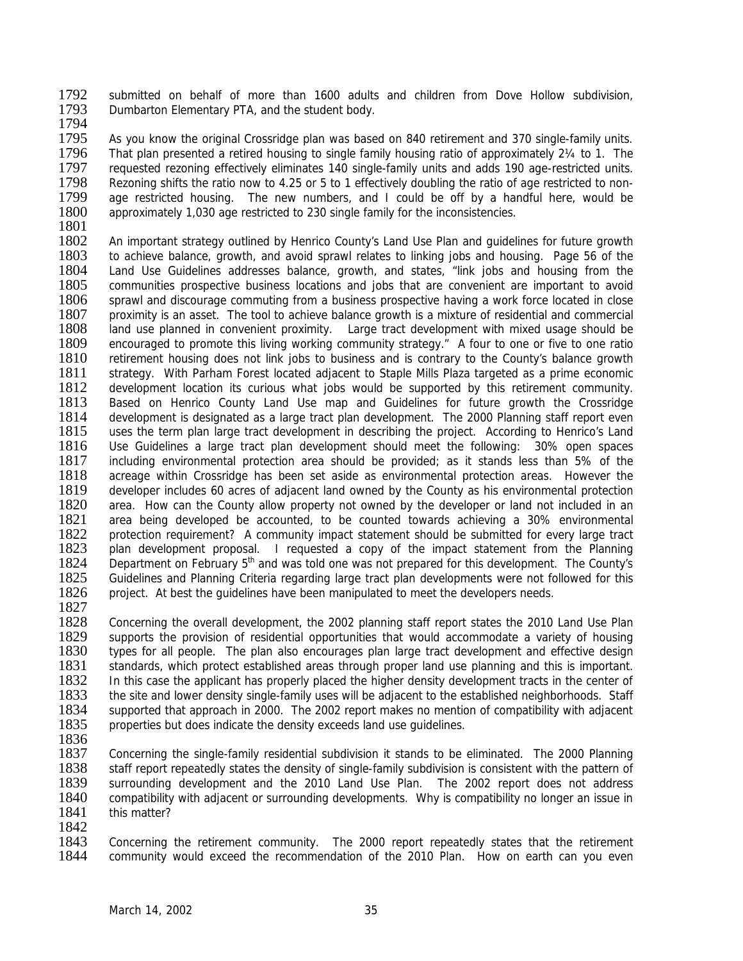1792 submitted on behalf of more than 1600 adults and children from Dove Hollow subdivision,<br>1793 Dumbarton Elementary PTA, and the student body. Dumbarton Elementary PTA, and the student body.

1794

1795 As you know the original Crossridge plan was based on 840 retirement and 370 single-family units.<br>1796 That plan presented a retired housing to single family housing ratio of approximately 21/4 to 1. The 1796 That plan presented a retired housing to single family housing ratio of approximately 2¼ to 1. The 1797 requested rezoning effectively eliminates 140 single-family units and adds 190 age-restricted units. requested rezoning effectively eliminates 140 single-family units and adds 190 age-restricted units. 1798 Rezoning shifts the ratio now to 4.25 or 5 to 1 effectively doubling the ratio of age restricted to non-<br>1799 age restricted housing. The new numbers, and I could be off by a handful here, would be 1799 age restricted housing. The new numbers, and I could be off by a handful here, would be 1800 approximately 1.030 age restricted to 230 single family for the inconsistencies. approximately 1,030 age restricted to 230 single family for the inconsistencies.

1801<br>1802

1802 An important strategy outlined by Henrico County's Land Use Plan and guidelines for future growth 1803 to achieve balance, growth, and avoid sprawl relates to linking jobs and housing. Page 56 of the 1803 to achieve balance, growth, and avoid sprawl relates to linking jobs and housing. Page 56 of the 1804 Land Use Guidelines addresses balance, growth, and states, "link jobs and housing from the Land Use Guidelines addresses balance, growth, and states, "link jobs and housing from the 1805 communities prospective business locations and jobs that are convenient are important to avoid<br>1806 sprawl and discourage commuting from a business prospective having a work force located in close sprawl and discourage commuting from a business prospective having a work force located in close 1807 proximity is an asset. The tool to achieve balance growth is a mixture of residential and commercial 1808 land use planned in convenient proximity. Large tract development with mixed usage should be 1809 encouraged to promote this living working community strategy." A four to one or five to one ratio 1810 retirement housing does not link jobs to business and is contrary to the County's balance growth 1810 retirement housing does not link jobs to business and is contrary to the County's balance growth 1811 strategy. With Parham Forest located adiacent to Staple Mills Plaza targeted as a prime economic 1811 strategy. With Parham Forest located adjacent to Staple Mills Plaza targeted as a prime economic<br>1812 development location its curious what iobs would be supported by this retirement community. 1812 development location its curious what jobs would be supported by this retirement community.<br>1813 Based on Henrico County Land Use map and Guidelines for future growth the Crossridge 1813 Based on Henrico County Land Use map and Guidelines for future growth the Crossridge<br>1814 development is designated as a large tract plan development. The 2000 Planning staff report even 1814 development is designated as a large tract plan development. The 2000 Planning staff report even<br>1815 uses the term plan large tract development in describing the project. According to Henrico's Land uses the term plan large tract development in describing the project. According to Henrico's Land 1816 Use Guidelines a large tract plan development should meet the following: 30% open spaces<br>1817 including environmental protection area should be provided; as it stands less than 5% of the including environmental protection area should be provided; as it stands less than 5% of the 1818 acreage within Crossridge has been set aside as environmental protection areas. However the 1819 developer includes 60 acres of adjacent land owned by the County as his environmental protection 1820 area. How can the County allow property not owned by the developer or land not included in an 1821 area being developed be accounted, to be counted towards achieving a 30% environmental 1822 protection requirement? A community impact statement should be submitted for every large tract 1822 protection requirement? A community impact statement should be submitted for every large tract 1823 plan development proposal. I requested a copy of the impact statement from the Planning 1823 plan development proposal. I requested a copy of the impact statement from the Planning 1824 Department on February  $5<sup>th</sup>$  and was told one was not prepared for this development. The County's 1824 Department on February 5<sup>th</sup> and was told one was not prepared for this development. The County's 1825 Guidelines and Planning Criteria regarding large tract plan developments were not followed for this Guidelines and Planning Criteria regarding large tract plan developments were not followed for this 1826 project. At best the guidelines have been manipulated to meet the developers needs.

1827

1828 Concerning the overall development, the 2002 planning staff report states the 2010 Land Use Plan 1829 supports the provision of residential opportunities that would accommodate a variety of housing 1830 types for all people. The plan also encourages plan large tract development and effective design 1831 standards, which protect established areas through proper land use planning and this is important.<br>1832 In this case the applicant has properly placed the higher density development tracts in the center of 1832 In this case the applicant has properly placed the higher density development tracts in the center of 1833 the site and lower density single-family uses will be adiacent to the established neighborhoods. Staff 1833 the site and lower density single-family uses will be adjacent to the established neighborhoods. Staff<br>1834 supported that approach in 2000. The 2002 report makes no mention of compatibility with adjacent 1834 supported that approach in 2000. The 2002 report makes no mention of compatibility with adjacent 1835 properties but does indicate the density exceeds land use quidelines. properties but does indicate the density exceeds land use quidelines.

1836<br>1837

1837 Concerning the single-family residential subdivision it stands to be eliminated. The 2000 Planning 1838 staff report repeatedly states the density of single-family subdivision is consistent with the pattern of staff report repeatedly states the density of single-family subdivision is consistent with the pattern of 1839 surrounding development and the 2010 Land Use Plan. The 2002 report does not address 1840 compatibility with adjacent or surrounding developments. Why is compatibility no longer an issue in 1841 this matter?

1842<br>1843 1843 Concerning the retirement community. The 2000 report repeatedly states that the retirement 1844 community would exceed the recommendation of the 2010 Plan. How on earth can you even community would exceed the recommendation of the 2010 Plan. How on earth can you even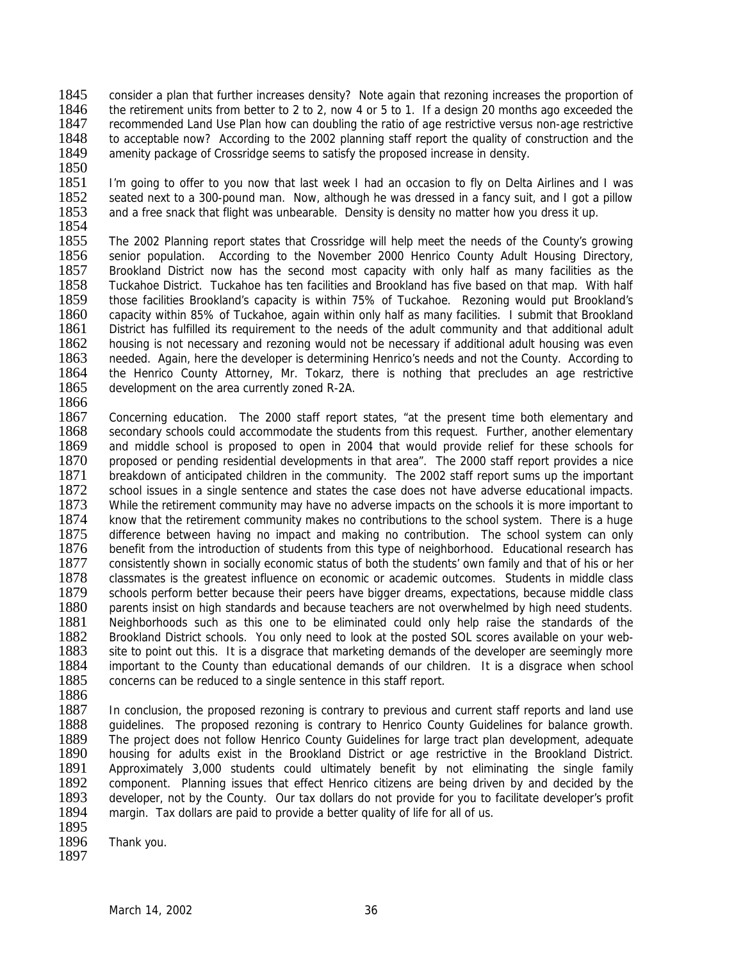- 1845 consider a plan that further increases density? Note again that rezoning increases the proportion of 1846 the retirement units from better to 2 to 2 now 4 or 5 to 1. If a design 20 months ago exceeded the 1846 the retirement units from better to 2 to 2, now 4 or 5 to 1. If a design 20 months ago exceeded the 1847 recommended Land Use Plan how can doubling the ratio of age restrictive versus non-age restrictive recommended Land Use Plan how can doubling the ratio of age restrictive versus non-age restrictive 1848 to acceptable now? According to the 2002 planning staff report the quality of construction and the 1849 amenity package of Crossridge seems to satisfy the proposed increase in density. amenity package of Crossridge seems to satisfy the proposed increase in density.
- 1850

1851 I'm going to offer to you now that last week I had an occasion to fly on Delta Airlines and I was 1852 seated next to a 300-pound man. Now, although he was dressed in a fancy suit, and I got a pillow 1852 seated next to a 300-pound man. Now, although he was dressed in a fancy suit, and I got a pillow 1853 and a free snack that flight was unbearable. Density is density no matter how you dress it up. and a free snack that flight was unbearable. Density is density no matter how you dress it up.

1854<br>1855

1855 The 2002 Planning report states that Crossridge will help meet the needs of the County's growing<br>1856 senior population. According to the November 2000 Henrico County Adult Housing Directory. 1856 senior population. According to the November 2000 Henrico County Adult Housing Directory,<br>1857 Brookland District now has the second most capacity with only half as many facilities as the Brookland District now has the second most capacity with only half as many facilities as the 1858 Tuckahoe District. Tuckahoe has ten facilities and Brookland has five based on that map. With half 1859 those facilities Brookland's capacity is within 75% of Tuckahoe. Rezoning would put Brookland's those facilities Brookland's capacity is within 75% of Tuckahoe. Rezoning would put Brookland's 1860 capacity within 85% of Tuckahoe, again within only half as many facilities. I submit that Brookland 1861 District has fulfilled its requirement to the needs of the adult community and that additional adult 1862 housing is not necessary and rezoning would not be necessary if additional adult housing was even<br>1863 needed. Again, here the developer is determining Henrico's needs and not the County. According to 1863 needed. Again, here the developer is determining Henrico's needs and not the County. According to 1864 the Henrico County Attorney. Mr. Tokarz, there is nothing that precludes an age restrictive 1864 the Henrico County Attorney, Mr. Tokarz, there is nothing that precludes an age restrictive 1865 development on the area currently zoned R-2A. development on the area currently zoned R-2A.

1866<br>1867 1867 Concerning education. The 2000 staff report states, "at the present time both elementary and 1868 secondary schools could accommodate the students from this request. Further, another elementary secondary schools could accommodate the students from this request. Further, another elementary 1869 and middle school is proposed to open in 2004 that would provide relief for these schools for 1870 proposed or pending residential developments in that area". The 2000 staff report provides a nice proposed or pending residential developments in that area". The 2000 staff report provides a nice 1871 breakdown of anticipated children in the community. The 2002 staff report sums up the important 1872 school issues in a single sentence and states the case does not have adverse educational impacts. 1873 While the retirement community may have no adverse impacts on the schools it is more important to 1874 know that the retirement community makes no contributions to the school system. There is a huge<br>1875 difference between having no impact and making no contribution. The school system can only 1875 difference between having no impact and making no contribution. The school system can only 1876 benefit from the introduction of students from this type of neighborhood. Educational research has 1876 benefit from the introduction of students from this type of neighborhood. Educational research has 1877 consistently shown in socially economic status of both the students' own family and that of his or her 1877 consistently shown in socially economic status of both the students' own family and that of his or her 1878 classmates is the greatest influence on economic or academic outcomes. Students in middle class 1878 classmates is the greatest influence on economic or academic outcomes. Students in middle class 1879 schools perform better because their peers have bigger dreams, expectations, because middle class 1879 schools perform better because their peers have bigger dreams, expectations, because middle class<br>1880 parents insist on high standards and because teachers are not overwhelmed by high need students. parents insist on high standards and because teachers are not overwhelmed by high need students. 1881 Neighborhoods such as this one to be eliminated could only help raise the standards of the 1882 Brookland District schools. You only need to look at the posted SOL scores available on your web-1883 site to point out this. It is a disgrace that marketing demands of the developer are seemingly more 1884 important to the County than educational demands of our children. It is a disgrace when school 1885 concerns can be reduced to a single sentence in this staff report. concerns can be reduced to a single sentence in this staff report.

1886<br>1887 In conclusion, the proposed rezoning is contrary to previous and current staff reports and land use 1888 guidelines. The proposed rezoning is contrary to Henrico County Guidelines for balance growth.<br>1889 The project does not follow Henrico County Guidelines for large tract plan development, adequate 1889 The project does not follow Henrico County Guidelines for large tract plan development, adequate 1890 housing for adults exist in the Brookland District. 1890 housing for adults exist in the Brookland District or age restrictive in the Brookland District.<br>1891 Approximately 3,000 students could ultimately benefit by not eliminating the single family 1891 Approximately 3,000 students could ultimately benefit by not eliminating the single family 1892 component. Planning issues that effect Henrico citizens are being driven by and decided by the component. Planning issues that effect Henrico citizens are being driven by and decided by the 1893 developer, not by the County. Our tax dollars do not provide for you to facilitate developer's profit 1894 margin. Tax dollars are paid to provide a better quality of life for all of us.

1895<br>1896

Thank you. 1897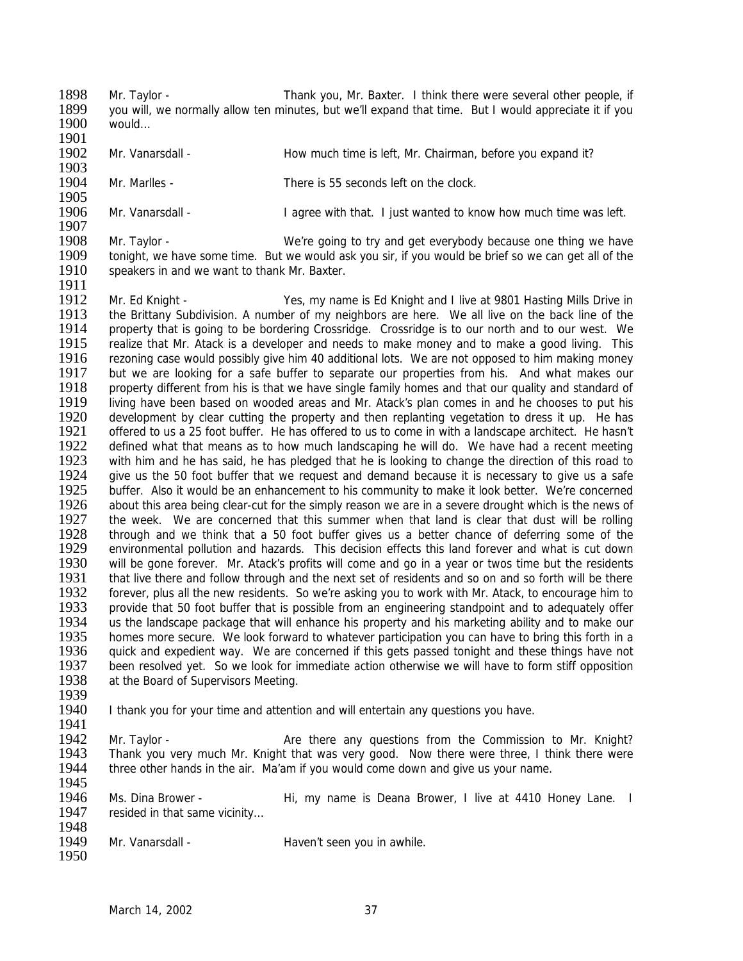1898 Mr. Taylor - Thank you, Mr. Baxter. I think there were several other people, if<br>1899 vou will we normally allow ten minutes but we'll expand that time. But I would appreciate it if you. 1899 you will, we normally allow ten minutes, but we'll expand that time. But I would appreciate it if you 1900 1900 would…

- 1901<br>1902 Mr. Vanarsdall - How much time is left, Mr. Chairman, before you expand it?
- 1903<br>1904 Mr. Marlles - There is 55 seconds left on the clock.

1905<br>1906 Mr. Vanarsdall - I agree with that. I just wanted to know how much time was left.

- 1907<br>1908 1908 Mr. Taylor - We're going to try and get everybody because one thing we have<br>1909 tonight, we have some time. But we would ask you sir, if you would be brief so we can get all of the 1909 tonight, we have some time. But we would ask you sir, if you would be brief so we can get all of the 1910 speakers in and we want to thank Mr. Baxter. speakers in and we want to thank Mr. Baxter.
- 1911 1912 Mr. Ed Knight - Yes, my name is Ed Knight and I live at 9801 Hasting Mills Drive in<br>1913 the Brittany Subdivision. A number of my neighbors are here. We all live on the back line of the 1913 the Brittany Subdivision. A number of my neighbors are here. We all live on the back line of the 1914 property that is going to be bordering Crossridge. Crossridge is to our north and to our west. We 1914 property that is going to be bordering Crossridge. Crossridge is to our north and to our west. We 1915 realize that Mr. Atack is a developer and needs to make money and to make a good living. This<br>1916 rezoning case would possibly give him 40 additional lots. We are not opposed to him making money 1916 Frezoning case would possibly give him 40 additional lots. We are not opposed to him making money<br>1917 Fout we are looking for a safe buffer to separate our properties from his. And what makes our 1917 but we are looking for a safe buffer to separate our properties from his. And what makes our 1918 property different from his is that we have single family homes and that our quality and standard of 1918 property different from his is that we have single family homes and that our quality and standard of 1919 living have been based on wooded areas and Mr. Atack's plan comes in and he chooses to put his 1919 living have been based on wooded areas and Mr. Atack's plan comes in and he chooses to put his<br>1920 development by clear cutting the property and then replanting vegetation to dress it up. He has 1920 development by clear cutting the property and then replanting vegetation to dress it up. He has<br>1921 offered to us a 25 foot buffer. He has offered to us to come in with a landscape architect. He hasn't offered to us a 25 foot buffer. He has offered to us to come in with a landscape architect. He hasn't 1922 defined what that means as to how much landscaping he will do. We have had a recent meeting<br>1923 with him and he has said, he has pledged that he is looking to change the direction of this road to 1923 with him and he has said, he has pledged that he is looking to change the direction of this road to 1924 give us the 50 foot buffer that we request and demand because it is necessary to give us a safe give us the 50 foot buffer that we request and demand because it is necessary to give us a safe 1925 buffer. Also it would be an enhancement to his community to make it look better. We're concerned<br>1926 about this area being clear-cut for the simply reason we are in a severe drought which is the news of about this area being clear-cut for the simply reason we are in a severe drought which is the news of 1927 the week. We are concerned that this summer when that land is clear that dust will be rolling<br>1928 through and we think that a 50 foot buffer gives us a better chance of deferring some of the 1928 through and we think that a 50 foot buffer gives us a better chance of deferring some of the<br>1929 environmental pollution and hazards. This decision effects this land forever and what is cut down 1929 environmental pollution and hazards. This decision effects this land forever and what is cut down<br>1930 will be gone forever. Mr. Atack's profits will come and go in a vear or twos time but the residents 1930 will be gone forever. Mr. Atack's profits will come and go in a year or twos time but the residents<br>1931 that live there and follow through and the next set of residents and so on and so forth will be there 1931 that live there and follow through and the next set of residents and so on and so forth will be there<br>1932 forever, plus all the new residents. So we're asking you to work with Mr. Atack, to encourage him to 1932 forever, plus all the new residents. So we're asking you to work with Mr. Atack, to encourage him to 1933 provide that 50 foot buffer that is possible from an engineering standpoint and to adequately offer provide that 50 foot buffer that is possible from an engineering standpoint and to adequately offer 1934 us the landscape package that will enhance his property and his marketing ability and to make our 1935 homes more secure. We look forward to whatever participation you can have to bring this forth in a homes more secure. We look forward to whatever participation you can have to bring this forth in a 1936 quick and expedient way. We are concerned if this gets passed tonight and these things have not 1937 been resolved vet. So we look for immediate action otherwise we will have to form stiff opposition 1937 been resolved yet. So we look for immediate action otherwise we will have to form stiff opposition 1938 at the Board of Supervisors Meeting. at the Board of Supervisors Meeting.
- 1939<br>1940 I thank you for your time and attention and will entertain any questions you have.
- 1941<br>1942

- 1942 Mr. Taylor **Are there any questions from the Commission to Mr. Knight?**<br>1943 Thank you very much Mr. Knight that was very good. Now there were three. I think there were 1943 Thank you very much Mr. Knight that was very good. Now there were three, I think there were 1944 three other hands in the air. Ma'am if you would come down and give us your name. three other hands in the air. Ma'am if you would come down and give us your name. 1945
- 1946 Ms. Dina Brower Hi, my name is Deana Brower, I live at 4410 Honey Lane. I 1947 resided in that same vicinity...
- 1948<br>1949 Mr. Vanarsdall - Haven't seen you in awhile.
	- March 14, 2002 37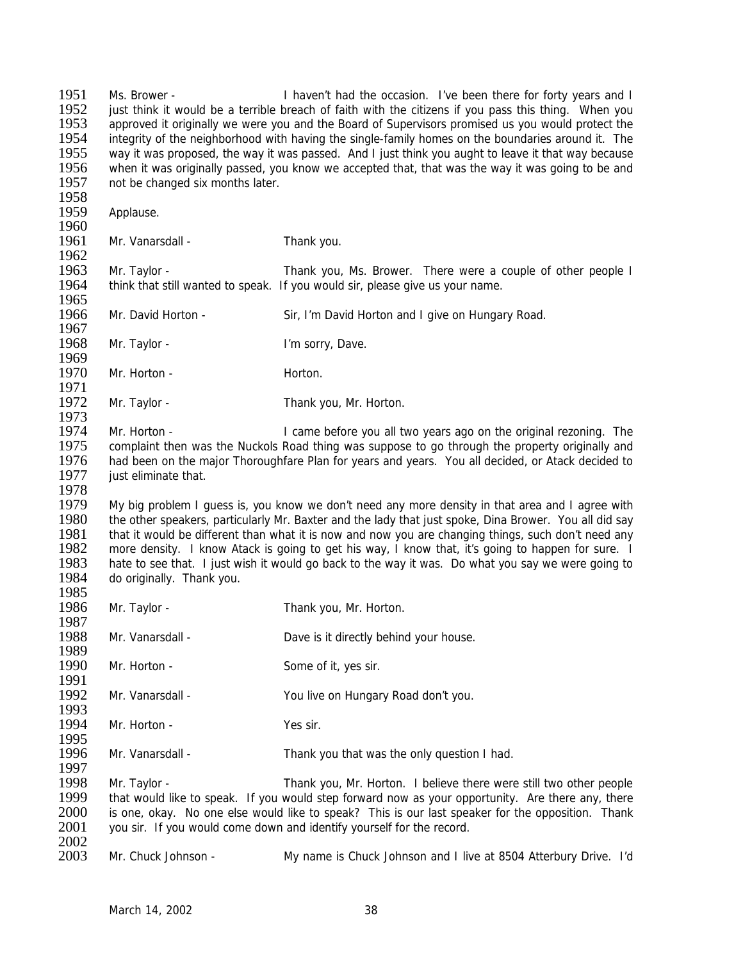| 1951<br>1952<br>1953<br>1954<br>1955<br>1956<br>1957 | Ms. Brower -<br>not be changed six months later. | I haven't had the occasion. I've been there for forty years and I<br>just think it would be a terrible breach of faith with the citizens if you pass this thing. When you<br>approved it originally we were you and the Board of Supervisors promised us you would protect the<br>integrity of the neighborhood with having the single-family homes on the boundaries around it. The<br>way it was proposed, the way it was passed. And I just think you aught to leave it that way because<br>when it was originally passed, you know we accepted that, that was the way it was going to be and |
|------------------------------------------------------|--------------------------------------------------|--------------------------------------------------------------------------------------------------------------------------------------------------------------------------------------------------------------------------------------------------------------------------------------------------------------------------------------------------------------------------------------------------------------------------------------------------------------------------------------------------------------------------------------------------------------------------------------------------|
| 1958<br>1959                                         | Applause.                                        |                                                                                                                                                                                                                                                                                                                                                                                                                                                                                                                                                                                                  |
| 1960<br>1961<br>1962                                 | Mr. Vanarsdall -                                 | Thank you.                                                                                                                                                                                                                                                                                                                                                                                                                                                                                                                                                                                       |
| 1963<br>1964                                         | Mr. Taylor -                                     | Thank you, Ms. Brower. There were a couple of other people I<br>think that still wanted to speak. If you would sir, please give us your name.                                                                                                                                                                                                                                                                                                                                                                                                                                                    |
| 1965<br>1966<br>1967                                 | Mr. David Horton -                               | Sir, I'm David Horton and I give on Hungary Road.                                                                                                                                                                                                                                                                                                                                                                                                                                                                                                                                                |
| 1968<br>1969                                         | Mr. Taylor -                                     | I'm sorry, Dave.                                                                                                                                                                                                                                                                                                                                                                                                                                                                                                                                                                                 |
| 1970<br>1971                                         | Mr. Horton -                                     | Horton.                                                                                                                                                                                                                                                                                                                                                                                                                                                                                                                                                                                          |
| 1972<br>1973                                         | Mr. Taylor -                                     | Thank you, Mr. Horton.                                                                                                                                                                                                                                                                                                                                                                                                                                                                                                                                                                           |
| 1974<br>1975<br>1976<br>1977<br>1978                 | Mr. Horton -<br>just eliminate that.             | I came before you all two years ago on the original rezoning. The<br>complaint then was the Nuckols Road thing was suppose to go through the property originally and<br>had been on the major Thoroughfare Plan for years and years. You all decided, or Atack decided to                                                                                                                                                                                                                                                                                                                        |
| 1979<br>1980<br>1981<br>1982<br>1983<br>1984<br>1985 | do originally. Thank you.                        | My big problem I guess is, you know we don't need any more density in that area and I agree with<br>the other speakers, particularly Mr. Baxter and the lady that just spoke, Dina Brower. You all did say<br>that it would be different than what it is now and now you are changing things, such don't need any<br>more density. I know Atack is going to get his way, I know that, it's going to happen for sure. I<br>hate to see that. I just wish it would go back to the way it was. Do what you say we were going to                                                                     |
| 1986<br>1987                                         | Mr. Taylor -                                     | Thank you, Mr. Horton.                                                                                                                                                                                                                                                                                                                                                                                                                                                                                                                                                                           |
| 1988<br>1989                                         | Mr. Vanarsdall -                                 | Dave is it directly behind your house.                                                                                                                                                                                                                                                                                                                                                                                                                                                                                                                                                           |
| 1990<br>1991                                         | Mr. Horton -                                     | Some of it, yes sir.                                                                                                                                                                                                                                                                                                                                                                                                                                                                                                                                                                             |
| 1992<br>1993                                         | Mr. Vanarsdall -                                 | You live on Hungary Road don't you.                                                                                                                                                                                                                                                                                                                                                                                                                                                                                                                                                              |
| 1994<br>1995                                         | Mr. Horton -                                     | Yes sir.                                                                                                                                                                                                                                                                                                                                                                                                                                                                                                                                                                                         |
| 1996<br>1997                                         | Mr. Vanarsdall -                                 | Thank you that was the only question I had.                                                                                                                                                                                                                                                                                                                                                                                                                                                                                                                                                      |
| 1998<br>1999<br>2000<br>2001                         | Mr. Taylor -                                     | Thank you, Mr. Horton. I believe there were still two other people<br>that would like to speak. If you would step forward now as your opportunity. Are there any, there<br>is one, okay. No one else would like to speak? This is our last speaker for the opposition. Thank<br>you sir. If you would come down and identify yourself for the record.                                                                                                                                                                                                                                            |
| 2002<br>2003                                         | Mr. Chuck Johnson -                              | My name is Chuck Johnson and I live at 8504 Atterbury Drive. I'd                                                                                                                                                                                                                                                                                                                                                                                                                                                                                                                                 |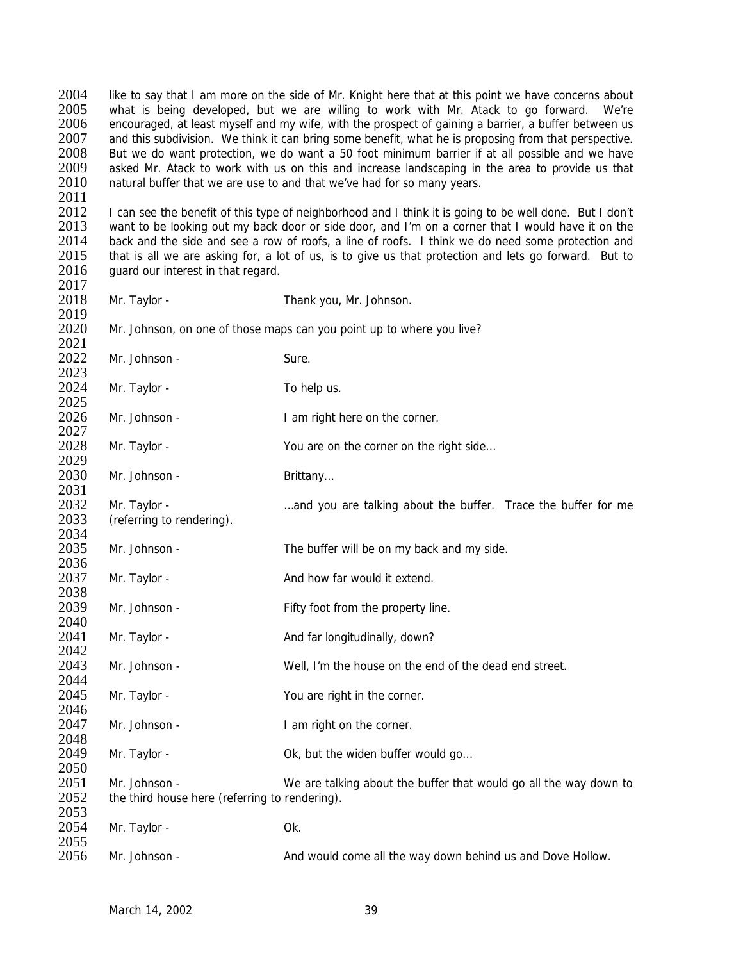2004 like to say that I am more on the side of Mr. Knight here that at this point we have concerns about 2005 what is being developed but we are willing to work with Mr. Atack to go forward. We're 2005 what is being developed, but we are willing to work with Mr. Atack to go forward. We're 2006 encouraged at least myself and my wife, with the prospect of gaining a barrier, a buffer between us encouraged, at least myself and my wife, with the prospect of gaining a barrier, a buffer between us 2007 and this subdivision. We think it can bring some benefit, what he is proposing from that perspective. 2008 But we do want protection, we do want a 50 foot minimum barrier if at all possible and we have 2009 asked Mr. Atack to work with us on this and increase landscaping in the area to provide us that 2010 natural buffer that we are use to and that we've had for so many years. 2011<br>2012 2012 I can see the benefit of this type of neighborhood and I think it is going to be well done. But I don't 2013 want to be looking out my back door or side door, and I'm on a corner that I would have it on the 2013 want to be looking out my back door or side door, and I'm on a corner that I would have it on the 2014 back and the side and see a row of roofs, a line of roofs. I think we do need some protection and 2014 back and the side and see a row of roofs, a line of roofs. I think we do need some protection and 2015 that is all we are asking for a lot of us, is to give us that protection and lets go forward. But to that is all we are asking for, a lot of us, is to give us that protection and lets go forward. But to 2016 guard our interest in that regard. 2017 2018 Mr. Taylor - Thank you, Mr. Johnson. 2019 2020 Mr. Johnson, on one of those maps can you point up to where you live? 2021<br>2022 Mr. Johnson - Sure. 2023<br>2024 Mr. Taylor - To help us. 2025<br>2026 Mr. Johnson - The I am right here on the corner. 2027 2028 Mr. Taylor - You are on the corner on the right side... 2029 2030 Mr. Johnson - Brittany... 2031 2032 Mr. Taylor - many the state of the buffer. Trace the buffer for me 2033 (referring to rendering). 2034<br>2035 Mr. Johnson - The buffer will be on my back and my side. 2036<br>2037 Mr. Taylor - And how far would it extend. 2038<br>2039 Mr. Johnson - Fifty foot from the property line. 2040 2041 Mr. Taylor - And far longitudinally, down? 2042 2043 Mr. Johnson - Well, I'm the house on the end of the dead end street. 2044<br>2045 Mr. Taylor - You are right in the corner. 2046<br>2047 Mr. Johnson - The I am right on the corner. 2048<br>2049 Mr. Taylor - Case Communication Communication Communication Mr. Taylor -2050 2051 Mr. Johnson - We are talking about the buffer that would go all the way down to 2052 the third house here (referring to rendering). 2053<br>2054 Mr. Taylor - Ok. 2055<br>2056 2056 Mr. Johnson - And would come all the way down behind us and Dove Hollow.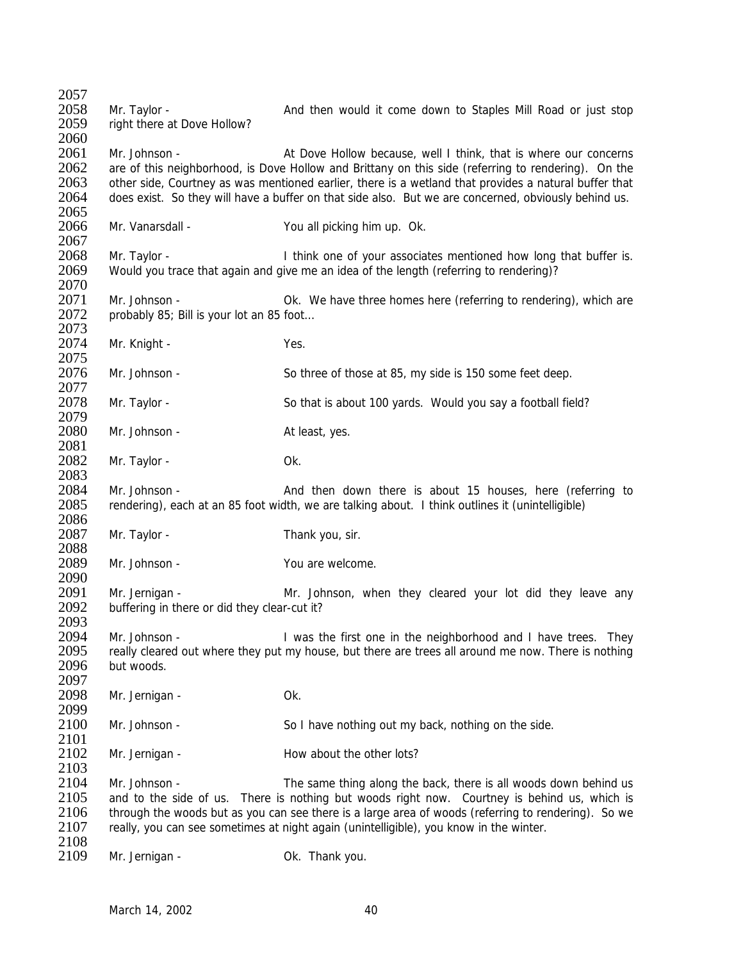| 2057<br>2058                         | Mr. Taylor -                                                   | And then would it come down to Staples Mill Road or just stop                                                                                                                                                                                                                                                                                                                            |
|--------------------------------------|----------------------------------------------------------------|------------------------------------------------------------------------------------------------------------------------------------------------------------------------------------------------------------------------------------------------------------------------------------------------------------------------------------------------------------------------------------------|
| 2059<br>2060                         | right there at Dove Hollow?                                    |                                                                                                                                                                                                                                                                                                                                                                                          |
| 2061<br>2062<br>2063<br>2064<br>2065 | Mr. Johnson -                                                  | At Dove Hollow because, well I think, that is where our concerns<br>are of this neighborhood, is Dove Hollow and Brittany on this side (referring to rendering). On the<br>other side, Courtney as was mentioned earlier, there is a wetland that provides a natural buffer that<br>does exist. So they will have a buffer on that side also. But we are concerned, obviously behind us. |
| 2066<br>2067                         | Mr. Vanarsdall -                                               | You all picking him up. Ok.                                                                                                                                                                                                                                                                                                                                                              |
| 2068<br>2069<br>2070                 | Mr. Taylor -                                                   | I think one of your associates mentioned how long that buffer is.<br>Would you trace that again and give me an idea of the length (referring to rendering)?                                                                                                                                                                                                                              |
| 2071<br>2072<br>2073                 | Mr. Johnson -<br>probably 85; Bill is your lot an 85 foot      | Ok. We have three homes here (referring to rendering), which are                                                                                                                                                                                                                                                                                                                         |
| 2074<br>2075                         | Mr. Knight -                                                   | Yes.                                                                                                                                                                                                                                                                                                                                                                                     |
| 2076<br>2077                         | Mr. Johnson -                                                  | So three of those at 85, my side is 150 some feet deep.                                                                                                                                                                                                                                                                                                                                  |
| 2078<br>2079                         | Mr. Taylor -                                                   | So that is about 100 yards. Would you say a football field?                                                                                                                                                                                                                                                                                                                              |
| 2080<br>2081                         | Mr. Johnson -                                                  | At least, yes.                                                                                                                                                                                                                                                                                                                                                                           |
| 2082<br>2083                         | Mr. Taylor -                                                   | Ok.                                                                                                                                                                                                                                                                                                                                                                                      |
| 2084<br>2085<br>2086                 | Mr. Johnson -                                                  | And then down there is about 15 houses, here (referring to<br>rendering), each at an 85 foot width, we are talking about. I think outlines it (unintelligible)                                                                                                                                                                                                                           |
| 2087<br>2088                         | Mr. Taylor -                                                   | Thank you, sir.                                                                                                                                                                                                                                                                                                                                                                          |
| 2089<br>2090                         | Mr. Johnson -                                                  | You are welcome.                                                                                                                                                                                                                                                                                                                                                                         |
| 2091<br>2092<br>2093                 | Mr. Jernigan -<br>buffering in there or did they clear-cut it? | Mr. Johnson, when they cleared your lot did they leave any                                                                                                                                                                                                                                                                                                                               |
| 2094<br>2095<br>2096<br>2097         | Mr. Johnson -<br>but woods.                                    | I was the first one in the neighborhood and I have trees. They<br>really cleared out where they put my house, but there are trees all around me now. There is nothing                                                                                                                                                                                                                    |
| 2098<br>2099                         | Mr. Jernigan -                                                 | Ok.                                                                                                                                                                                                                                                                                                                                                                                      |
| 2100<br>2101                         | Mr. Johnson -                                                  | So I have nothing out my back, nothing on the side.                                                                                                                                                                                                                                                                                                                                      |
| 2102<br>2103                         | Mr. Jernigan -                                                 | How about the other lots?                                                                                                                                                                                                                                                                                                                                                                |
| 2104<br>2105<br>2106<br>2107         | Mr. Johnson -                                                  | The same thing along the back, there is all woods down behind us<br>and to the side of us. There is nothing but woods right now. Courtney is behind us, which is<br>through the woods but as you can see there is a large area of woods (referring to rendering). So we<br>really, you can see sometimes at night again (unintelligible), you know in the winter.                        |
| 2108<br>2109                         | Mr. Jernigan -                                                 | Ok. Thank you.                                                                                                                                                                                                                                                                                                                                                                           |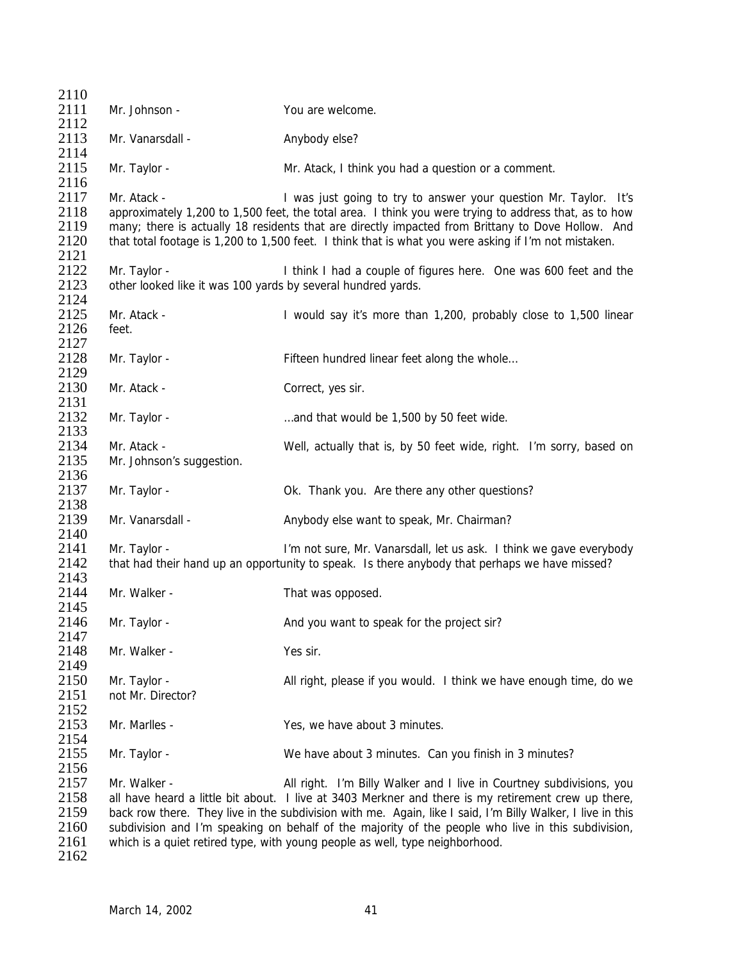| 2110                                         |                                                                              |                                                                                                                                                                                                                                                                                                                                                                                                                                                                                 |
|----------------------------------------------|------------------------------------------------------------------------------|---------------------------------------------------------------------------------------------------------------------------------------------------------------------------------------------------------------------------------------------------------------------------------------------------------------------------------------------------------------------------------------------------------------------------------------------------------------------------------|
| 2111                                         | Mr. Johnson -                                                                | You are welcome.                                                                                                                                                                                                                                                                                                                                                                                                                                                                |
| 2112                                         |                                                                              |                                                                                                                                                                                                                                                                                                                                                                                                                                                                                 |
| 2113<br>2114                                 | Mr. Vanarsdall -                                                             | Anybody else?                                                                                                                                                                                                                                                                                                                                                                                                                                                                   |
| 2115<br>2116                                 | Mr. Taylor -                                                                 | Mr. Atack, I think you had a question or a comment.                                                                                                                                                                                                                                                                                                                                                                                                                             |
| 2117<br>2118<br>2119<br>2120<br>2121         | Mr. Atack -                                                                  | I was just going to try to answer your question Mr. Taylor. It's<br>approximately 1,200 to 1,500 feet, the total area. I think you were trying to address that, as to how<br>many; there is actually 18 residents that are directly impacted from Brittany to Dove Hollow. And<br>that total footage is 1,200 to 1,500 feet. I think that is what you were asking if I'm not mistaken.                                                                                          |
| 2122<br>2123                                 | Mr. Taylor -<br>other looked like it was 100 yards by several hundred yards. | I think I had a couple of figures here. One was 600 feet and the                                                                                                                                                                                                                                                                                                                                                                                                                |
| 2124<br>2125<br>2126<br>2127                 | Mr. Atack -<br>feet.                                                         | I would say it's more than 1,200, probably close to 1,500 linear                                                                                                                                                                                                                                                                                                                                                                                                                |
| 2128<br>2129                                 | Mr. Taylor -                                                                 | Fifteen hundred linear feet along the whole                                                                                                                                                                                                                                                                                                                                                                                                                                     |
| 2130<br>2131                                 | Mr. Atack -                                                                  | Correct, yes sir.                                                                                                                                                                                                                                                                                                                                                                                                                                                               |
| 2132<br>2133                                 | Mr. Taylor -                                                                 | and that would be 1,500 by 50 feet wide.                                                                                                                                                                                                                                                                                                                                                                                                                                        |
| 2134<br>2135<br>2136                         | Mr. Atack -<br>Mr. Johnson's suggestion.                                     | Well, actually that is, by 50 feet wide, right. I'm sorry, based on                                                                                                                                                                                                                                                                                                                                                                                                             |
| 2137<br>2138                                 | Mr. Taylor -                                                                 | Ok. Thank you. Are there any other questions?                                                                                                                                                                                                                                                                                                                                                                                                                                   |
| 2139<br>2140                                 | Mr. Vanarsdall -                                                             | Anybody else want to speak, Mr. Chairman?                                                                                                                                                                                                                                                                                                                                                                                                                                       |
| 2141<br>2142<br>2143                         | Mr. Taylor -                                                                 | I'm not sure, Mr. Vanarsdall, let us ask. I think we gave everybody<br>that had their hand up an opportunity to speak. Is there anybody that perhaps we have missed?                                                                                                                                                                                                                                                                                                            |
| 2144<br>2145                                 | Mr. Walker -                                                                 | That was opposed.                                                                                                                                                                                                                                                                                                                                                                                                                                                               |
| 2146<br>2147                                 | Mr. Taylor -                                                                 | And you want to speak for the project sir?                                                                                                                                                                                                                                                                                                                                                                                                                                      |
| 2148<br>2149                                 | Mr. Walker -                                                                 | Yes sir.                                                                                                                                                                                                                                                                                                                                                                                                                                                                        |
| 2150<br>2151<br>2152                         | Mr. Taylor -<br>not Mr. Director?                                            | All right, please if you would. I think we have enough time, do we                                                                                                                                                                                                                                                                                                                                                                                                              |
| 2153<br>2154                                 | Mr. Marlles -                                                                | Yes, we have about 3 minutes.                                                                                                                                                                                                                                                                                                                                                                                                                                                   |
| 2155<br>2156                                 | Mr. Taylor -                                                                 | We have about 3 minutes. Can you finish in 3 minutes?                                                                                                                                                                                                                                                                                                                                                                                                                           |
| 2157<br>2158<br>2159<br>2160<br>2161<br>2162 | Mr. Walker -                                                                 | All right. I'm Billy Walker and I live in Courtney subdivisions, you<br>all have heard a little bit about. I live at 3403 Merkner and there is my retirement crew up there,<br>back row there. They live in the subdivision with me. Again, like I said, I'm Billy Walker, I live in this<br>subdivision and I'm speaking on behalf of the majority of the people who live in this subdivision,<br>which is a quiet retired type, with young people as well, type neighborhood. |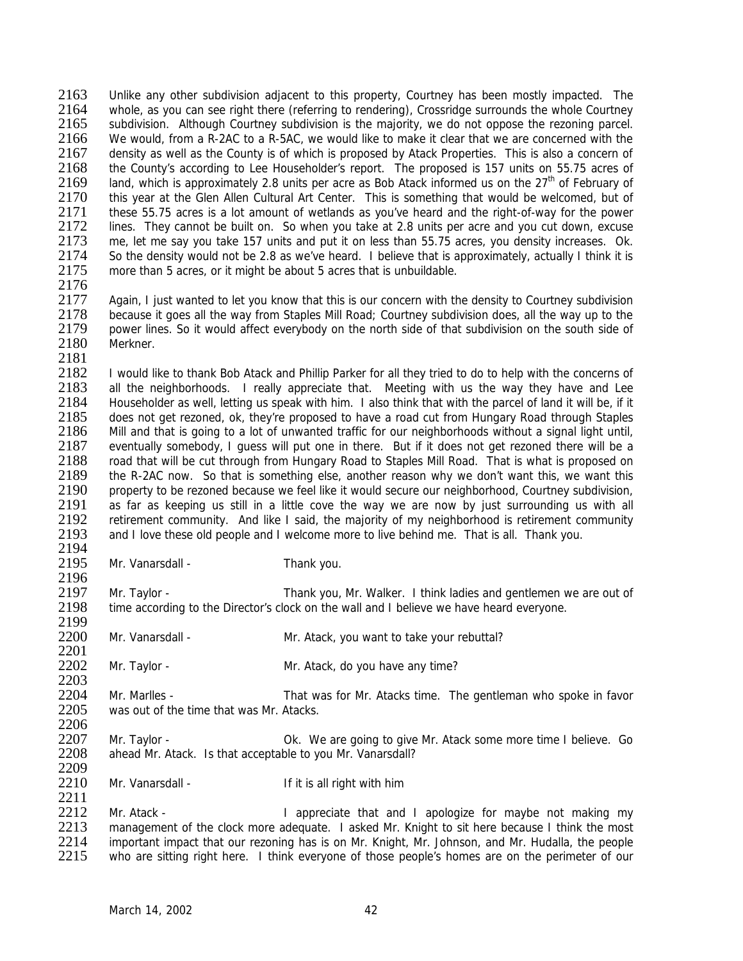2163 Unlike any other subdivision adjacent to this property, Courtney has been mostly impacted. The 2164 whole as you can see right there (referring to rendering). Crossridge surrounds the whole Courtney 2164 whole, as you can see right there (referring to rendering), Crossridge surrounds the whole Courtney<br>2165 subdivision. Although Courtney subdivision is the majority, we do not oppose the rezoning parcel. subdivision. Although Courtney subdivision is the majority, we do not oppose the rezoning parcel. 2166 We would, from a R-2AC to a R-5AC, we would like to make it clear that we are concerned with the 2167 density as well as the County is of which is proposed by Atack Properties. This is also a concern of density as well as the County is of which is proposed by Atack Properties. This is also a concern of 2168 the County's according to Lee Householder's report. The proposed is 157 units on 55.75 acres of 2169 Land, which is approximately 2.8 units per acre as Bob Atack informed us on the  $27<sup>th</sup>$  of February of 2169 land, which is approximately 2.8 units per acre as Bob Atack informed us on the  $27<sup>th</sup>$  of February of 2170 this vear at the Glen Allen Cultural Art Center. This is something that would be welcomed, but of 2170 this year at the Glen Allen Cultural Art Center. This is something that would be welcomed, but of 2171 these 55.75 acres is a lot amount of wetlands as vou've heard and the right-of-way for the power 2171 these 55.75 acres is a lot amount of wetlands as you've heard and the right-of-way for the power<br>2172 lines. They cannot be built on. So when you take at 2.8 units per acre and you cut down, excuse 2172 lines. They cannot be built on. So when you take at 2.8 units per acre and you cut down, excuse 2173 me. let me say you take 157 units and put it on less than 55.75 acres, you density increases. Ok. 2173 me, let me say you take 157 units and put it on less than 55.75 acres, you density increases. Ok.<br>2174 So the density would not be 2.8 as we've heard. I believe that is approximately, actually I think it is 2174 So the density would not be 2.8 as we've heard. I believe that is approximately, actually I think it is 2175 more than 5 acres, or it might be about 5 acres that is unbuildable. more than 5 acres, or it might be about 5 acres that is unbuildable.

2176<br>2177

Again, I just wanted to let you know that this is our concern with the density to Courtney subdivision because it goes all the way from Staples Mill Road; Courtney subdivision does, all the way up to the power lines. So it would affect everybody on the north side of that subdivision on the south side of Merkner.

2181<br>2182 2182 I would like to thank Bob Atack and Phillip Parker for all they tried to do to help with the concerns of <br>2183 all the neighborhoods. I really appreciate that. Meeting with us the way they have and Lee 2183 all the neighborhoods. I really appreciate that. Meeting with us the way they have and Lee<br>2184 Householder as well, letting us speak with him. I also think that with the parcel of land it will be, if it 2184 Householder as well, letting us speak with him. I also think that with the parcel of land it will be, if it 2185 does not get rezoned lok they're proposed to have a road cut from Hungary Road through Staples 2185 does not get rezoned, ok, they're proposed to have a road cut from Hungary Road through Staples<br>2186 Mill and that is going to a lot of unwanted traffic for our neighborhoods without a signal light until. 2186 Mill and that is going to a lot of unwanted traffic for our neighborhoods without a signal light until, 2187 eventually somebody, I guess will put one in there. But if it does not get rezoned there will be a<br>2188 coad that will be cut through from Hungary Road to Staples Mill Road. That is what is proposed on road that will be cut through from Hungary Road to Staples Mill Road. That is what is proposed on 2189 the R-2AC now. So that is something else, another reason why we don't want this, we want this 2190 property to be rezoned because we feel like it would secure our neighborhood, Courtney subdivision, 2191 as far as keeping us still in a little cove the way we are now by just surrounding us with all<br>2192 retirement community. And like I said, the maiority of my neighborhood is retirement community 2192 retirement community. And like I said, the majority of my neighborhood is retirement community<br>2193 and I love these old people and I welcome more to live behind me. That is all. Thank vou. and I love these old people and I welcome more to live behind me. That is all. Thank you.

2194<br>2195 Mr. Vanarsdall - Thank you.

2196<br>2197 2197 Mr. Taylor - Thank you, Mr. Walker. I think ladies and gentlemen we are out of 2198 time according to the Director's clock on the wall and I believe we have heard everyone. time according to the Director's clock on the wall and I believe we have heard everyone.

2199<br>2200 Mr. Vanarsdall - Mr. Atack, you want to take your rebuttal?

2201<br>2202 Mr. Taylor - Mr. Atack, do you have any time?

2203<br>2204 2204 Mr. Marlles - That was for Mr. Atacks time. The gentleman who spoke in favor<br>2205 was out of the time that was Mr. Atacks was out of the time that was Mr. Atacks.

2206<br>2207 2207 Mr. Taylor - Ok. We are going to give Mr. Atack some more time I believe. Go<br>2208 ahead Mr. Atack. Is that acceptable to you Mr. Vanarsdall? ahead Mr. Atack. Is that acceptable to you Mr. Vanarsdall? 2209

2210 Mr. Vanarsdall - If it is all right with him 2211

2212 Mr. Atack - I appreciate that and I apologize for maybe not making my<br>2213 management of the clock more adequate. I asked Mr. Knight to sit here because I think the most 2213 management of the clock more adequate. I asked Mr. Knight to sit here because I think the most 2214 important impact that our rezoning has is on Mr. Knight. Mr. Johnson, and Mr. Hudalla, the people 2214 important impact that our rezoning has is on Mr. Knight, Mr. Johnson, and Mr. Hudalla, the people 2215 who are sitting right here. I think everyone of those people's homes are on the perimeter of our who are sitting right here. I think everyone of those people's homes are on the perimeter of our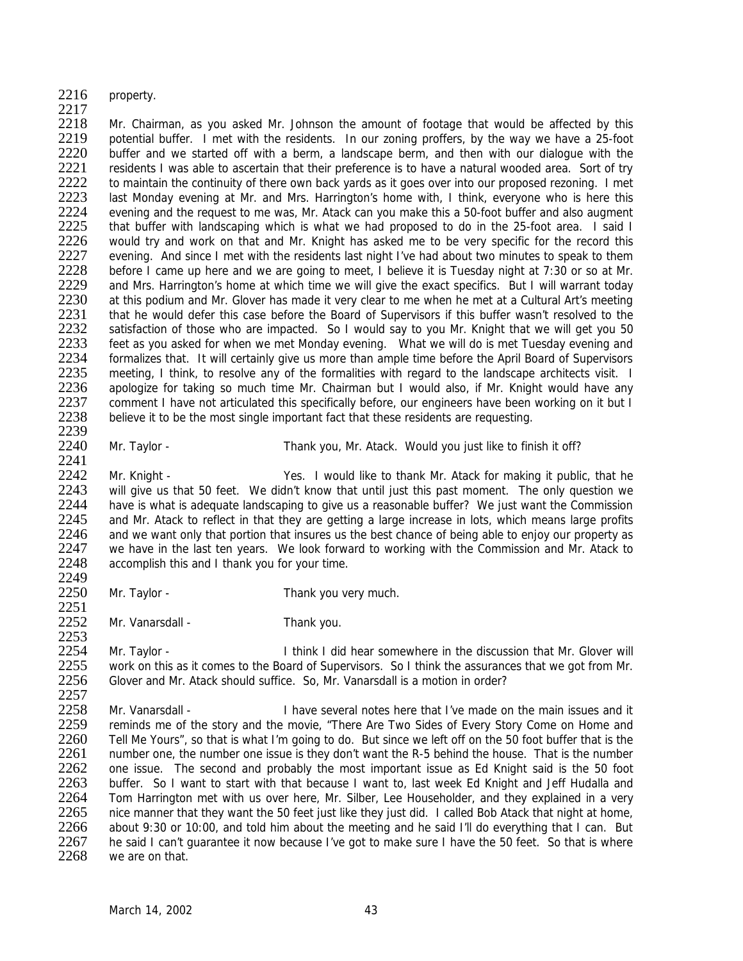- 2216 property.
- $\frac{2217}{2218}$

Mr. Chairman, as you asked Mr. Johnson the amount of footage that would be affected by this 2219 potential buffer. I met with the residents. In our zoning proffers, by the way we have a 25-foot 2220 buffer and we started off with a berm, a landscape berm, and then with our dialoque with the 2220 buffer and we started off with a berm, a landscape berm, and then with our dialogue with the<br>2221 eresidents I was able to ascertain that their preference is to have a natural wooded area. Sort of try 2221 residents I was able to ascertain that their preference is to have a natural wooded area. Sort of try<br>2222 to maintain the continuity of there own back vards as it goes over into our proposed rezoning. I met 2222 to maintain the continuity of there own back yards as it goes over into our proposed rezoning. I met 2223 last Monday evening at Mr. and Mrs. Harrington's home with. I think, everyone who is here this 2223 last Monday evening at Mr. and Mrs. Harrington's home with, I think, everyone who is here this 2224 evening and the request to me was. Mr. Atack can you make this a 50-foot buffer and also augment 2224 evening and the request to me was, Mr. Atack can you make this a 50-foot buffer and also augment 2225 that buffer with landscaping which is what we had proposed to do in the 25-foot area. I said I 2225 that buffer with landscaping which is what we had proposed to do in the 25-foot area. I said I<br>2226 vould try and work on that and Mr. Knight has asked me to be very specific for the record this 2226 would try and work on that and Mr. Knight has asked me to be very specific for the record this 2227 evening. And since I met with the residents last night I've had about two minutes to speak to them 2227 evening. And since I met with the residents last night I've had about two minutes to speak to them<br>2228 before I came up here and we are going to meet. I believe it is Tuesday night at 7:30 or so at Mr before I came up here and we are going to meet, I believe it is Tuesday night at 7:30 or so at Mr. 2229 and Mrs. Harrington's home at which time we will give the exact specifics. But I will warrant today<br>2230 at this podium and Mr. Glover has made it very clear to me when he met at a Cultural Art's meeting 2230 at this podium and Mr. Glover has made it very clear to me when he met at a Cultural Art's meeting<br>2231 that he would defer this case before the Board of Supervisors if this buffer wasn't resolved to the 2231 that he would defer this case before the Board of Supervisors if this buffer wasn't resolved to the 2232 satisfaction of those who are impacted. So I would say to you Mr. Knight that we will get you 50 satisfaction of those who are impacted. So I would say to you Mr. Knight that we will get you 50 2233 feet as you asked for when we met Monday evening. What we will do is met Tuesday evening and 2234 formalizes that. It will certainly give us more than ample time before the April Board of Supervisors 2234 formalizes that. It will certainly give us more than ample time before the April Board of Supervisors<br>2235 meeting. I think, to resolve any of the formalities with regard to the landscape architects visit. I 2235 meeting, I think, to resolve any of the formalities with regard to the landscape architects visit. I<br>2236 apologize for taking so much time Mr. Chairman but I would also, if Mr. Knight would have any 2236 apologize for taking so much time Mr. Chairman but I would also, if Mr. Knight would have any<br>2237 comment I have not articulated this specifically before, our engineers have been working on it but I 2237 comment I have not articulated this specifically before, our engineers have been working on it but I<br>2238 believe it to be the most single important fact that these residents are requesting believe it to be the most single important fact that these residents are requesting. 2239

2251

2253

2240 Mr. Taylor - Thank you, Mr. Atack. Would you just like to finish it off?

2241<br>2242 2242 Mr. Knight - Yes. I would like to thank Mr. Atack for making it public, that he<br>2243 will give us that 50 feet. We didn't know that until just this past moment. The only question we will give us that 50 feet. We didn't know that until just this past moment. The only question we 2244 have is what is adequate landscaping to give us a reasonable buffer? We just want the Commission<br>2245 and Mr. Atack to reflect in that they are getting a large increase in lots, which means large profits 2245 and Mr. Atack to reflect in that they are getting a large increase in lots, which means large profits 2246 and we want only that portion that insures us the best chance of being able to enjoy our property as 2246 and we want only that portion that insures us the best chance of being able to enjoy our property as 2247 we have in the last ten vears. We look forward to working with the Commission and Mr. Atack to 2247 we have in the last ten years. We look forward to working with the Commission and Mr. Atack to 2248 accomplish this and I thank you for your time accomplish this and I thank you for your time.

2249<br>2250 Mr. Taylor - Thank you very much.

2252 Mr. Vanarsdall - Thank you.

2254 Mr. Taylor - I think I did hear somewhere in the discussion that Mr. Glover will 2255 work on this as it comes to the Board of Supervisors. So I think the assurances that we got from Mr.<br>2256 Glover and Mr. Atack should suffice. So. Mr. Vanarsdall is a motion in order? Glover and Mr. Atack should suffice. So, Mr. Vanarsdall is a motion in order?

 $2257$ <br> $2258$ 2258 Mr. Vanarsdall - I have several notes here that I've made on the main issues and it<br>2259 reminds me of the story and the movie "There Are Two Sides of Every Story Come on Home and 2259 reminds me of the story and the movie, "*There Are Two Sides of Every Story Come on Home and*<br>2260 *Tell Me Yours*", so that is what I'm going to do. But since we left off on the 50 foot buffer that is the 2260 *Tell Me Yours*", so that is what I'm going to do. But since we left off on the 50 foot buffer that is the 2261 number one, the number one issue is they don't want the R-5 behind the house. That is the number 2261 number one, the number one issue is they don't want the R-5 behind the house. That is the number<br>2262 one issue. The second and probably the most important issue as Ed Knight said is the 50 foot 2262 one issue. The second and probably the most important issue as Ed Knight said is the 50 foot 2263 buffer. So I want to start with that because I want to, last week Ed Knight and Jeff Hudalla and 2264 Tom Harrington met with us over here, Mr. Silber, Lee Householder, and they explained in a very 2265 nice manner that they want the 50 feet just like they just did. I called Bob Atack that night at home,<br>2266 about 9:30 or 10:00, and told him about the meeting and he said I'll do everything that I can. But 2266 about 9:30 or 10:00, and told him about the meeting and he said I'll do everything that I can. But 2267 he said I can't quarantee it now because I've got to make sure I have the 50 feet. So that is where 2267 he said I can't guarantee it now because I've got to make sure I have the 50 feet. So that is where 2268 we are on that. we are on that.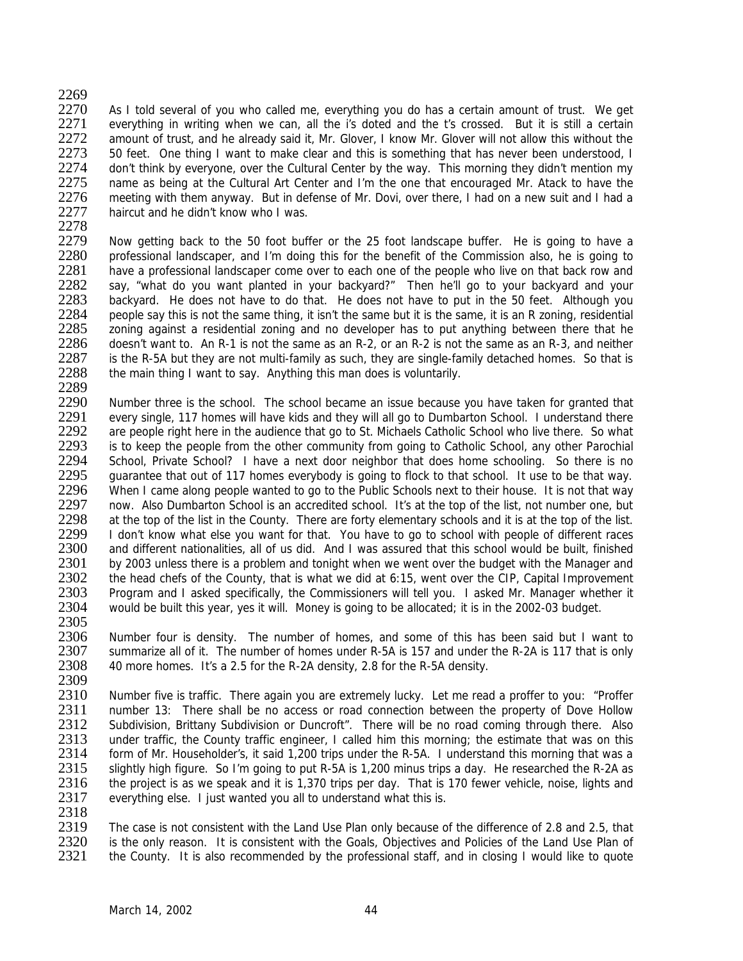# 2269<br>2270

2270 As I told several of you who called me, everything you do has a certain amount of trust. We get 2271 everything in writing when we can, all the i's doted and the t's crossed. But it is still a certain everything in writing when we can, all the i's doted and the t's crossed. But it is still a certain 2272 amount of trust, and he already said it, Mr. Glover, I know Mr. Glover will not allow this without the 2273 50 feet. One thing I want to make clear and this is something that has never been understood, I 2273 50 feet. One thing I want to make clear and this is something that has never been understood, I<br>2274 alon't think by everyone, over the Cultural Center by the way. This morning they didn't mention my 2274 don't think by everyone, over the Cultural Center by the way. This morning they didn't mention my<br>2275 name as being at the Cultural Art Center and I'm the one that encouraged Mr. Atack to have the 2275 name as being at the Cultural Art Center and I'm the one that encouraged Mr. Atack to have the 2276 meeting with them anyway. But in defense of Mr. Dovi, over there, I had on a new suit and I had a 2276 meeting with them anyway. But in defense of Mr. Dovi, over there, I had on a new suit and I had a 2277 haircut and he didn't know who I was. haircut and he didn't know who I was.

2278<br>2279

2279 Now getting back to the 50 foot buffer or the 25 foot landscape buffer. He is going to have a<br>2280 professional landscaper, and I'm doing this for the benefit of the Commission also, he is going to 2280 professional landscaper, and I'm doing this for the benefit of the Commission also, he is going to 2281 have a professional landscaper come over to each one of the people who live on that back row and have a professional landscaper come over to each one of the people who live on that back row and 2282 say, "what do you want planted in your backyard?" Then he'll go to your backyard and your<br>2283 backyard. He does not have to do that. He does not have to put in the 50 feet. Although you 2283 backyard. He does not have to do that. He does not have to put in the 50 feet. Although you<br>2284 people sav this is not the same thing, it isn't the same but it is the same, it is an R zoning, residential 2284 people say this is not the same thing, it isn't the same but it is the same, it is an R zoning, residential 2285 zoning against a residential zoning and no developer has to put anything between there that he zoning against a residential zoning and no developer has to put anything between there that he 2286 doesn't want to. An R-1 is not the same as an R-2, or an R-2 is not the same as an R-3, and neither 2287 is the R-5A but they are not multi-family as such, they are single-family detached homes. So that is 2287 is the R-5A but they are not multi-family as such, they are single-family detached homes. So that is 2288 the main thing I want to say. Anything this man does is voluntarily. the main thing I want to say. Anything this man does is voluntarily.

2289<br>2290 2290 Number three is the school. The school became an issue because you have taken for granted that 2291 every single 117 homes will have kids and they will all go to Dumbarton School. Lunderstand there 2291 every single, 117 homes will have kids and they will all go to Dumbarton School. I understand there 2292 are people right here in the audience that go to St. Michaels Catholic School who live there. So what are people right here in the audience that go to St. Michaels Catholic School who live there. So what 2293 is to keep the people from the other community from going to Catholic School, any other Parochial<br>2294 School, Private School? I have a next door neighbor that does home schooling. So there is no 2294 School, Private School? I have a next door neighbor that does home schooling. So there is no<br>2295 guarantee that out of 117 homes everybody is going to flock to that school. It use to be that way. guarantee that out of 117 homes everybody is going to flock to that school. It use to be that way. 2296 When I came along people wanted to go to the Public Schools next to their house. It is not that way 2297 now. Also Dumbarton School is an accredited school. It's at the top of the list, not number one, but 2298 at the top of the list in the County. There are forty elementary schools and it is at the top of the list. 2298 at the top of the list in the County. There are forty elementary schools and it is at the top of the list.<br>2299 I don't know what else you want for that. You have to go to school with people of different races 2299 I don't know what else you want for that. You have to go to school with people of different races<br>2300 and different nationalities, all of us did. And I was assured that this school would be built, finished 2300 and different nationalities, all of us did. And I was assured that this school would be built, finished<br>2301 by 2003 unless there is a problem and tonight when we went over the budget with the Manager and 2301 by 2003 unless there is a problem and tonight when we went over the budget with the Manager and 2302 the head chefs of the County, that is what we did at 6:15, went over the CIP. Capital Improvement 2302 the head chefs of the County, that is what we did at 6:15, went over the CIP, Capital Improvement 2303 Program and Lasked specifically, the Commissioners will tell you. Lasked Mr. Manager whether it 2303 Program and I asked specifically, the Commissioners will tell you. I asked Mr. Manager whether it 2304 would be built this year, yes it will. Money is going to be allocated; it is in the 2002-03 budget. would be built this year, yes it will. Money is going to be allocated; it is in the 2002-03 budget. 2305

2306 Number four is density. The number of homes, and some of this has been said but I want to 2307 summarize all of it. The number of homes under R-5A is 157 and under the R-2A is 117 that is only 2308 40 more homes. It's a 2.5 for the R-2A density, 2.8 for the R-5A density.

2309<br>2310 2310 Number five is traffic. There again you are extremely lucky. Let me read a proffer to you: "Proffer<br>2311 Inumber 13: There shall be no access or road connection between the property of Dove Hollow 2311 number 13: There shall be no access or road connection between the property of Dove Hollow<br>2312 Subdivision. Brittany Subdivision or Duncroft". There will be no road coming through there. Also 2312 Subdivision, Brittany Subdivision or Duncroft". There will be no road coming through there. Also<br>2313 under traffic, the County traffic engineer. I called him this morning: the estimate that was on this 2313 under traffic, the County traffic engineer, I called him this morning; the estimate that was on this 2314 form of Mr. Householder's it said 1.200 trips under the R-5A. I understand this morning that was a 2314 form of Mr. Householder's, it said 1,200 trips under the R-5A. I understand this morning that was a<br>2315 slightly high figure. So I'm going to put R-5A is 1,200 minus trips a day. He researched the R-2A as slightly high figure. So I'm going to put R-5A is 1,200 minus trips a day. He researched the R-2A as 2316 the project is as we speak and it is 1,370 trips per day. That is 170 fewer vehicle, noise, lights and 2317 everything else. I just wanted you all to understand what this is.

2318<br>2319 2319 The case is not consistent with the Land Use Plan only because of the difference of 2.8 and 2.5, that 2320 is the only reason. It is consistent with the Goals. Objectives and Policies of the Land Use Plan of 2320 is the only reason. It is consistent with the Goals, Objectives and Policies of the Land Use Plan of 2321 the County. It is also recommended by the professional staff, and in closing I would like to quote the County. It is also recommended by the professional staff, and in closing I would like to quote